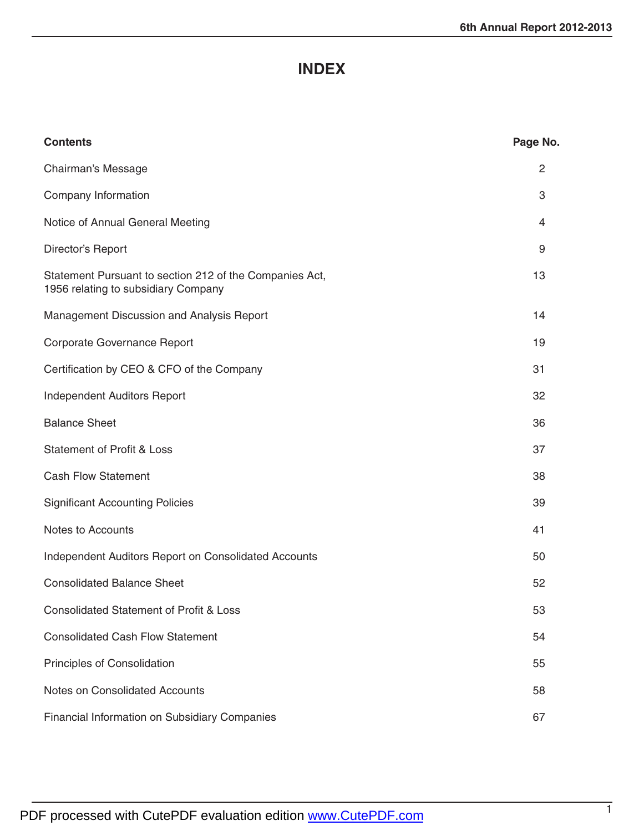## **INDEX**

| <b>Contents</b>                                                                                | Page No. |
|------------------------------------------------------------------------------------------------|----------|
| Chairman's Message                                                                             | 2        |
| Company Information                                                                            | 3        |
| Notice of Annual General Meeting                                                               | 4        |
| Director's Report                                                                              | 9        |
| Statement Pursuant to section 212 of the Companies Act,<br>1956 relating to subsidiary Company | 13       |
| Management Discussion and Analysis Report                                                      | 14       |
| Corporate Governance Report                                                                    | 19       |
| Certification by CEO & CFO of the Company                                                      | 31       |
| Independent Auditors Report                                                                    | 32       |
| <b>Balance Sheet</b>                                                                           | 36       |
| <b>Statement of Profit &amp; Loss</b>                                                          | 37       |
| <b>Cash Flow Statement</b>                                                                     | 38       |
| <b>Significant Accounting Policies</b>                                                         | 39       |
| Notes to Accounts                                                                              | 41       |
| Independent Auditors Report on Consolidated Accounts                                           | 50       |
| <b>Consolidated Balance Sheet</b>                                                              | 52       |
| <b>Consolidated Statement of Profit &amp; Loss</b>                                             | 53       |
| <b>Consolidated Cash Flow Statement</b>                                                        | 54       |
| Principles of Consolidation                                                                    | 55       |
| Notes on Consolidated Accounts                                                                 | 58       |
| Financial Information on Subsidiary Companies                                                  | 67       |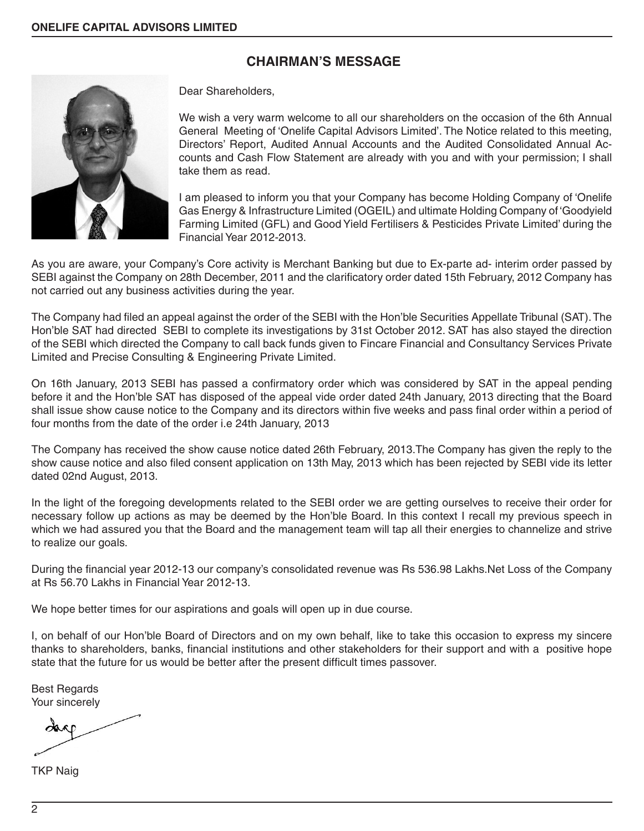### **CHAIRMAN'S MESSAGE**



Dear Shareholders,

We wish a very warm welcome to all our shareholders on the occasion of the 6th Annual General Meeting of 'Onelife Capital Advisors Limited'. The Notice related to this meeting, Directors' Report, Audited Annual Accounts and the Audited Consolidated Annual Accounts and Cash Flow Statement are already with you and with your permission; I shall take them as read.

I am pleased to inform you that your Company has become Holding Company of 'Onelife Gas Energy & Infrastructure Limited (OGEIL) and ultimate Holding Company of 'Goodyield Farming Limited (GFL) and Good Yield Fertilisers & Pesticides Private Limited' during the Financial Year 2012-2013.

As you are aware, your Company's Core activity is Merchant Banking but due to Ex-parte ad- interim order passed by SEBI against the Company on 28th December, 2011 and the clarificatory order dated 15th February, 2012 Company has not carried out any business activities during the year.

The Company had filed an appeal against the order of the SEBI with the Hon'ble Securities Appellate Tribunal (SAT). The Hon'ble SAT had directed SEBI to complete its investigations by 31st October 2012. SAT has also stayed the direction of the SEBI which directed the Company to call back funds given to Fincare Financial and Consultancy Services Private Limited and Precise Consulting & Engineering Private Limited.

On 16th January, 2013 SEBI has passed a confirmatory order which was considered by SAT in the appeal pending before it and the Hon'ble SAT has disposed of the appeal vide order dated 24th January, 2013 directing that the Board shall issue show cause notice to the Company and its directors within five weeks and pass final order within a period of four months from the date of the order i.e 24th January, 2013

The Company has received the show cause notice dated 26th February, 2013.The Company has given the reply to the show cause notice and also filed consent application on 13th May, 2013 which has been rejected by SEBI vide its letter dated 02nd August, 2013.

In the light of the foregoing developments related to the SEBI order we are getting ourselves to receive their order for necessary follow up actions as may be deemed by the Hon'ble Board. In this context I recall my previous speech in which we had assured you that the Board and the management team will tap all their energies to channelize and strive to realize our goals.

During the financial year 2012-13 our company's consolidated revenue was Rs 536.98 Lakhs.Net Loss of the Company at Rs 56.70 Lakhs in Financial Year 2012-13.

We hope better times for our aspirations and goals will open up in due course.

I, on behalf of our Hon'ble Board of Directors and on my own behalf, like to take this occasion to express my sincere thanks to shareholders, banks, financial institutions and other stakeholders for their support and with a positive hope state that the future for us would be better after the present difficult times passover.

Best Regards Your sincerely

TKP Naig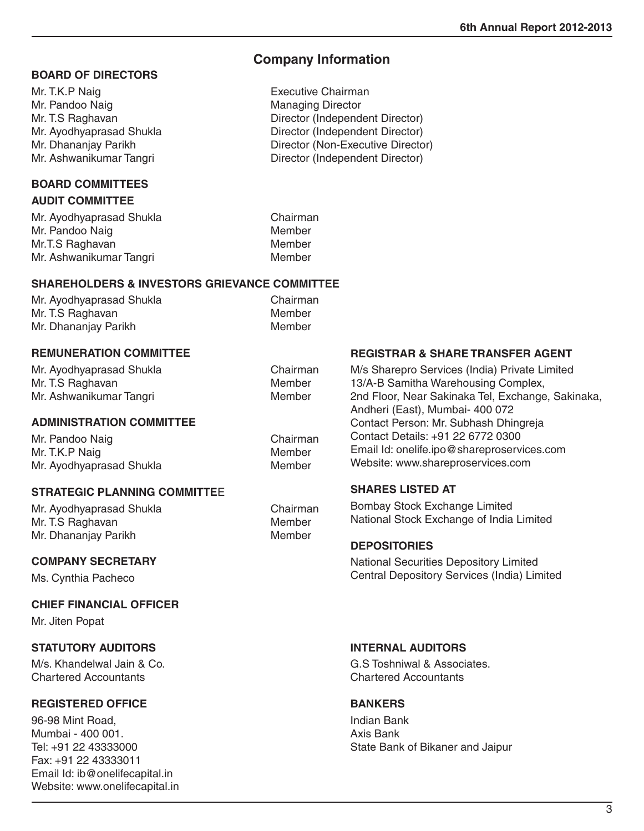### **Company Information**

Director (Independent Director)

#### **BOARD OF DIRECTORS**

Mr. T.K.P Naig **Executive Chairman** Mr. Pandoo Naig Managing Director Mr. T.S Raghavan Director (Independent Director)<br>Mr. Ayodhyaprasad Shukla Director (Independent Director) Mr. Dhananjay Parikh **Director (Non-Executive Director)** Mr. Ashwanikumar Tangri Director (Independent Director)

#### **BOARD COMMITTEES**

#### **AUDIT COMMITTEE**

| Chairman |
|----------|
| Member   |
| Member   |
| Member   |
|          |

#### **SHAREHOLDERS & INVESTORS GRIEVANCE COMMITTEE**

| Mr. Ayodhyaprasad Shukla | Chairman |
|--------------------------|----------|
| Mr. T.S Raghavan         | Member   |
| Mr. Dhananjay Parikh     | Member   |

#### **REMUNERATION COMMITTEE**

#### Mr. Ayodhyaprasad Shukla Chairman Mr. T.S Raghavan<br>Mr. Ashwanikumar Tangri Member<br>Member Mr. Ashwanikumar Tangri M/s Sharepro Services (India) Private Limited 13/A-B Samitha Warehousing Complex, 2nd Floor, Near Sakinaka Tel, Exchange, Sakinaka,

#### **ADMINISTRATION COMMITTEE**

| Mr. Pandoo Naig          | Chairman | Contact Details: +91 22 6772 0300          |
|--------------------------|----------|--------------------------------------------|
| Mr. T.K.P Naig           | Member   | Email Id: onelife.ipo@shareproservices.com |
| Mr. Ayodhyaprasad Shukla | Member   | Website: www.shareproservices.com          |

#### **STRATEGIC PLANNING COMMITTE**E

Mr. Ayodhyaprasad Shukla Chairman Mr. T.S Raghavan Member Mr. Dhananjay Parikh Member

#### **COMPANY SECRETARY**

Ms. Cynthia Pacheco

#### **CHIEF FINANCIAL OFFICER**

Mr. Jiten Popat

#### **STATUTORY AUDITORS INTERNAL AUDITORS**

Chartered Accountants Chartered Accountants

#### REGISTERED OFFICE **BANKERS**

96-98 Mint Road, Indian Bank Mumbai - 400 001. Axis Bank Fax: +91 22 43333011 Email Id: ib@onelifecapital.in Website: www.onelifecapital.in

Andheri (East), Mumbai- 400 072 Contact Person: Mr. Subhash Dhingreja

**REGISTRAR & SHARE TRANSFER AGENT**

#### **SHARES LISTED AT**

Bombay Stock Exchange Limited National Stock Exchange of India Limited

#### **DEPOSITORIES**

National Securities Depository Limited Central Depository Services (India) Limited

M/s. Khandelwal Jain & Co. (a) Co. G.S Toshniwal & Associates.<br>Chartered Accountants

Tel: +91 22 43333000 **State Bank of Bikaner and Jaipur** State Bank of Bikaner and Jaipur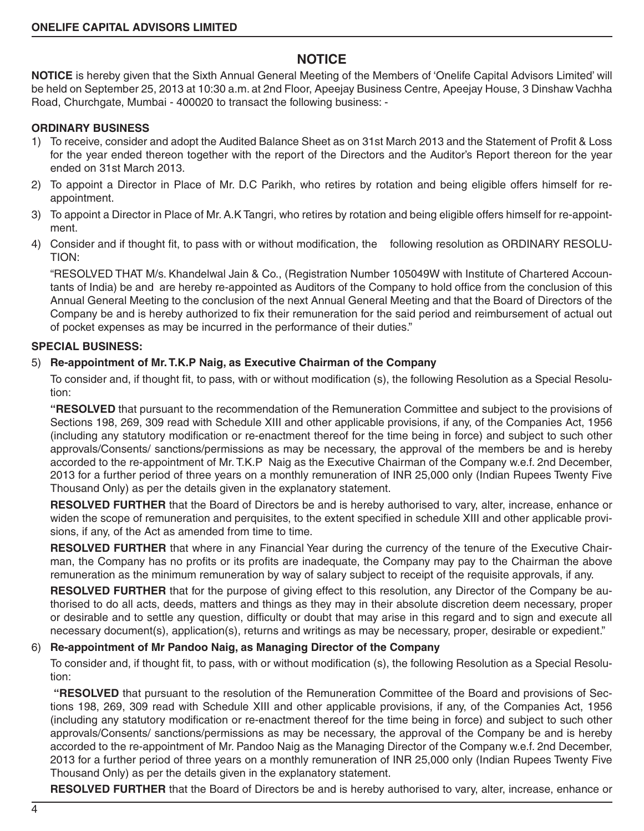### **NOTICE**

**NOTICE** is hereby given that the Sixth Annual General Meeting of the Members of 'Onelife Capital Advisors Limited' will be held on September 25, 2013 at 10:30 a.m. at 2nd Floor, Apeejay Business Centre, Apeejay House, 3 Dinshaw Vachha Road, Churchgate, Mumbai - 400020 to transact the following business: -

#### **ORDINARY BUSINESS**

- 1) To receive, consider and adopt the Audited Balance Sheet as on 31st March 2013 and the Statement of Profit & Loss for the year ended thereon together with the report of the Directors and the Auditor's Report thereon for the year ended on 31st March 2013.
- 2) To appoint a Director in Place of Mr. D.C Parikh, who retires by rotation and being eligible offers himself for reappointment.
- 3) To appoint a Director in Place of Mr. A.K Tangri, who retires by rotation and being eligible offers himself for re-appointment.
- 4) Consider and if thought fit, to pass with or without modification, the following resolution as ORDINARY RESOLU-TION:

"RESOLVED THAT M/s. Khandelwal Jain & Co., (Registration Number 105049W with Institute of Chartered Accountants of India) be and are hereby re-appointed as Auditors of the Company to hold office from the conclusion of this Annual General Meeting to the conclusion of the next Annual General Meeting and that the Board of Directors of the Company be and is hereby authorized to fix their remuneration for the said period and reimbursement of actual out of pocket expenses as may be incurred in the performance of their duties."

#### **SPECIAL BUSINESS:**

#### 5) **Re-appointment of Mr. T.K.P Naig, as Executive Chairman of the Company**

To consider and, if thought fit, to pass, with or without modification (s), the following Resolution as a Special Resolution:

**"RESOLVED** that pursuant to the recommendation of the Remuneration Committee and subject to the provisions of Sections 198, 269, 309 read with Schedule XIII and other applicable provisions, if any, of the Companies Act, 1956 (including any statutory modification or re-enactment thereof for the time being in force) and subject to such other approvals/Consents/ sanctions/permissions as may be necessary, the approval of the members be and is hereby accorded to the re-appointment of Mr. T.K.P Naig as the Executive Chairman of the Company w.e.f. 2nd December, 2013 for a further period of three years on a monthly remuneration of INR 25,000 only (Indian Rupees Twenty Five Thousand Only) as per the details given in the explanatory statement.

**RESOLVED FURTHER** that the Board of Directors be and is hereby authorised to vary, alter, increase, enhance or widen the scope of remuneration and perquisites, to the extent specified in schedule XIII and other applicable provisions, if any, of the Act as amended from time to time.

**RESOLVED FURTHER** that where in any Financial Year during the currency of the tenure of the Executive Chairman, the Company has no profits or its profits are inadequate, the Company may pay to the Chairman the above remuneration as the minimum remuneration by way of salary subject to receipt of the requisite approvals, if any.

**RESOLVED FURTHER** that for the purpose of giving effect to this resolution, any Director of the Company be authorised to do all acts, deeds, matters and things as they may in their absolute discretion deem necessary, proper or desirable and to settle any question, difficulty or doubt that may arise in this regard and to sign and execute all necessary document(s), application(s), returns and writings as may be necessary, proper, desirable or expedient."

#### 6) **Re-appointment of Mr Pandoo Naig, as Managing Director of the Company**

To consider and, if thought fit, to pass, with or without modification (s), the following Resolution as a Special Resolution:

**"RESOLVED** that pursuant to the resolution of the Remuneration Committee of the Board and provisions of Sections 198, 269, 309 read with Schedule XIII and other applicable provisions, if any, of the Companies Act, 1956 (including any statutory modification or re-enactment thereof for the time being in force) and subject to such other approvals/Consents/ sanctions/permissions as may be necessary, the approval of the Company be and is hereby accorded to the re-appointment of Mr. Pandoo Naig as the Managing Director of the Company w.e.f. 2nd December, 2013 for a further period of three years on a monthly remuneration of INR 25,000 only (Indian Rupees Twenty Five Thousand Only) as per the details given in the explanatory statement.

**RESOLVED FURTHER** that the Board of Directors be and is hereby authorised to vary, alter, increase, enhance or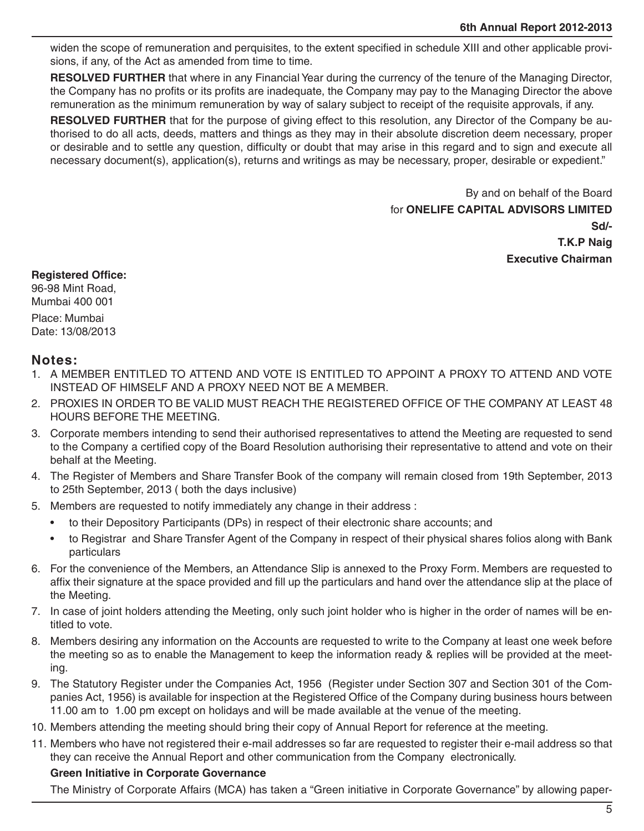widen the scope of remuneration and perquisites, to the extent specified in schedule XIII and other applicable provisions, if any, of the Act as amended from time to time.

**RESOLVED FURTHER** that where in any Financial Year during the currency of the tenure of the Managing Director, the Company has no profits or its profits are inadequate, the Company may pay to the Managing Director the above remuneration as the minimum remuneration by way of salary subject to receipt of the requisite approvals, if any.

**RESOLVED FURTHER** that for the purpose of giving effect to this resolution, any Director of the Company be authorised to do all acts, deeds, matters and things as they may in their absolute discretion deem necessary, proper or desirable and to settle any question, difficulty or doubt that may arise in this regard and to sign and execute all necessary document(s), application(s), returns and writings as may be necessary, proper, desirable or expedient."

> By and on behalf of the Board for **ONELIFE CAPITAL ADVISORS LIMITED Sd/- T.K.P Naig Executive Chairman**

#### **Registered Office:**

96-98 Mint Road, Mumbai 400 001 Place: Mumbai Date: 13/08/2013

### **Notes:**

- 1. A MEMBER ENTITLED TO ATTEND AND VOTE IS ENTITLED TO APPOINT A PROXY TO ATTEND AND VOTE INSTEAD OF HIMSELF AND A PROXY NEED NOT BE A MEMBER.
- 2. PROXIES IN ORDER TO BE VALID MUST REACH THE REGISTERED OFFICE OF THE COMPANY AT LEAST 48 HOURS BEFORE THE MEETING.
- 3. Corporate members intending to send their authorised representatives to attend the Meeting are requested to send to the Company a certified copy of the Board Resolution authorising their representative to attend and vote on their behalf at the Meeting.
- 4. The Register of Members and Share Transfer Book of the company will remain closed from 19th September, 2013 to 25th September, 2013 ( both the days inclusive)
- 5. Members are requested to notify immediately any change in their address :
	- to their Depository Participants (DPs) in respect of their electronic share accounts; and
	- • to Registrar and Share Transfer Agent of the Company in respect of their physical shares folios along with Bank particulars
- 6. For the convenience of the Members, an Attendance Slip is annexed to the Proxy Form. Members are requested to affix their signature at the space provided and fill up the particulars and hand over the attendance slip at the place of the Meeting.
- 7. In case of joint holders attending the Meeting, only such joint holder who is higher in the order of names will be entitled to vote.
- 8. Members desiring any information on the Accounts are requested to write to the Company at least one week before the meeting so as to enable the Management to keep the information ready & replies will be provided at the meeting.
- 9. The Statutory Register under the Companies Act, 1956 (Register under Section 307 and Section 301 of the Companies Act, 1956) is available for inspection at the Registered Office of the Company during business hours between 11.00 am to 1.00 pm except on holidays and will be made available at the venue of the meeting.
- 10. Members attending the meeting should bring their copy of Annual Report for reference at the meeting.
- 11. Members who have not registered their e-mail addresses so far are requested to register their e-mail address so that they can receive the Annual Report and other communication from the Company electronically.

#### **Green Initiative in Corporate Governance**

The Ministry of Corporate Affairs (MCA) has taken a "Green initiative in Corporate Governance" by allowing paper-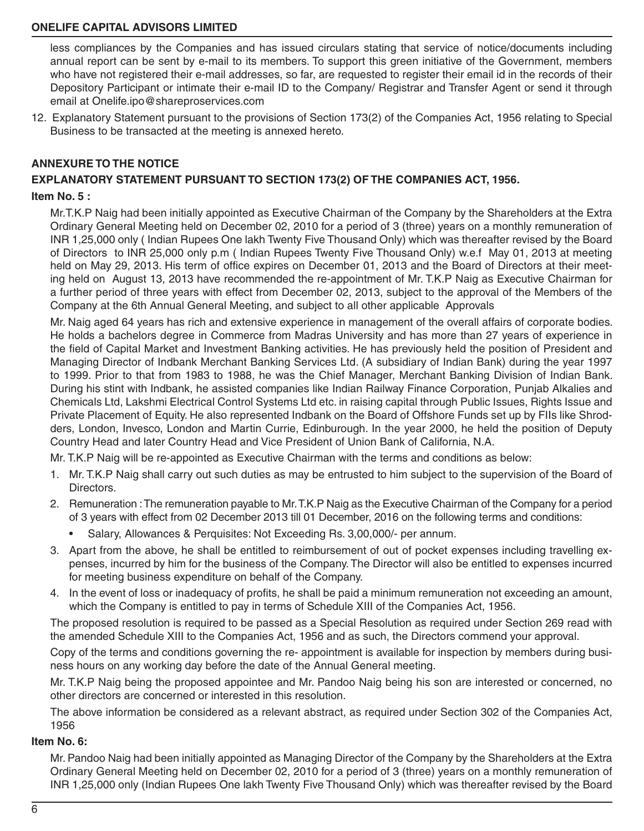#### **ONELIFE CAPITAL ADVISORS LIMITED**

less compliances by the Companies and has issued circulars stating that service of notice/documents including annual report can be sent by e-mail to its members. To support this green initiative of the Government, members who have not registered their e-mail addresses, so far, are requested to register their email id in the records of their Depository Participant or intimate their e-mail ID to the Company/ Registrar and Transfer Agent or send it through email at Onelife.ipo@shareproservices.com

12. Explanatory Statement pursuant to the provisions of Section 173(2) of the Companies Act, 1956 relating to Special Business to be transacted at the meeting is annexed hereto.

#### **ANNEXURE TO THE NOTICE**

### **EXPLANATORY STATEMENT PURSUANT TO SECTION 173(2) OF THE COMPANIES ACT, 1956.**

#### **Item No. 5 :**

Mr.T.K.P Naig had been initially appointed as Executive Chairman of the Company by the Shareholders at the Extra Ordinary General Meeting held on December 02, 2010 for a period of 3 (three) years on a monthly remuneration of INR 1,25,000 only ( Indian Rupees One lakh Twenty Five Thousand Only) which was thereafter revised by the Board of Directors to INR 25,000 only p.m ( Indian Rupees Twenty Five Thousand Only) w.e.f May 01, 2013 at meeting held on May 29, 2013. His term of office expires on December 01, 2013 and the Board of Directors at their meeting held on August 13, 2013 have recommended the re-appointment of Mr. T.K.P Naig as Executive Chairman for a further period of three years with effect from December 02, 2013, subject to the approval of the Members of the Company at the 6th Annual General Meeting, and subject to all other applicable Approvals

Mr. Naig aged 64 years has rich and extensive experience in management of the overall affairs of corporate bodies. He holds a bachelors degree in Commerce from Madras University and has more than 27 years of experience in the field of Capital Market and Investment Banking activities. He has previously held the position of President and Managing Director of Indbank Merchant Banking Services Ltd. (A subsidiary of Indian Bank) during the year 1997 to 1999. Prior to that from 1983 to 1988, he was the Chief Manager, Merchant Banking Division of Indian Bank. During his stint with Indbank, he assisted companies like Indian Railway Finance Corporation, Punjab Alkalies and Chemicals Ltd, Lakshmi Electrical Control Systems Ltd etc. in raising capital through Public Issues, Rights Issue and Private Placement of Equity. He also represented Indbank on the Board of Offshore Funds set up by FIIs like Shrodders, London, Invesco, London and Martin Currie, Edinburough. In the year 2000, he held the position of Deputy Country Head and later Country Head and Vice President of Union Bank of California, N.A.

Mr. T.K.P Naig will be re-appointed as Executive Chairman with the terms and conditions as below:

- 1. Mr. T.K.P Naig shall carry out such duties as may be entrusted to him subject to the supervision of the Board of Directors.
- 2. Remuneration : The remuneration payable to Mr. T.K.P Naig as the Executive Chairman of the Company for a period of 3 years with effect from 02 December 2013 till 01 December, 2016 on the following terms and conditions:
	- Salary, Allowances & Perquisites: Not Exceeding Rs. 3,00,000/- per annum.
- 3. Apart from the above, he shall be entitled to reimbursement of out of pocket expenses including travelling expenses, incurred by him for the business of the Company. The Director will also be entitled to expenses incurred for meeting business expenditure on behalf of the Company.
- 4. In the event of loss or inadequacy of profits, he shall be paid a minimum remuneration not exceeding an amount, which the Company is entitled to pay in terms of Schedule XIII of the Companies Act, 1956.

The proposed resolution is required to be passed as a Special Resolution as required under Section 269 read with the amended Schedule XIII to the Companies Act, 1956 and as such, the Directors commend your approval.

Copy of the terms and conditions governing the re- appointment is available for inspection by members during business hours on any working day before the date of the Annual General meeting.

Mr. T.K.P Naig being the proposed appointee and Mr. Pandoo Naig being his son are interested or concerned, no other directors are concerned or interested in this resolution.

The above information be considered as a relevant abstract, as required under Section 302 of the Companies Act, 1956

#### **Item No. 6:**

Mr. Pandoo Naig had been initially appointed as Managing Director of the Company by the Shareholders at the Extra Ordinary General Meeting held on December 02, 2010 for a period of 3 (three) years on a monthly remuneration of INR 1,25,000 only (Indian Rupees One lakh Twenty Five Thousand Only) which was thereafter revised by the Board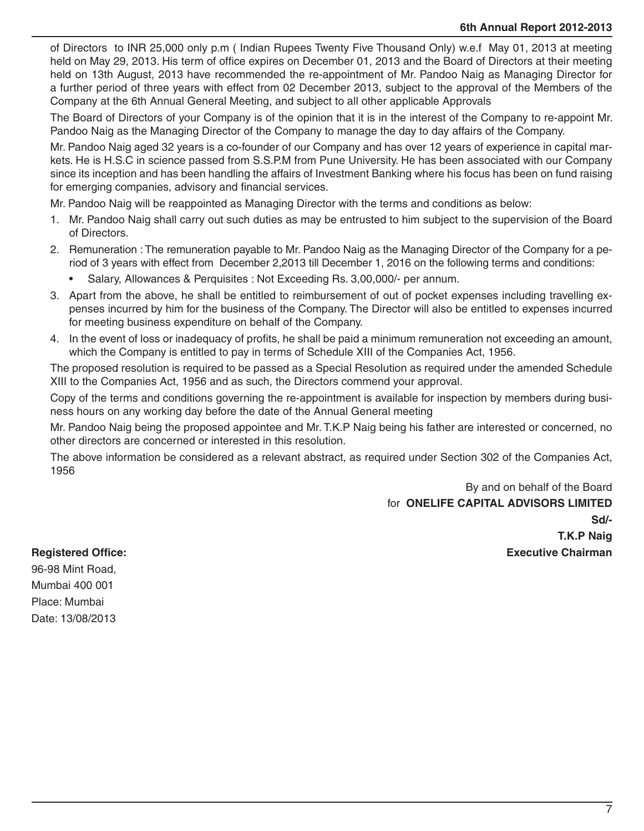of Directors to INR 25,000 only p.m ( Indian Rupees Twenty Five Thousand Only) w.e.f May 01, 2013 at meeting held on May 29, 2013. His term of office expires on December 01, 2013 and the Board of Directors at their meeting held on 13th August, 2013 have recommended the re-appointment of Mr. Pandoo Naig as Managing Director for a further period of three years with effect from 02 December 2013, subject to the approval of the Members of the Company at the 6th Annual General Meeting, and subject to all other applicable Approvals

The Board of Directors of your Company is of the opinion that it is in the interest of the Company to re-appoint Mr. Pandoo Naig as the Managing Director of the Company to manage the day to day affairs of the Company.

Mr. Pandoo Naig aged 32 years is a co-founder of our Company and has over 12 years of experience in capital markets. He is H.S.C in science passed from S.S.P.M from Pune University. He has been associated with our Company since its inception and has been handling the affairs of Investment Banking where his focus has been on fund raising for emerging companies, advisory and financial services.

Mr. Pandoo Naig will be reappointed as Managing Director with the terms and conditions as below:

- 1. Mr. Pandoo Naig shall carry out such duties as may be entrusted to him subject to the supervision of the Board of Directors.
- 2. Remuneration : The remuneration payable to Mr. Pandoo Naig as the Managing Director of the Company for a period of 3 years with effect from December 2,2013 till December 1, 2016 on the following terms and conditions:
	- Salary, Allowances & Perquisites : Not Exceeding Rs. 3,00,000/- per annum.
- 3. Apart from the above, he shall be entitled to reimbursement of out of pocket expenses including travelling expenses incurred by him for the business of the Company. The Director will also be entitled to expenses incurred for meeting business expenditure on behalf of the Company.
- 4. In the event of loss or inadequacy of profits, he shall be paid a minimum remuneration not exceeding an amount, which the Company is entitled to pay in terms of Schedule XIII of the Companies Act, 1956.

The proposed resolution is required to be passed as a Special Resolution as required under the amended Schedule XIII to the Companies Act, 1956 and as such, the Directors commend your approval.

Copy of the terms and conditions governing the re-appointment is available for inspection by members during business hours on any working day before the date of the Annual General meeting

Mr. Pandoo Naig being the proposed appointee and Mr. T.K.P Naig being his father are interested or concerned, no other directors are concerned or interested in this resolution.

The above information be considered as a relevant abstract, as required under Section 302 of the Companies Act, 1956

By and on behalf of the Board for **ONELIFE CAPITAL ADVISORS LIMITED Sd/- T.K.P Naig Registered Office: Executive Chairman**

96-98 Mint Road, Mumbai 400 001 Place: Mumbai Date: 13/08/2013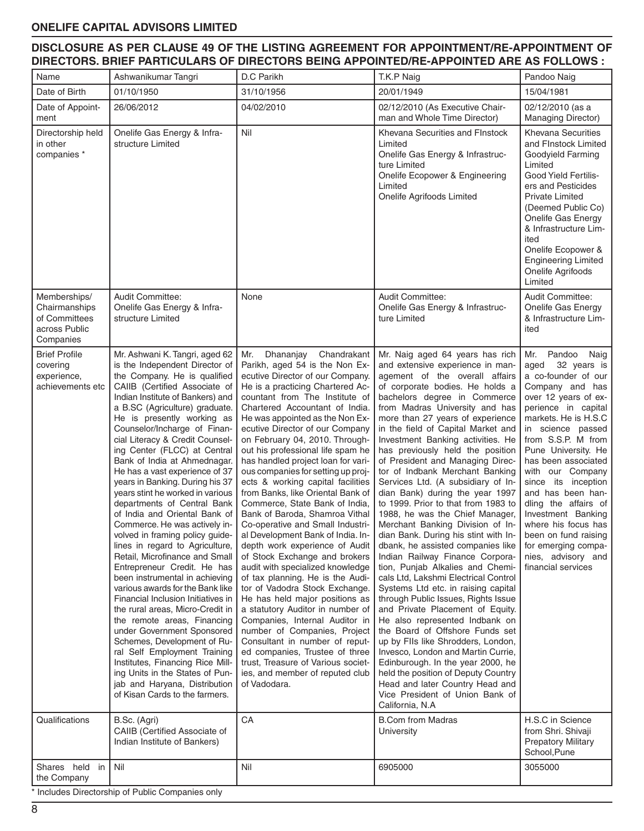#### **ONELIFE CAPITAL ADVISORS LIMITED**

#### **DISCLOSURE AS PER CLAUSE 49 OF THE LISTING AGREEMENT FOR APPOINTMENT/RE-APPOINTMENT OF DIRECTORS. BRIEF PARTICULARS OF DIRECTORS BEING APPOINTED/RE-APPOINTED ARE AS FOLLOWS :**

| Name                                                                                  | Ashwanikumar Tangri                                                                                                                                                                                                                                                                                                                                                                                                                                                                                                                                                                                                                                                                                                                                                                                                                                                                                                                                                                                                                                                                                                                                             | D.C Parikh                                                                                                                                                                                                                                                                                                                                                                                                                                                                                                                                                                                                                                                                                                                                                                                                                                                                                                                                                                                                                                                                                                                                            | T.K.P Naig                                                                                                                                                                                                                                                                                                                                                                                                                                                                                                                                                                                                                                                                                                                                                                                                                                                                                                                                                                                                                                                                                                                                                                                                                                                                                  | Pandoo Naig                                                                                                                                                                                                                                                                                                                                                                                                                                                                                                |
|---------------------------------------------------------------------------------------|-----------------------------------------------------------------------------------------------------------------------------------------------------------------------------------------------------------------------------------------------------------------------------------------------------------------------------------------------------------------------------------------------------------------------------------------------------------------------------------------------------------------------------------------------------------------------------------------------------------------------------------------------------------------------------------------------------------------------------------------------------------------------------------------------------------------------------------------------------------------------------------------------------------------------------------------------------------------------------------------------------------------------------------------------------------------------------------------------------------------------------------------------------------------|-------------------------------------------------------------------------------------------------------------------------------------------------------------------------------------------------------------------------------------------------------------------------------------------------------------------------------------------------------------------------------------------------------------------------------------------------------------------------------------------------------------------------------------------------------------------------------------------------------------------------------------------------------------------------------------------------------------------------------------------------------------------------------------------------------------------------------------------------------------------------------------------------------------------------------------------------------------------------------------------------------------------------------------------------------------------------------------------------------------------------------------------------------|---------------------------------------------------------------------------------------------------------------------------------------------------------------------------------------------------------------------------------------------------------------------------------------------------------------------------------------------------------------------------------------------------------------------------------------------------------------------------------------------------------------------------------------------------------------------------------------------------------------------------------------------------------------------------------------------------------------------------------------------------------------------------------------------------------------------------------------------------------------------------------------------------------------------------------------------------------------------------------------------------------------------------------------------------------------------------------------------------------------------------------------------------------------------------------------------------------------------------------------------------------------------------------------------|------------------------------------------------------------------------------------------------------------------------------------------------------------------------------------------------------------------------------------------------------------------------------------------------------------------------------------------------------------------------------------------------------------------------------------------------------------------------------------------------------------|
| Date of Birth                                                                         | 01/10/1950                                                                                                                                                                                                                                                                                                                                                                                                                                                                                                                                                                                                                                                                                                                                                                                                                                                                                                                                                                                                                                                                                                                                                      | 31/10/1956                                                                                                                                                                                                                                                                                                                                                                                                                                                                                                                                                                                                                                                                                                                                                                                                                                                                                                                                                                                                                                                                                                                                            | 20/01/1949                                                                                                                                                                                                                                                                                                                                                                                                                                                                                                                                                                                                                                                                                                                                                                                                                                                                                                                                                                                                                                                                                                                                                                                                                                                                                  | 15/04/1981                                                                                                                                                                                                                                                                                                                                                                                                                                                                                                 |
| Date of Appoint-<br>ment                                                              | 26/06/2012                                                                                                                                                                                                                                                                                                                                                                                                                                                                                                                                                                                                                                                                                                                                                                                                                                                                                                                                                                                                                                                                                                                                                      | 04/02/2010                                                                                                                                                                                                                                                                                                                                                                                                                                                                                                                                                                                                                                                                                                                                                                                                                                                                                                                                                                                                                                                                                                                                            | 02/12/2010 (As Executive Chair-<br>man and Whole Time Director)                                                                                                                                                                                                                                                                                                                                                                                                                                                                                                                                                                                                                                                                                                                                                                                                                                                                                                                                                                                                                                                                                                                                                                                                                             | 02/12/2010 (as a<br>Managing Director)                                                                                                                                                                                                                                                                                                                                                                                                                                                                     |
| Directorship held<br>in other<br>companies *                                          | Onelife Gas Energy & Infra-<br>structure Limited                                                                                                                                                                                                                                                                                                                                                                                                                                                                                                                                                                                                                                                                                                                                                                                                                                                                                                                                                                                                                                                                                                                | Nil                                                                                                                                                                                                                                                                                                                                                                                                                                                                                                                                                                                                                                                                                                                                                                                                                                                                                                                                                                                                                                                                                                                                                   | Khevana Securities and FInstock<br>Limited<br>Onelife Gas Energy & Infrastruc-<br>ture Limited<br>Onelife Ecopower & Engineering<br>Limited<br>Onelife Agrifoods Limited                                                                                                                                                                                                                                                                                                                                                                                                                                                                                                                                                                                                                                                                                                                                                                                                                                                                                                                                                                                                                                                                                                                    | <b>Khevana Securities</b><br>and FInstock Limited<br>Goodyield Farming<br>Limited<br>Good Yield Fertilis-<br>ers and Pesticides<br><b>Private Limited</b><br>(Deemed Public Co)<br>Onelife Gas Energy<br>& Infrastructure Lim-<br>ited<br>Onelife Ecopower &<br><b>Engineering Limited</b><br>Onelife Agrifoods<br>Limited                                                                                                                                                                                 |
| Memberships/<br>Chairmanships<br>of Committees<br>across Public<br>Companies          | Audit Committee:<br>Onelife Gas Energy & Infra-<br>structure Limited                                                                                                                                                                                                                                                                                                                                                                                                                                                                                                                                                                                                                                                                                                                                                                                                                                                                                                                                                                                                                                                                                            | None                                                                                                                                                                                                                                                                                                                                                                                                                                                                                                                                                                                                                                                                                                                                                                                                                                                                                                                                                                                                                                                                                                                                                  | Audit Committee:<br>Onelife Gas Energy & Infrastruc-<br>ture Limited                                                                                                                                                                                                                                                                                                                                                                                                                                                                                                                                                                                                                                                                                                                                                                                                                                                                                                                                                                                                                                                                                                                                                                                                                        | Audit Committee:<br>Onelife Gas Energy<br>& Infrastructure Lim-<br>ited                                                                                                                                                                                                                                                                                                                                                                                                                                    |
| <b>Brief Profile</b><br>covering<br>experience,<br>achievements etc<br>Qualifications | Mr. Ashwani K. Tangri, aged 62<br>is the Independent Director of<br>the Company. He is qualified<br>CAIIB (Certified Associate of<br>Indian Institute of Bankers) and<br>a B.SC (Agriculture) graduate.<br>He is presently working as<br>Counselor/Incharge of Finan-<br>cial Literacy & Credit Counsel-<br>ing Center (FLCC) at Central<br>Bank of India at Ahmednagar.<br>He has a vast experience of 37<br>years in Banking. During his 37<br>years stint he worked in various<br>departments of Central Bank<br>of India and Oriental Bank of<br>Commerce. He was actively in-<br>volved in framing policy guide-<br>lines in regard to Agriculture,<br>Retail, Microfinance and Small<br>Entrepreneur Credit. He has<br>been instrumental in achieving<br>various awards for the Bank like<br>Financial Inclusion Initiatives in<br>the rural areas, Micro-Credit in<br>the remote areas, Financing<br>under Government Sponsored<br>Schemes, Development of Ru-<br>ral Self Employment Training<br>Institutes, Financing Rice Mill-<br>ing Units in the States of Pun-<br>jab and Haryana, Distribution<br>of Kisan Cards to the farmers.<br>B.Sc. (Agri) | Chandrakant<br>Mr.<br>Dhananjay<br>Parikh, aged 54 is the Non Ex-<br>ecutive Director of our Company.<br>He is a practicing Chartered Ac-<br>countant from The Institute of<br>Chartered Accountant of India.<br>He was appointed as the Non Ex-<br>ecutive Director of our Company<br>on February 04, 2010. Through-<br>out his professional life spam he<br>has handled project loan for vari-<br>ous companies for setting up proj-<br>ects & working capital facilities<br>from Banks, like Oriental Bank of<br>Commerce, State Bank of India,<br>Bank of Baroda, Shamroa Vithal<br>Co-operative and Small Industri-<br>al Development Bank of India. In-<br>depth work experience of Audit<br>of Stock Exchange and brokers<br>audit with specialized knowledge<br>of tax planning. He is the Audi-<br>tor of Vadodra Stock Exchange.<br>He has held major positions as<br>a statutory Auditor in number of<br>Companies, Internal Auditor in<br>number of Companies, Project<br>Consultant in number of reput-<br>ed companies, Trustee of three<br>trust, Treasure of Various societ-<br>ies, and member of reputed club<br>of Vadodara.<br>СA | Mr. Naig aged 64 years has rich<br>and extensive experience in man-<br>agement of the overall affairs<br>of corporate bodies. He holds a<br>bachelors degree in Commerce<br>from Madras University and has<br>more than 27 years of experience<br>in the field of Capital Market and<br>Investment Banking activities. He<br>has previously held the position<br>of President and Managing Direc-<br>tor of Indbank Merchant Banking<br>Services Ltd. (A subsidiary of In-<br>dian Bank) during the year 1997<br>to 1999. Prior to that from 1983 to<br>1988, he was the Chief Manager,<br>Merchant Banking Division of In-<br>dian Bank. During his stint with In-<br>dbank, he assisted companies like<br>Indian Railway Finance Corpora-<br>tion, Punjab Alkalies and Chemi-<br>cals Ltd, Lakshmi Electrical Control<br>Systems Ltd etc. in raising capital<br>through Public Issues, Rights Issue<br>and Private Placement of Equity.<br>He also represented Indbank on<br>the Board of Offshore Funds set<br>up by FIIs like Shrodders, London,<br>Invesco, London and Martin Currie,<br>Edinburough. In the year 2000, he<br>held the position of Deputy Country<br>Head and later Country Head and<br>Vice President of Union Bank of<br>California, N.A<br><b>B.Com from Madras</b> | Pandoo<br>Mr.<br>Naig<br>aged<br>32 years is<br>a co-founder of our<br>Company and has<br>over 12 years of ex-<br>perience in capital<br>markets. He is H.S.C<br>in science passed<br>from S.S.P. M from<br>Pune University. He<br>has been associated<br>with our Company<br>since its inception<br>and has been han-<br>dling the affairs of<br>Investment Banking<br>where his focus has<br>been on fund raising<br>for emerging compa-<br>nies, advisory and<br>financial services<br>H.S.C in Science |
|                                                                                       | CAIIB (Certified Associate of<br>Indian Institute of Bankers)                                                                                                                                                                                                                                                                                                                                                                                                                                                                                                                                                                                                                                                                                                                                                                                                                                                                                                                                                                                                                                                                                                   |                                                                                                                                                                                                                                                                                                                                                                                                                                                                                                                                                                                                                                                                                                                                                                                                                                                                                                                                                                                                                                                                                                                                                       | University                                                                                                                                                                                                                                                                                                                                                                                                                                                                                                                                                                                                                                                                                                                                                                                                                                                                                                                                                                                                                                                                                                                                                                                                                                                                                  | from Shri. Shivaji<br><b>Prepatory Military</b><br>School, Pune                                                                                                                                                                                                                                                                                                                                                                                                                                            |
| Shares held in<br>the Company                                                         | Nil                                                                                                                                                                                                                                                                                                                                                                                                                                                                                                                                                                                                                                                                                                                                                                                                                                                                                                                                                                                                                                                                                                                                                             | Nil                                                                                                                                                                                                                                                                                                                                                                                                                                                                                                                                                                                                                                                                                                                                                                                                                                                                                                                                                                                                                                                                                                                                                   | 6905000                                                                                                                                                                                                                                                                                                                                                                                                                                                                                                                                                                                                                                                                                                                                                                                                                                                                                                                                                                                                                                                                                                                                                                                                                                                                                     | 3055000                                                                                                                                                                                                                                                                                                                                                                                                                                                                                                    |

Includes Directorship of Public Companies only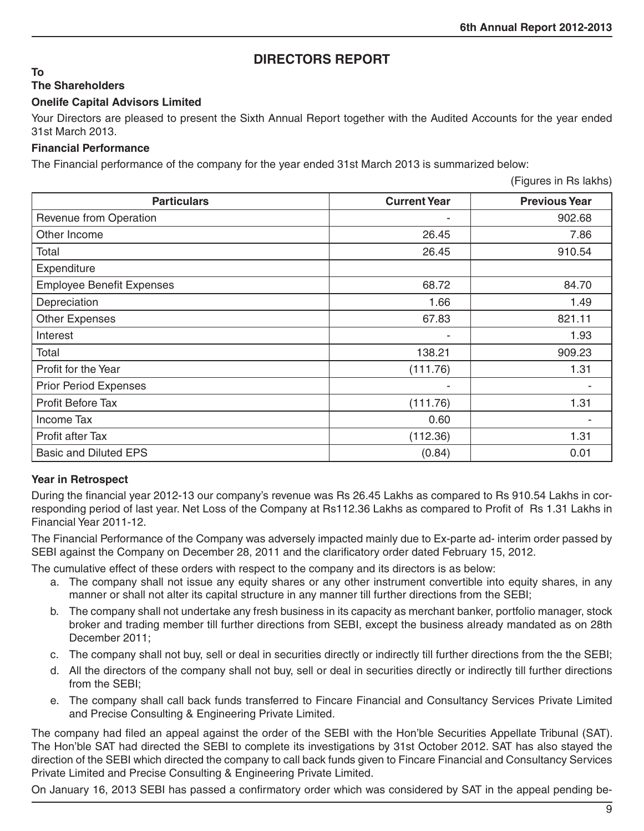### **DIRECTORS REPORT**

#### **To The Shareholders**

#### **Onelife Capital Advisors Limited**

Your Directors are pleased to present the Sixth Annual Report together with the Audited Accounts for the year ended 31st March 2013.

#### **Financial Performance**

The Financial performance of the company for the year ended 31st March 2013 is summarized below:

(Figures in Rs lakhs)

| <b>Particulars</b>               | <b>Current Year</b> | <b>Previous Year</b> |
|----------------------------------|---------------------|----------------------|
| Revenue from Operation           | ۰                   | 902.68               |
| Other Income                     | 26.45               | 7.86                 |
| Total                            | 26.45               | 910.54               |
| Expenditure                      |                     |                      |
| <b>Employee Benefit Expenses</b> | 68.72               | 84.70                |
| Depreciation                     | 1.66                | 1.49                 |
| <b>Other Expenses</b>            | 67.83               | 821.11               |
| Interest                         | ۰                   | 1.93                 |
| Total                            | 138.21              | 909.23               |
| Profit for the Year              | (111.76)            | 1.31                 |
| <b>Prior Period Expenses</b>     | ۰                   |                      |
| Profit Before Tax                | (111.76)            | 1.31                 |
| Income Tax                       | 0.60                |                      |
| Profit after Tax                 | (112.36)            | 1.31                 |
| <b>Basic and Diluted EPS</b>     | (0.84)              | 0.01                 |

#### **Year in Retrospect**

During the financial year 2012-13 our company's revenue was Rs 26.45 Lakhs as compared to Rs 910.54 Lakhs in corresponding period of last year. Net Loss of the Company at Rs112.36 Lakhs as compared to Profit of Rs 1.31 Lakhs in Financial Year 2011-12.

The Financial Performance of the Company was adversely impacted mainly due to Ex-parte ad- interim order passed by SEBI against the Company on December 28, 2011 and the clarificatory order dated February 15, 2012.

The cumulative effect of these orders with respect to the company and its directors is as below:

- a. The company shall not issue any equity shares or any other instrument convertible into equity shares, in any manner or shall not alter its capital structure in any manner till further directions from the SEBI;
- b. The company shall not undertake any fresh business in its capacity as merchant banker, portfolio manager, stock broker and trading member till further directions from SEBI, except the business already mandated as on 28th December 2011;
- c. The company shall not buy, sell or deal in securities directly or indirectly till further directions from the the SEBI;
- d. All the directors of the company shall not buy, sell or deal in securities directly or indirectly till further directions from the SEBI;
- e. The company shall call back funds transferred to Fincare Financial and Consultancy Services Private Limited and Precise Consulting & Engineering Private Limited.

The company had filed an appeal against the order of the SEBI with the Hon'ble Securities Appellate Tribunal (SAT). The Hon'ble SAT had directed the SEBI to complete its investigations by 31st October 2012. SAT has also stayed the direction of the SEBI which directed the company to call back funds given to Fincare Financial and Consultancy Services Private Limited and Precise Consulting & Engineering Private Limited.

On January 16, 2013 SEBI has passed a confirmatory order which was considered by SAT in the appeal pending be-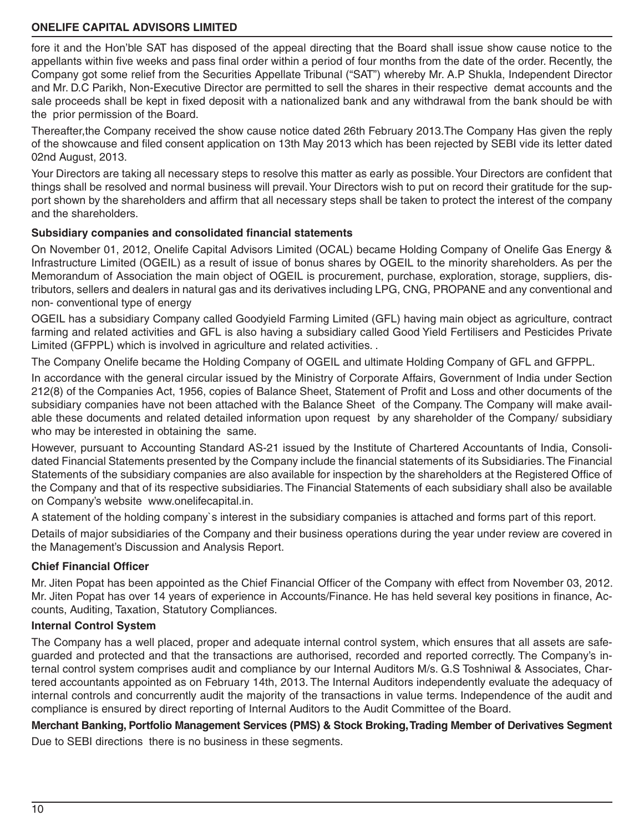#### **ONELIFE CAPITAL ADVISORS LIMITED**

fore it and the Hon'ble SAT has disposed of the appeal directing that the Board shall issue show cause notice to the appellants within five weeks and pass final order within a period of four months from the date of the order. Recently, the Company got some relief from the Securities Appellate Tribunal ("SAT") whereby Mr. A.P Shukla, Independent Director and Mr. D.C Parikh, Non-Executive Director are permitted to sell the shares in their respective demat accounts and the sale proceeds shall be kept in fixed deposit with a nationalized bank and any withdrawal from the bank should be with the prior permission of the Board.

Thereafter,the Company received the show cause notice dated 26th February 2013.The Company Has given the reply of the showcause and filed consent application on 13th May 2013 which has been rejected by SEBI vide its letter dated 02nd August, 2013.

Your Directors are taking all necessary steps to resolve this matter as early as possible. Your Directors are confident that things shall be resolved and normal business will prevail. Your Directors wish to put on record their gratitude for the support shown by the shareholders and affirm that all necessary steps shall be taken to protect the interest of the company and the shareholders.

#### **Subsidiary companies and consolidated financial statements**

On November 01, 2012, Onelife Capital Advisors Limited (OCAL) became Holding Company of Onelife Gas Energy & Infrastructure Limited (OGEIL) as a result of issue of bonus shares by OGEIL to the minority shareholders. As per the Memorandum of Association the main object of OGEIL is procurement, purchase, exploration, storage, suppliers, distributors, sellers and dealers in natural gas and its derivatives including LPG, CNG, PROPANE and any conventional and non- conventional type of energy

OGEIL has a subsidiary Company called Goodyield Farming Limited (GFL) having main object as agriculture, contract farming and related activities and GFL is also having a subsidiary called Good Yield Fertilisers and Pesticides Private Limited (GFPPL) which is involved in agriculture and related activities. .

The Company Onelife became the Holding Company of OGEIL and ultimate Holding Company of GFL and GFPPL.

In accordance with the general circular issued by the Ministry of Corporate Affairs, Government of India under Section 212(8) of the Companies Act, 1956, copies of Balance Sheet, Statement of Profit and Loss and other documents of the subsidiary companies have not been attached with the Balance Sheet of the Company. The Company will make available these documents and related detailed information upon request by any shareholder of the Company/ subsidiary who may be interested in obtaining the same.

However, pursuant to Accounting Standard AS-21 issued by the Institute of Chartered Accountants of India, Consolidated Financial Statements presented by the Company include the financial statements of its Subsidiaries. The Financial Statements of the subsidiary companies are also available for inspection by the shareholders at the Registered Office of the Company and that of its respective subsidiaries. The Financial Statements of each subsidiary shall also be available on Company's website www.onelifecapital.in.

A statement of the holding company`s interest in the subsidiary companies is attached and forms part of this report.

Details of major subsidiaries of the Company and their business operations during the year under review are covered in the Management's Discussion and Analysis Report.

#### **Chief Financial Officer**

Mr. Jiten Popat has been appointed as the Chief Financial Officer of the Company with effect from November 03, 2012. Mr. Jiten Popat has over 14 years of experience in Accounts/Finance. He has held several key positions in finance, Accounts, Auditing, Taxation, Statutory Compliances.

#### **Internal Control System**

The Company has a well placed, proper and adequate internal control system, which ensures that all assets are safeguarded and protected and that the transactions are authorised, recorded and reported correctly. The Company's internal control system comprises audit and compliance by our Internal Auditors M/s. G.S Toshniwal & Associates, Chartered accountants appointed as on February 14th, 2013. The Internal Auditors independently evaluate the adequacy of internal controls and concurrently audit the majority of the transactions in value terms. Independence of the audit and compliance is ensured by direct reporting of Internal Auditors to the Audit Committee of the Board.

**Merchant Banking, Portfolio Management Services (PMS) & Stock Broking, Trading Member of Derivatives Segment**

Due to SEBI directions there is no business in these segments.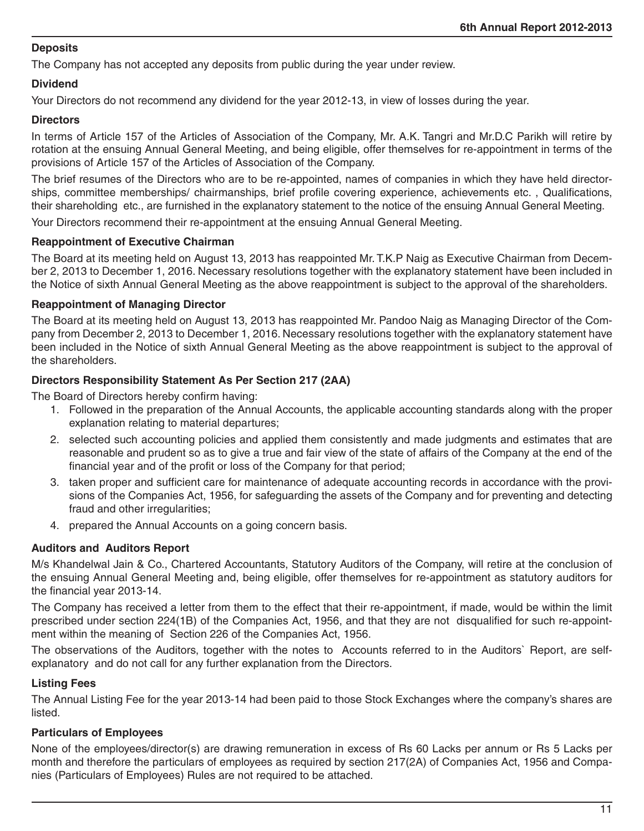#### **Deposits**

The Company has not accepted any deposits from public during the year under review.

#### **Dividend**

Your Directors do not recommend any dividend for the year 2012-13, in view of losses during the year.

#### **Directors**

In terms of Article 157 of the Articles of Association of the Company, Mr. A.K. Tangri and Mr.D.C Parikh will retire by rotation at the ensuing Annual General Meeting, and being eligible, offer themselves for re-appointment in terms of the provisions of Article 157 of the Articles of Association of the Company.

The brief resumes of the Directors who are to be re-appointed, names of companies in which they have held directorships, committee memberships/ chairmanships, brief profile covering experience, achievements etc. , Qualifications, their shareholding etc., are furnished in the explanatory statement to the notice of the ensuing Annual General Meeting.

Your Directors recommend their re-appointment at the ensuing Annual General Meeting.

#### **Reappointment of Executive Chairman**

The Board at its meeting held on August 13, 2013 has reappointed Mr. T.K.P Naig as Executive Chairman from December 2, 2013 to December 1, 2016. Necessary resolutions together with the explanatory statement have been included in the Notice of sixth Annual General Meeting as the above reappointment is subject to the approval of the shareholders.

#### **Reappointment of Managing Director**

The Board at its meeting held on August 13, 2013 has reappointed Mr. Pandoo Naig as Managing Director of the Company from December 2, 2013 to December 1, 2016. Necessary resolutions together with the explanatory statement have been included in the Notice of sixth Annual General Meeting as the above reappointment is subject to the approval of the shareholders.

#### **Directors Responsibility Statement As Per Section 217 (2AA)**

The Board of Directors hereby confirm having:

- 1. Followed in the preparation of the Annual Accounts, the applicable accounting standards along with the proper explanation relating to material departures;
- 2. selected such accounting policies and applied them consistently and made judgments and estimates that are reasonable and prudent so as to give a true and fair view of the state of affairs of the Company at the end of the financial year and of the profit or loss of the Company for that period;
- 3. taken proper and sufficient care for maintenance of adequate accounting records in accordance with the provisions of the Companies Act, 1956, for safeguarding the assets of the Company and for preventing and detecting fraud and other irregularities;
- 4. prepared the Annual Accounts on a going concern basis.

#### **Auditors and Auditors Report**

M/s Khandelwal Jain & Co., Chartered Accountants, Statutory Auditors of the Company, will retire at the conclusion of the ensuing Annual General Meeting and, being eligible, offer themselves for re-appointment as statutory auditors for the financial year 2013-14.

The Company has received a letter from them to the effect that their re-appointment, if made, would be within the limit prescribed under section 224(1B) of the Companies Act, 1956, and that they are not disqualified for such re-appointment within the meaning of Section 226 of the Companies Act, 1956.

The observations of the Auditors, together with the notes to Accounts referred to in the Auditors` Report, are selfexplanatory and do not call for any further explanation from the Directors.

#### **Listing Fees**

The Annual Listing Fee for the year 2013-14 had been paid to those Stock Exchanges where the company's shares are listed.

#### **Particulars of Employees**

None of the employees/director(s) are drawing remuneration in excess of Rs 60 Lacks per annum or Rs 5 Lacks per month and therefore the particulars of employees as required by section 217(2A) of Companies Act, 1956 and Companies (Particulars of Employees) Rules are not required to be attached.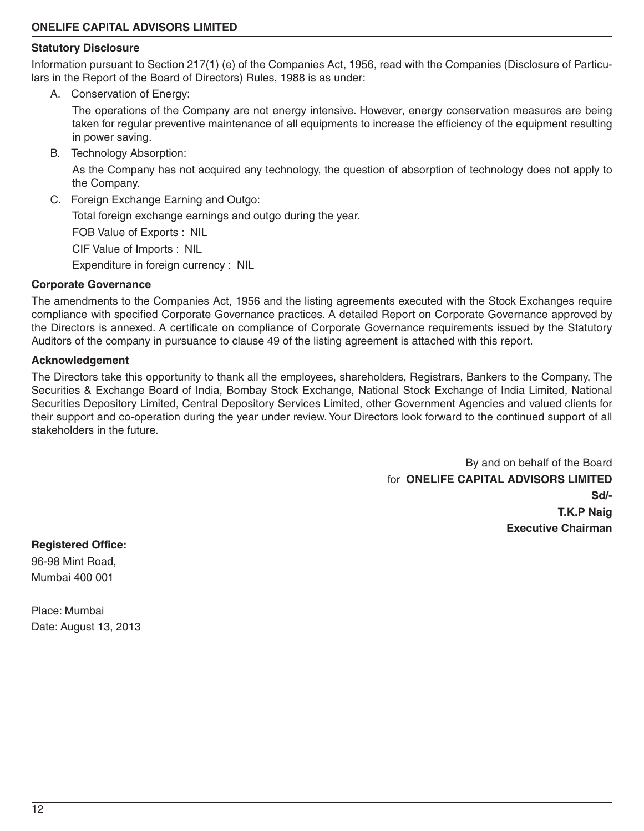#### **Statutory Disclosure**

Information pursuant to Section 217(1) (e) of the Companies Act, 1956, read with the Companies (Disclosure of Particulars in the Report of the Board of Directors) Rules, 1988 is as under:

A. Conservation of Energy:

The operations of the Company are not energy intensive. However, energy conservation measures are being taken for regular preventive maintenance of all equipments to increase the efficiency of the equipment resulting in power saving.

B. Technology Absorption:

As the Company has not acquired any technology, the question of absorption of technology does not apply to the Company.

C. Foreign Exchange Earning and Outgo:

Total foreign exchange earnings and outgo during the year.

FOB Value of Exports : NIL

CIF Value of Imports : NIL

Expenditure in foreign currency : NIL

#### **Corporate Governance**

The amendments to the Companies Act, 1956 and the listing agreements executed with the Stock Exchanges require compliance with specified Corporate Governance practices. A detailed Report on Corporate Governance approved by the Directors is annexed. A certificate on compliance of Corporate Governance requirements issued by the Statutory Auditors of the company in pursuance to clause 49 of the listing agreement is attached with this report.

#### **Acknowledgement**

The Directors take this opportunity to thank all the employees, shareholders, Registrars, Bankers to the Company, The Securities & Exchange Board of India, Bombay Stock Exchange, National Stock Exchange of India Limited, National Securities Depository Limited, Central Depository Services Limited, other Government Agencies and valued clients for their support and co-operation during the year under review. Your Directors look forward to the continued support of all stakeholders in the future.

By and on behalf of the Board for **ONELIFE CAPITAL ADVISORS LIMITED Sd/- T.K.P Naig Executive Chairman** 

**Registered Office:** 96-98 Mint Road,

Mumbai 400 001

Place: Mumbai Date: August 13, 2013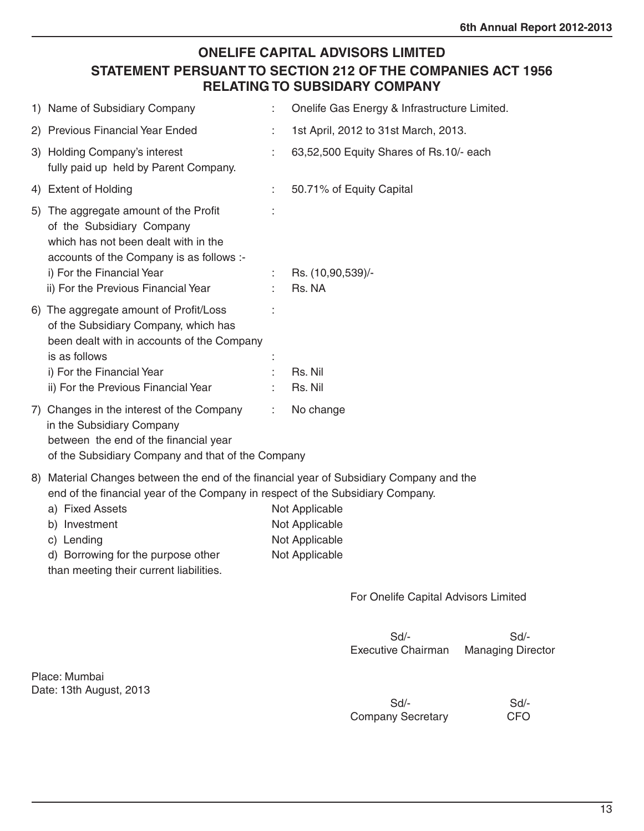### **ONELIFE CAPITAL ADVISORS LIMITED STATEMENT PERSUANT TO SECTION 212 OF THE COMPANIES ACT 1956 RELATING TO SUBSIDARY COMPANY**

| 1) Name of Subsidiary Company                                                                                                                                                                                                                                                                                | ÷ | Onelife Gas Energy & Infrastructure Limited.                         |
|--------------------------------------------------------------------------------------------------------------------------------------------------------------------------------------------------------------------------------------------------------------------------------------------------------------|---|----------------------------------------------------------------------|
| 2) Previous Financial Year Ended                                                                                                                                                                                                                                                                             |   | 1st April, 2012 to 31st March, 2013.                                 |
| 3) Holding Company's interest<br>fully paid up held by Parent Company.                                                                                                                                                                                                                                       |   | 63,52,500 Equity Shares of Rs.10/- each                              |
| 4) Extent of Holding                                                                                                                                                                                                                                                                                         | ÷ | 50.71% of Equity Capital                                             |
| 5) The aggregate amount of the Profit<br>of the Subsidiary Company<br>which has not been dealt with in the<br>accounts of the Company is as follows :-<br>i) For the Financial Year<br>ii) For the Previous Financial Year                                                                                   |   | Rs. (10,90,539)/-<br>Rs. NA                                          |
| 6) The aggregate amount of Profit/Loss<br>of the Subsidiary Company, which has<br>been dealt with in accounts of the Company<br>is as follows<br>i) For the Financial Year<br>ii) For the Previous Financial Year                                                                                            |   | Rs. Nil<br>Rs. Nil                                                   |
| 7) Changes in the interest of the Company<br>in the Subsidiary Company<br>between the end of the financial year<br>of the Subsidiary Company and that of the Company                                                                                                                                         | ÷ | No change                                                            |
| 8) Material Changes between the end of the financial year of Subsidiary Company and the<br>end of the financial year of the Company in respect of the Subsidiary Company.<br>a) Fixed Assets<br>b) Investment<br>c) Lending<br>d) Borrowing for the purpose other<br>than meeting their current liabilities. |   | Not Applicable<br>Not Applicable<br>Not Applicable<br>Not Applicable |
|                                                                                                                                                                                                                                                                                                              |   | For Onelife Capital Advisors Limited                                 |
|                                                                                                                                                                                                                                                                                                              |   | Sd/-<br>Sd<br>Executive Chairman<br><b>Managing Director</b>         |
| Place: Mumbai<br>Date: 13th August, 2013                                                                                                                                                                                                                                                                     |   | Sd/-<br>Sd/-                                                         |
|                                                                                                                                                                                                                                                                                                              |   |                                                                      |

Company Secretary CFO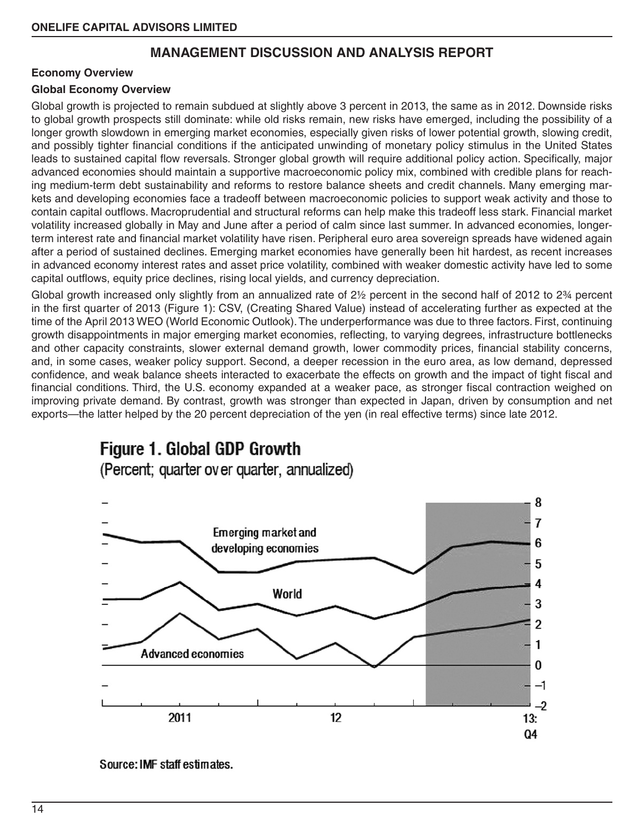### **MANAGEMENT DISCUSSION AND ANALYSIS REPORT**

#### **Economy Overview**

#### **Global Economy Overview**

Global growth is projected to remain subdued at slightly above 3 percent in 2013, the same as in 2012. Downside risks to global growth prospects still dominate: while old risks remain, new risks have emerged, including the possibility of a longer growth slowdown in emerging market economies, especially given risks of lower potential growth, slowing credit, and possibly tighter financial conditions if the anticipated unwinding of monetary policy stimulus in the United States leads to sustained capital flow reversals. Stronger global growth will require additional policy action. Specifically, major advanced economies should maintain a supportive macroeconomic policy mix, combined with credible plans for reaching medium-term debt sustainability and reforms to restore balance sheets and credit channels. Many emerging markets and developing economies face a tradeoff between macroeconomic policies to support weak activity and those to contain capital outflows. Macroprudential and structural reforms can help make this tradeoff less stark. Financial market volatility increased globally in May and June after a period of calm since last summer. In advanced economies, longerterm interest rate and financial market volatility have risen. Peripheral euro area sovereign spreads have widened again after a period of sustained declines. Emerging market economies have generally been hit hardest, as recent increases in advanced economy interest rates and asset price volatility, combined with weaker domestic activity have led to some capital outflows, equity price declines, rising local yields, and currency depreciation.

Global growth increased only slightly from an annualized rate of 2½ percent in the second half of 2012 to 2¾ percent in the first quarter of 2013 (Figure 1): CSV, (Creating Shared Value) instead of accelerating further as expected at the time of the April 2013 WEO (World Economic Outlook). The underperformance was due to three factors. First, continuing growth disappointments in major emerging market economies, reflecting, to varying degrees, infrastructure bottlenecks and other capacity constraints, slower external demand growth, lower commodity prices, financial stability concerns, and, in some cases, weaker policy support. Second, a deeper recession in the euro area, as low demand, depressed confidence, and weak balance sheets interacted to exacerbate the effects on growth and the impact of tight fiscal and financial conditions. Third, the U.S. economy expanded at a weaker pace, as stronger fiscal contraction weighed on improving private demand. By contrast, growth was stronger than expected in Japan, driven by consumption and net exports—the latter helped by the 20 percent depreciation of the yen (in real effective terms) since late 2012.



Source: IMF staff estimates.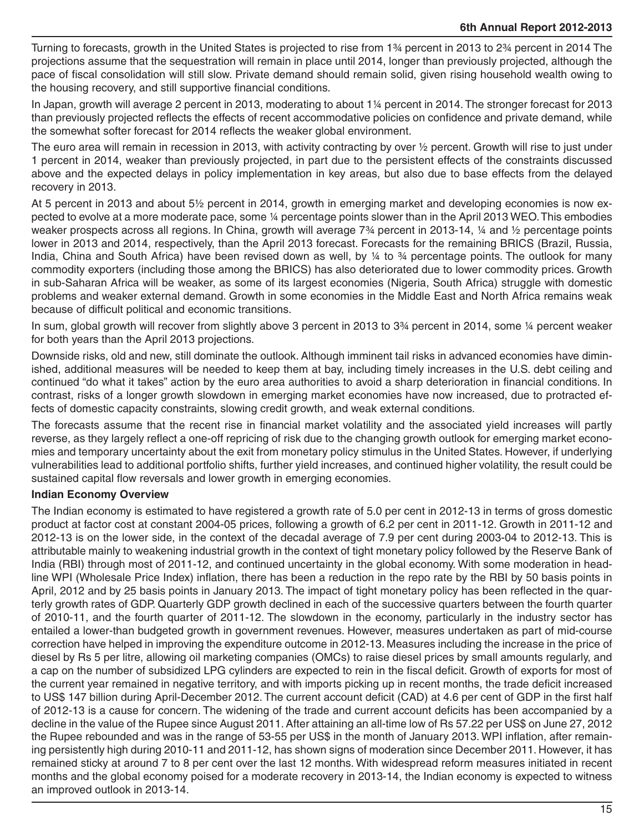Turning to forecasts, growth in the United States is projected to rise from 1¾ percent in 2013 to 2¾ percent in 2014 The projections assume that the sequestration will remain in place until 2014, longer than previously projected, although the pace of fiscal consolidation will still slow. Private demand should remain solid, given rising household wealth owing to the housing recovery, and still supportive financial conditions.

In Japan, growth will average 2 percent in 2013, moderating to about 1¼ percent in 2014. The stronger forecast for 2013 than previously projected reflects the effects of recent accommodative policies on confidence and private demand, while the somewhat softer forecast for 2014 reflects the weaker global environment.

The euro area will remain in recession in 2013, with activity contracting by over ½ percent. Growth will rise to just under 1 percent in 2014, weaker than previously projected, in part due to the persistent effects of the constraints discussed above and the expected delays in policy implementation in key areas, but also due to base effects from the delayed recovery in 2013.

At 5 percent in 2013 and about 5½ percent in 2014, growth in emerging market and developing economies is now expected to evolve at a more moderate pace, some ¼ percentage points slower than in the April 2013 WEO. This embodies weaker prospects across all regions. In China, growth will average 7¾ percent in 2013-14, ¼ and ½ percentage points lower in 2013 and 2014, respectively, than the April 2013 forecast. Forecasts for the remaining BRICS (Brazil, Russia, India, China and South Africa) have been revised down as well, by ¼ to ¾ percentage points. The outlook for many commodity exporters (including those among the BRICS) has also deteriorated due to lower commodity prices. Growth in sub-Saharan Africa will be weaker, as some of its largest economies (Nigeria, South Africa) struggle with domestic problems and weaker external demand. Growth in some economies in the Middle East and North Africa remains weak because of difficult political and economic transitions.

In sum, global growth will recover from slightly above 3 percent in 2013 to 3<sup>34</sup> percent in 2014, some 1/4 percent weaker for both years than the April 2013 projections.

Downside risks, old and new, still dominate the outlook. Although imminent tail risks in advanced economies have diminished, additional measures will be needed to keep them at bay, including timely increases in the U.S. debt ceiling and continued "do what it takes" action by the euro area authorities to avoid a sharp deterioration in financial conditions. In contrast, risks of a longer growth slowdown in emerging market economies have now increased, due to protracted effects of domestic capacity constraints, slowing credit growth, and weak external conditions.

The forecasts assume that the recent rise in financial market volatility and the associated yield increases will partly reverse, as they largely reflect a one-off repricing of risk due to the changing growth outlook for emerging market economies and temporary uncertainty about the exit from monetary policy stimulus in the United States. However, if underlying vulnerabilities lead to additional portfolio shifts, further yield increases, and continued higher volatility, the result could be sustained capital flow reversals and lower growth in emerging economies.

#### **Indian Economy Overview**

The Indian economy is estimated to have registered a growth rate of 5.0 per cent in 2012-13 in terms of gross domestic product at factor cost at constant 2004-05 prices, following a growth of 6.2 per cent in 2011-12. Growth in 2011-12 and 2012-13 is on the lower side, in the context of the decadal average of 7.9 per cent during 2003-04 to 2012-13. This is attributable mainly to weakening industrial growth in the context of tight monetary policy followed by the Reserve Bank of India (RBI) through most of 2011-12, and continued uncertainty in the global economy. With some moderation in headline WPI (Wholesale Price Index) inflation, there has been a reduction in the repo rate by the RBI by 50 basis points in April, 2012 and by 25 basis points in January 2013. The impact of tight monetary policy has been reflected in the quarterly growth rates of GDP. Quarterly GDP growth declined in each of the successive quarters between the fourth quarter of 2010-11, and the fourth quarter of 2011-12. The slowdown in the economy, particularly in the industry sector has entailed a lower-than budgeted growth in government revenues. However, measures undertaken as part of mid-course correction have helped in improving the expenditure outcome in 2012-13. Measures including the increase in the price of diesel by Rs 5 per litre, allowing oil marketing companies (OMCs) to raise diesel prices by small amounts regularly, and a cap on the number of subsidized LPG cylinders are expected to rein in the fiscal deficit. Growth of exports for most of the current year remained in negative territory, and with imports picking up in recent months, the trade deficit increased to US\$ 147 billion during April-December 2012. The current account deficit (CAD) at 4.6 per cent of GDP in the first half of 2012-13 is a cause for concern. The widening of the trade and current account deficits has been accompanied by a decline in the value of the Rupee since August 2011. After attaining an all-time low of Rs 57.22 per US\$ on June 27, 2012 the Rupee rebounded and was in the range of 53-55 per US\$ in the month of January 2013. WPI inflation, after remaining persistently high during 2010-11 and 2011-12, has shown signs of moderation since December 2011. However, it has remained sticky at around 7 to 8 per cent over the last 12 months. With widespread reform measures initiated in recent months and the global economy poised for a moderate recovery in 2013-14, the Indian economy is expected to witness an improved outlook in 2013-14.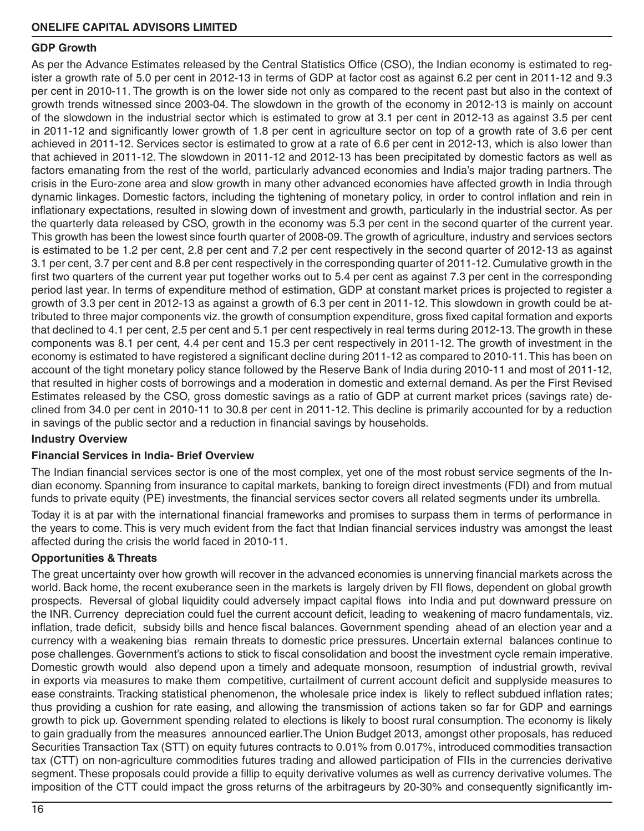#### **ONELIFE CAPITAL ADVISORS LIMITED**

#### **GDP Growth**

As per the Advance Estimates released by the Central Statistics Office (CSO), the Indian economy is estimated to register a growth rate of 5.0 per cent in 2012-13 in terms of GDP at factor cost as against 6.2 per cent in 2011-12 and 9.3 per cent in 2010-11. The growth is on the lower side not only as compared to the recent past but also in the context of growth trends witnessed since 2003-04. The slowdown in the growth of the economy in 2012-13 is mainly on account of the slowdown in the industrial sector which is estimated to grow at 3.1 per cent in 2012-13 as against 3.5 per cent in 2011-12 and significantly lower growth of 1.8 per cent in agriculture sector on top of a growth rate of 3.6 per cent achieved in 2011-12. Services sector is estimated to grow at a rate of 6.6 per cent in 2012-13, which is also lower than that achieved in 2011-12. The slowdown in 2011-12 and 2012-13 has been precipitated by domestic factors as well as factors emanating from the rest of the world, particularly advanced economies and India's major trading partners. The crisis in the Euro-zone area and slow growth in many other advanced economies have affected growth in India through dynamic linkages. Domestic factors, including the tightening of monetary policy, in order to control inflation and rein in inflationary expectations, resulted in slowing down of investment and growth, particularly in the industrial sector. As per the quarterly data released by CSO, growth in the economy was 5.3 per cent in the second quarter of the current year. This growth has been the lowest since fourth quarter of 2008-09. The growth of agriculture, industry and services sectors is estimated to be 1.2 per cent, 2.8 per cent and 7.2 per cent respectively in the second quarter of 2012-13 as against 3.1 per cent, 3.7 per cent and 8.8 per cent respectively in the corresponding quarter of 2011-12. Cumulative growth in the first two quarters of the current year put together works out to 5.4 per cent as against 7.3 per cent in the corresponding period last year. In terms of expenditure method of estimation, GDP at constant market prices is projected to register a growth of 3.3 per cent in 2012-13 as against a growth of 6.3 per cent in 2011-12. This slowdown in growth could be attributed to three major components viz. the growth of consumption expenditure, gross fixed capital formation and exports that declined to 4.1 per cent, 2.5 per cent and 5.1 per cent respectively in real terms during 2012-13. The growth in these components was 8.1 per cent, 4.4 per cent and 15.3 per cent respectively in 2011-12. The growth of investment in the economy is estimated to have registered a significant decline during 2011-12 as compared to 2010-11. This has been on account of the tight monetary policy stance followed by the Reserve Bank of India during 2010-11 and most of 2011-12, that resulted in higher costs of borrowings and a moderation in domestic and external demand. As per the First Revised Estimates released by the CSO, gross domestic savings as a ratio of GDP at current market prices (savings rate) declined from 34.0 per cent in 2010-11 to 30.8 per cent in 2011-12. This decline is primarily accounted for by a reduction in savings of the public sector and a reduction in financial savings by households.

#### **Industry Overview**

#### **Financial Services in India- Brief Overview**

The Indian financial services sector is one of the most complex, yet one of the most robust service segments of the Indian economy. Spanning from insurance to capital markets, banking to foreign direct investments (FDI) and from mutual funds to private equity (PE) investments, the financial services sector covers all related segments under its umbrella.

Today it is at par with the international financial frameworks and promises to surpass them in terms of performance in the years to come. This is very much evident from the fact that Indian financial services industry was amongst the least affected during the crisis the world faced in 2010-11.

#### **Opportunities & Threats**

The great uncertainty over how growth will recover in the advanced economies is unnerving financial markets across the world. Back home, the recent exuberance seen in the markets is largely driven by FII flows, dependent on global growth prospects. Reversal of global liquidity could adversely impact capital flows into India and put downward pressure on the INR. Currency depreciation could fuel the current account deficit, leading to weakening of macro fundamentals, viz. inflation, trade deficit, subsidy bills and hence fiscal balances. Government spending ahead of an election year and a currency with a weakening bias remain threats to domestic price pressures. Uncertain external balances continue to pose challenges. Government's actions to stick to fiscal consolidation and boost the investment cycle remain imperative. Domestic growth would also depend upon a timely and adequate monsoon, resumption of industrial growth, revival in exports via measures to make them competitive, curtailment of current account deficit and supplyside measures to ease constraints. Tracking statistical phenomenon, the wholesale price index is likely to reflect subdued inflation rates; thus providing a cushion for rate easing, and allowing the transmission of actions taken so far for GDP and earnings growth to pick up. Government spending related to elections is likely to boost rural consumption. The economy is likely to gain gradually from the measures announced earlier.The Union Budget 2013, amongst other proposals, has reduced Securities Transaction Tax (STT) on equity futures contracts to 0.01% from 0.017%, introduced commodities transaction tax (CTT) on non-agriculture commodities futures trading and allowed participation of FIIs in the currencies derivative segment. These proposals could provide a fillip to equity derivative volumes as well as currency derivative volumes. The imposition of the CTT could impact the gross returns of the arbitrageurs by 20-30% and consequently significantly im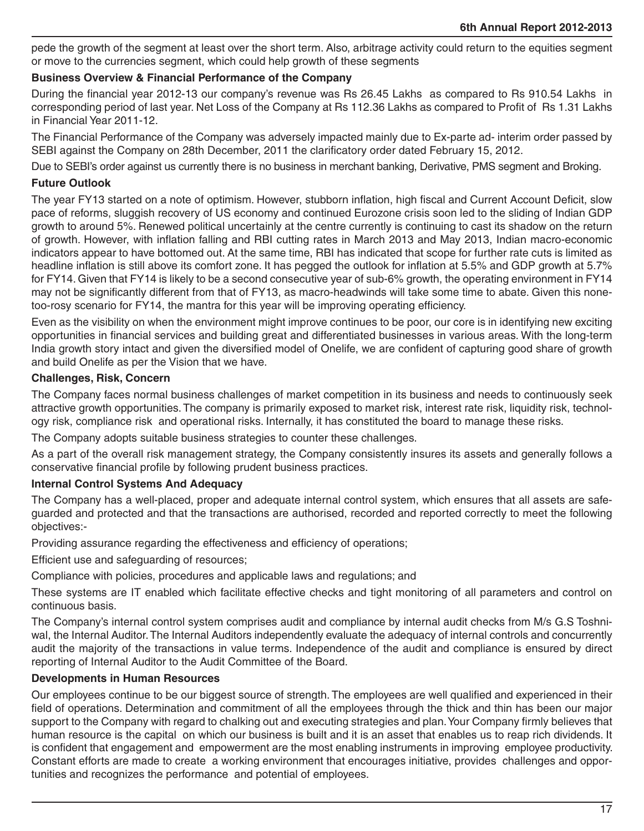pede the growth of the segment at least over the short term. Also, arbitrage activity could return to the equities segment or move to the currencies segment, which could help growth of these segments

#### **Business Overview & Financial Performance of the Company**

During the financial year 2012-13 our company's revenue was Rs 26.45 Lakhs as compared to Rs 910.54 Lakhs in corresponding period of last year. Net Loss of the Company at Rs 112.36 Lakhs as compared to Profit of Rs 1.31 Lakhs in Financial Year 2011-12.

The Financial Performance of the Company was adversely impacted mainly due to Ex-parte ad- interim order passed by SEBI against the Company on 28th December, 2011 the clarificatory order dated February 15, 2012.

Due to SEBI's order against us currently there is no business in merchant banking, Derivative, PMS segment and Broking.

#### **Future Outlook**

The year FY13 started on a note of optimism. However, stubborn inflation, high fiscal and Current Account Deficit, slow pace of reforms, sluggish recovery of US economy and continued Eurozone crisis soon led to the sliding of Indian GDP growth to around 5%. Renewed political uncertainly at the centre currently is continuing to cast its shadow on the return of growth. However, with inflation falling and RBI cutting rates in March 2013 and May 2013, Indian macro-economic indicators appear to have bottomed out. At the same time, RBI has indicated that scope for further rate cuts is limited as headline inflation is still above its comfort zone. It has pegged the outlook for inflation at 5.5% and GDP growth at 5.7% for FY14. Given that FY14 is likely to be a second consecutive year of sub-6% growth, the operating environment in FY14 may not be significantly different from that of FY13, as macro-headwinds will take some time to abate. Given this nonetoo-rosy scenario for FY14, the mantra for this year will be improving operating efficiency.

Even as the visibility on when the environment might improve continues to be poor, our core is in identifying new exciting opportunities in financial services and building great and differentiated businesses in various areas. With the long-term India growth story intact and given the diversified model of Onelife, we are confident of capturing good share of growth and build Onelife as per the Vision that we have.

#### **Challenges, Risk, Concern**

The Company faces normal business challenges of market competition in its business and needs to continuously seek attractive growth opportunities. The company is primarily exposed to market risk, interest rate risk, liquidity risk, technology risk, compliance risk and operational risks. Internally, it has constituted the board to manage these risks.

The Company adopts suitable business strategies to counter these challenges.

As a part of the overall risk management strategy, the Company consistently insures its assets and generally follows a conservative financial profile by following prudent business practices.

### **Internal Control Systems And Adequacy**

The Company has a well-placed, proper and adequate internal control system, which ensures that all assets are safeguarded and protected and that the transactions are authorised, recorded and reported correctly to meet the following objectives:-

Providing assurance regarding the effectiveness and efficiency of operations;

Efficient use and safeguarding of resources;

Compliance with policies, procedures and applicable laws and regulations; and

These systems are IT enabled which facilitate effective checks and tight monitoring of all parameters and control on continuous basis.

The Company's internal control system comprises audit and compliance by internal audit checks from M/s G.S Toshniwal, the Internal Auditor. The Internal Auditors independently evaluate the adequacy of internal controls and concurrently audit the majority of the transactions in value terms. Independence of the audit and compliance is ensured by direct reporting of Internal Auditor to the Audit Committee of the Board.

#### **Developments in Human Resources**

Our employees continue to be our biggest source of strength. The employees are well qualified and experienced in their field of operations. Determination and commitment of all the employees through the thick and thin has been our major support to the Company with regard to chalking out and executing strategies and plan. Your Company firmly believes that human resource is the capital on which our business is built and it is an asset that enables us to reap rich dividends. It is confident that engagement and empowerment are the most enabling instruments in improving employee productivity. Constant efforts are made to create a working environment that encourages initiative, provides challenges and opportunities and recognizes the performance and potential of employees.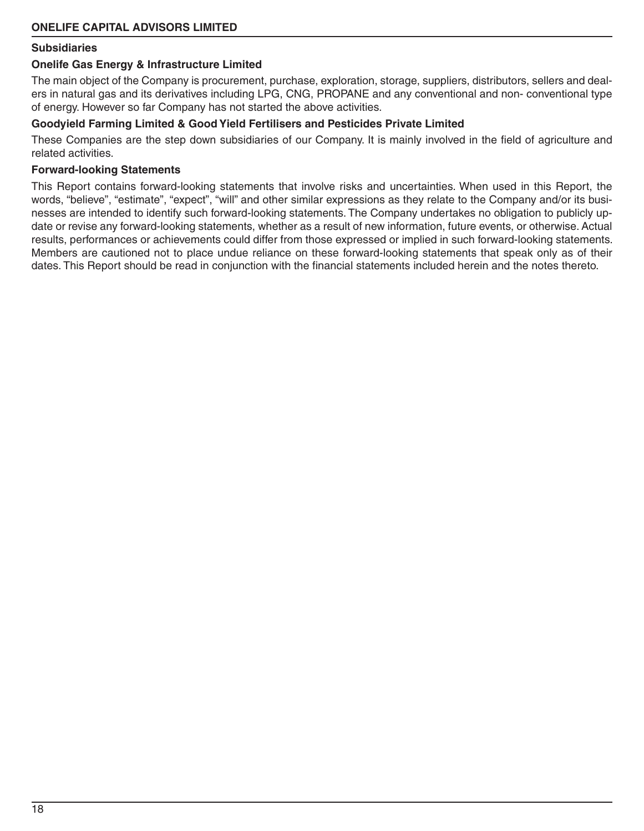#### **Subsidiaries**

#### **Onelife Gas Energy & Infrastructure Limited**

The main object of the Company is procurement, purchase, exploration, storage, suppliers, distributors, sellers and dealers in natural gas and its derivatives including LPG, CNG, PROPANE and any conventional and non- conventional type of energy. However so far Company has not started the above activities.

#### **Goodyield Farming Limited & Good Yield Fertilisers and Pesticides Private Limited**

These Companies are the step down subsidiaries of our Company. It is mainly involved in the field of agriculture and related activities.

#### **Forward-looking Statements**

This Report contains forward-looking statements that involve risks and uncertainties. When used in this Report, the words, "believe", "estimate", "expect", "will" and other similar expressions as they relate to the Company and/or its businesses are intended to identify such forward-looking statements. The Company undertakes no obligation to publicly update or revise any forward-looking statements, whether as a result of new information, future events, or otherwise. Actual results, performances or achievements could differ from those expressed or implied in such forward-looking statements. Members are cautioned not to place undue reliance on these forward-looking statements that speak only as of their dates. This Report should be read in conjunction with the financial statements included herein and the notes thereto.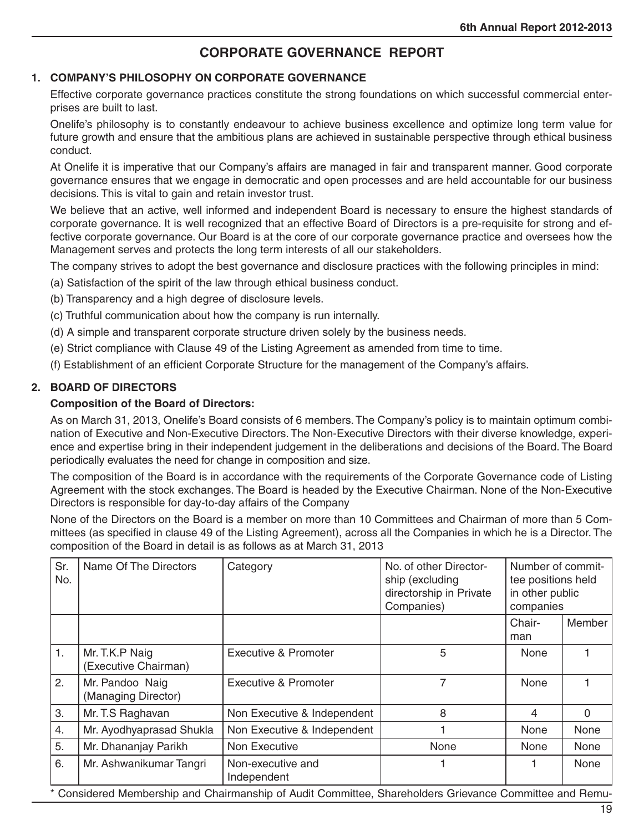### **CORPORATE GOVERNANCE REPORT**

#### **1. COMPANY'S PHILOSOPHY ON CORPORATE GOVERNANCE**

Effective corporate governance practices constitute the strong foundations on which successful commercial enterprises are built to last.

Onelife's philosophy is to constantly endeavour to achieve business excellence and optimize long term value for future growth and ensure that the ambitious plans are achieved in sustainable perspective through ethical business conduct.

At Onelife it is imperative that our Company's affairs are managed in fair and transparent manner. Good corporate governance ensures that we engage in democratic and open processes and are held accountable for our business decisions. This is vital to gain and retain investor trust.

We believe that an active, well informed and independent Board is necessary to ensure the highest standards of corporate governance. It is well recognized that an effective Board of Directors is a pre-requisite for strong and effective corporate governance. Our Board is at the core of our corporate governance practice and oversees how the Management serves and protects the long term interests of all our stakeholders.

The company strives to adopt the best governance and disclosure practices with the following principles in mind:

- (a) Satisfaction of the spirit of the law through ethical business conduct.
- (b) Transparency and a high degree of disclosure levels.
- (c) Truthful communication about how the company is run internally.
- (d) A simple and transparent corporate structure driven solely by the business needs.
- (e) Strict compliance with Clause 49 of the Listing Agreement as amended from time to time.
- (f) Establishment of an efficient Corporate Structure for the management of the Company's affairs.

#### **2. BOARD OF DIRECTORS**

#### **Composition of the Board of Directors:**

As on March 31, 2013, Onelife's Board consists of 6 members. The Company's policy is to maintain optimum combination of Executive and Non-Executive Directors. The Non-Executive Directors with their diverse knowledge, experience and expertise bring in their independent judgement in the deliberations and decisions of the Board. The Board periodically evaluates the need for change in composition and size.

The composition of the Board is in accordance with the requirements of the Corporate Governance code of Listing Agreement with the stock exchanges. The Board is headed by the Executive Chairman. None of the Non-Executive Directors is responsible for day-to-day affairs of the Company

None of the Directors on the Board is a member on more than 10 Committees and Chairman of more than 5 Committees (as specified in clause 49 of the Listing Agreement), across all the Companies in which he is a Director. The composition of the Board in detail is as follows as at March 31, 2013

| Sr.<br>No. | Name Of The Directors                  | Category                         | No. of other Director-<br>ship (excluding<br>directorship in Private<br>Companies) | Number of commit-<br>tee positions held<br>in other public<br>companies |          |
|------------|----------------------------------------|----------------------------------|------------------------------------------------------------------------------------|-------------------------------------------------------------------------|----------|
|            |                                        |                                  |                                                                                    | Chair-<br>man                                                           | Member   |
| 1.         | Mr. T.K.P Naig<br>(Executive Chairman) | <b>Executive &amp; Promoter</b>  | 5                                                                                  | None                                                                    |          |
| 2.         | Mr. Pandoo Naig<br>(Managing Director) | <b>Executive &amp; Promoter</b>  | 7                                                                                  | None                                                                    |          |
| 3.         | Mr. T.S Raghavan                       | Non Executive & Independent      | 8                                                                                  | 4                                                                       | $\Omega$ |
| 4.         | Mr. Ayodhyaprasad Shukla               | Non Executive & Independent      |                                                                                    | None                                                                    | None     |
| 5.         | Mr. Dhananjay Parikh                   | Non Executive                    | None                                                                               | None                                                                    | None     |
| 6.         | Mr. Ashwanikumar Tangri                | Non-executive and<br>Independent |                                                                                    |                                                                         | None     |

\* Considered Membership and Chairmanship of Audit Committee, Shareholders Grievance Committee and Remu-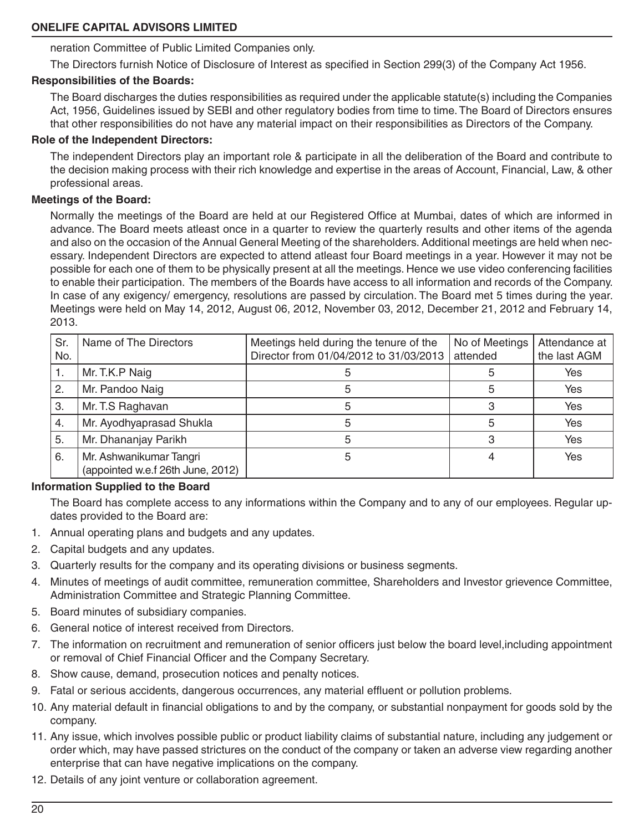neration Committee of Public Limited Companies only.

The Directors furnish Notice of Disclosure of Interest as specified in Section 299(3) of the Company Act 1956.

#### **Responsibilities of the Boards:**

The Board discharges the duties responsibilities as required under the applicable statute(s) including the Companies Act, 1956, Guidelines issued by SEBI and other regulatory bodies from time to time. The Board of Directors ensures that other responsibilities do not have any material impact on their responsibilities as Directors of the Company.

#### **Role of the Independent Directors:**

The independent Directors play an important role & participate in all the deliberation of the Board and contribute to the decision making process with their rich knowledge and expertise in the areas of Account, Financial, Law, & other professional areas.

#### **Meetings of the Board:**

Normally the meetings of the Board are held at our Registered Office at Mumbai, dates of which are informed in advance. The Board meets atleast once in a quarter to review the quarterly results and other items of the agenda and also on the occasion of the Annual General Meeting of the shareholders. Additional meetings are held when necessary. Independent Directors are expected to attend atleast four Board meetings in a year. However it may not be possible for each one of them to be physically present at all the meetings. Hence we use video conferencing facilities to enable their participation. The members of the Boards have access to all information and records of the Company. In case of any exigency/ emergency, resolutions are passed by circulation. The Board met 5 times during the year. Meetings were held on May 14, 2012, August 06, 2012, November 03, 2012, December 21, 2012 and February 14, 2013.

| Sr.<br>No. | Name of The Directors                                        | Meetings held during the tenure of the<br>Director from 01/04/2012 to 31/03/2013 | No of Meetings<br>attended | Attendance at<br>the last AGM |
|------------|--------------------------------------------------------------|----------------------------------------------------------------------------------|----------------------------|-------------------------------|
| 1.         | Mr. T.K.P Naig                                               | د.                                                                               | 5                          | <b>Yes</b>                    |
| 2.         | Mr. Pandoo Naig                                              | 5                                                                                | 5                          | <b>Yes</b>                    |
| 3.         | Mr. T.S Raghavan                                             | b                                                                                |                            | Yes                           |
| 4.         | Mr. Ayodhyaprasad Shukla                                     | 5                                                                                | 5                          | Yes                           |
| 5.         | Mr. Dhananjay Parikh                                         | 5                                                                                |                            | Yes                           |
| 6.         | Mr. Ashwanikumar Tangri<br>(appointed w.e.f 26th June, 2012) |                                                                                  |                            | Yes                           |

#### **Information Supplied to the Board**

The Board has complete access to any informations within the Company and to any of our employees. Regular updates provided to the Board are:

- 1. Annual operating plans and budgets and any updates.
- 2. Capital budgets and any updates.
- 3. Quarterly results for the company and its operating divisions or business segments.
- 4. Minutes of meetings of audit committee, remuneration committee, Shareholders and Investor grievence Committee, Administration Committee and Strategic Planning Committee.
- 5. Board minutes of subsidiary companies.
- 6. General notice of interest received from Directors.
- 7. The information on recruitment and remuneration of senior officers just below the board level,including appointment or removal of Chief Financial Officer and the Company Secretary.
- 8. Show cause, demand, prosecution notices and penalty notices.
- 9. Fatal or serious accidents, dangerous occurrences, any material effluent or pollution problems.
- 10. Any material default in financial obligations to and by the company, or substantial nonpayment for goods sold by the company.
- 11. Any issue, which involves possible public or product liability claims of substantial nature, including any judgement or order which, may have passed strictures on the conduct of the company or taken an adverse view regarding another enterprise that can have negative implications on the company.
- 12. Details of any joint venture or collaboration agreement.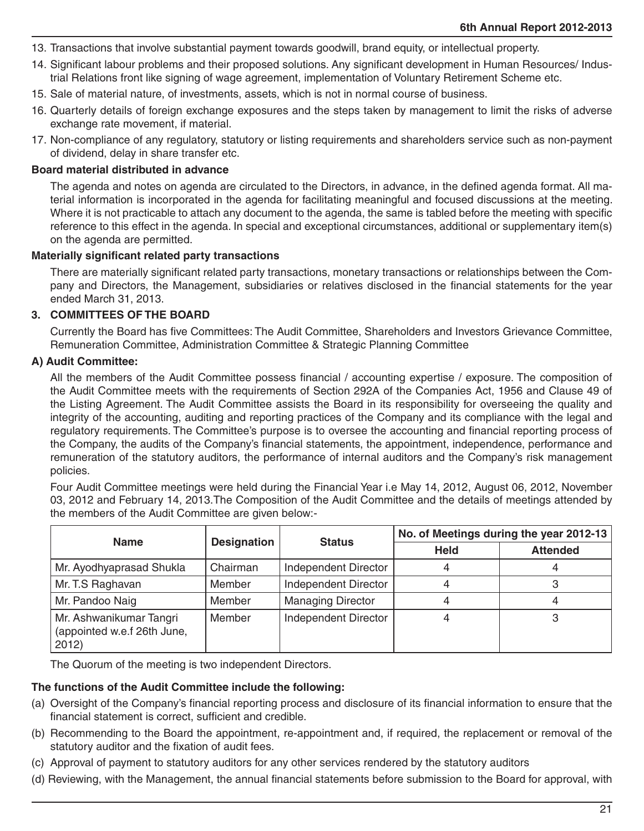- 13. Transactions that involve substantial payment towards goodwill, brand equity, or intellectual property.
- 14. Significant labour problems and their proposed solutions. Any significant development in Human Resources/ Industrial Relations front like signing of wage agreement, implementation of Voluntary Retirement Scheme etc.
- 15. Sale of material nature, of investments, assets, which is not in normal course of business.
- 16. Quarterly details of foreign exchange exposures and the steps taken by management to limit the risks of adverse exchange rate movement, if material.
- 17. Non-compliance of any regulatory, statutory or listing requirements and shareholders service such as non-payment of dividend, delay in share transfer etc.

#### **Board material distributed in advance**

The agenda and notes on agenda are circulated to the Directors, in advance, in the defined agenda format. All material information is incorporated in the agenda for facilitating meaningful and focused discussions at the meeting. Where it is not practicable to attach any document to the agenda, the same is tabled before the meeting with specific reference to this effect in the agenda. In special and exceptional circumstances, additional or supplementary item(s) on the agenda are permitted.

#### **Materially significant related party transactions**

There are materially significant related party transactions, monetary transactions or relationships between the Company and Directors, the Management, subsidiaries or relatives disclosed in the financial statements for the year ended March 31, 2013.

#### **3. COMMITTEES OF THE BOARD**

Currently the Board has five Committees: The Audit Committee, Shareholders and Investors Grievance Committee, Remuneration Committee, Administration Committee & Strategic Planning Committee

#### **A) Audit Committee:**

All the members of the Audit Committee possess financial / accounting expertise / exposure. The composition of the Audit Committee meets with the requirements of Section 292A of the Companies Act, 1956 and Clause 49 of the Listing Agreement. The Audit Committee assists the Board in its responsibility for overseeing the quality and integrity of the accounting, auditing and reporting practices of the Company and its compliance with the legal and regulatory requirements. The Committee's purpose is to oversee the accounting and financial reporting process of the Company, the audits of the Company's financial statements, the appointment, independence, performance and remuneration of the statutory auditors, the performance of internal auditors and the Company's risk management policies.

Four Audit Committee meetings were held during the Financial Year i.e May 14, 2012, August 06, 2012, November 03, 2012 and February 14, 2013.The Composition of the Audit Committee and the details of meetings attended by the members of the Audit Committee are given below:-

| <b>Name</b>                                                     | <b>Designation</b> | <b>Status</b>            | No. of Meetings during the year 2012-13 |                 |  |
|-----------------------------------------------------------------|--------------------|--------------------------|-----------------------------------------|-----------------|--|
|                                                                 |                    |                          | <b>Held</b>                             | <b>Attended</b> |  |
| Mr. Ayodhyaprasad Shukla                                        | Chairman           | Independent Director     |                                         |                 |  |
| Mr. T.S Raghavan                                                | Member             | Independent Director     |                                         |                 |  |
| Mr. Pandoo Naig                                                 | Member             | <b>Managing Director</b> |                                         |                 |  |
| Mr. Ashwanikumar Tangri<br>(appointed w.e.f 26th June,<br>2012) | Member             | Independent Director     |                                         |                 |  |

The Quorum of the meeting is two independent Directors.

#### **The functions of the Audit Committee include the following:**

- (a) Oversight of the Company's financial reporting process and disclosure of its financial information to ensure that the financial statement is correct, sufficient and credible.
- (b) Recommending to the Board the appointment, re-appointment and, if required, the replacement or removal of the statutory auditor and the fixation of audit fees.
- (c) Approval of payment to statutory auditors for any other services rendered by the statutory auditors
- (d) Reviewing, with the Management, the annual financial statements before submission to the Board for approval, with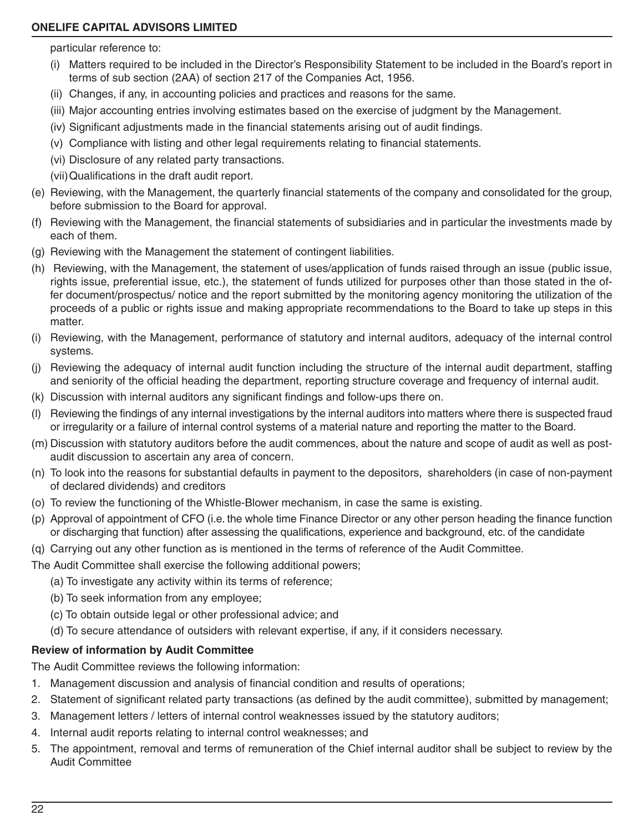#### **ONELIFE CAPITAL ADVISORS LIMITED**

particular reference to:

- (i) Matters required to be included in the Director's Responsibility Statement to be included in the Board's report in terms of sub section (2AA) of section 217 of the Companies Act, 1956.
- (ii) Changes, if any, in accounting policies and practices and reasons for the same.
- (iii) Major accounting entries involving estimates based on the exercise of judgment by the Management.
- (iv) Significant adjustments made in the financial statements arising out of audit findings.
- (v) Compliance with listing and other legal requirements relating to financial statements.
- (vi) Disclosure of any related party transactions.
- (vii)Qualifications in the draft audit report.
- (e) Reviewing, with the Management, the quarterly financial statements of the company and consolidated for the group, before submission to the Board for approval.
- (f) Reviewing with the Management, the financial statements of subsidiaries and in particular the investments made by each of them.
- (g) Reviewing with the Management the statement of contingent liabilities.
- (h) Reviewing, with the Management, the statement of uses/application of funds raised through an issue (public issue, rights issue, preferential issue, etc.), the statement of funds utilized for purposes other than those stated in the offer document/prospectus/ notice and the report submitted by the monitoring agency monitoring the utilization of the proceeds of a public or rights issue and making appropriate recommendations to the Board to take up steps in this matter.
- (i) Reviewing, with the Management, performance of statutory and internal auditors, adequacy of the internal control systems.
- (j) Reviewing the adequacy of internal audit function including the structure of the internal audit department, staffing and seniority of the official heading the department, reporting structure coverage and frequency of internal audit.
- (k) Discussion with internal auditors any significant findings and follow-ups there on.
- (l) Reviewing the findings of any internal investigations by the internal auditors into matters where there is suspected fraud or irregularity or a failure of internal control systems of a material nature and reporting the matter to the Board.
- (m) Discussion with statutory auditors before the audit commences, about the nature and scope of audit as well as postaudit discussion to ascertain any area of concern.
- (n) To look into the reasons for substantial defaults in payment to the depositors, shareholders (in case of non-payment of declared dividends) and creditors
- (o) To review the functioning of the Whistle-Blower mechanism, in case the same is existing.
- (p) Approval of appointment of CFO (i.e. the whole time Finance Director or any other person heading the finance function or discharging that function) after assessing the qualifications, experience and background, etc. of the candidate
- (q) Carrying out any other function as is mentioned in the terms of reference of the Audit Committee.

The Audit Committee shall exercise the following additional powers;

- (a) To investigate any activity within its terms of reference;
- (b) To seek information from any employee;
- (c) To obtain outside legal or other professional advice; and
- (d) To secure attendance of outsiders with relevant expertise, if any, if it considers necessary.

### **Review of information by Audit Committee**

The Audit Committee reviews the following information:

- 1. Management discussion and analysis of financial condition and results of operations;
- 2. Statement of significant related party transactions (as defined by the audit committee), submitted by management;
- 3. Management letters / letters of internal control weaknesses issued by the statutory auditors;
- 4. Internal audit reports relating to internal control weaknesses; and
- 5. The appointment, removal and terms of remuneration of the Chief internal auditor shall be subject to review by the Audit Committee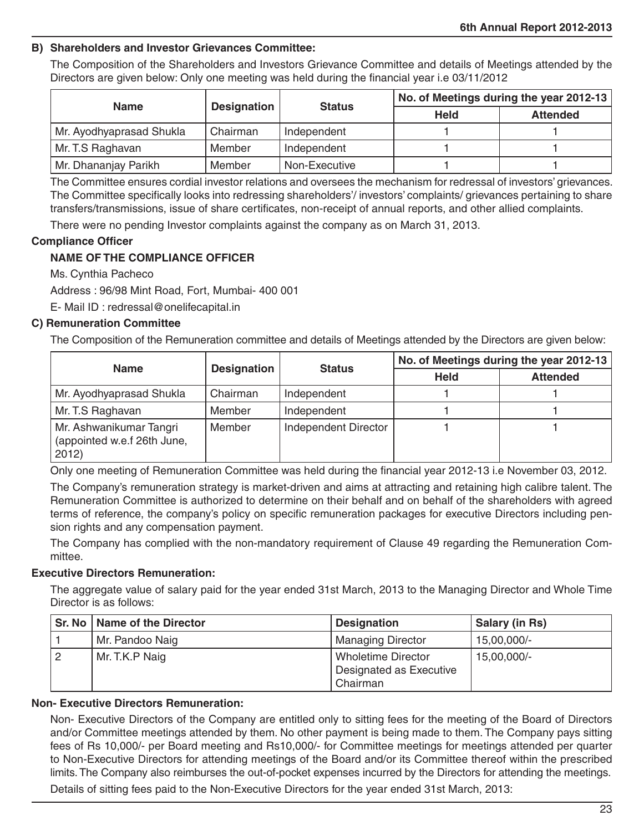#### **B) Shareholders and Investor Grievances Committee:**

The Composition of the Shareholders and Investors Grievance Committee and details of Meetings attended by the Directors are given below: Only one meeting was held during the financial year i.e 03/11/2012

| <b>Name</b>              |                    | <b>Status</b> | No. of Meetings during the year 2012-13 |                 |  |
|--------------------------|--------------------|---------------|-----------------------------------------|-----------------|--|
|                          | <b>Designation</b> |               | <b>Held</b>                             | <b>Attended</b> |  |
| Mr. Ayodhyaprasad Shukla | Chairman           | Independent   |                                         |                 |  |
| Mr. T.S Raghavan         | Member             | Independent   |                                         |                 |  |
| Mr. Dhananjay Parikh     | Member             | Non-Executive |                                         |                 |  |

The Committee ensures cordial investor relations and oversees the mechanism for redressal of investors' grievances. The Committee specifically looks into redressing shareholders'/ investors' complaints/ grievances pertaining to share transfers/transmissions, issue of share certificates, non-receipt of annual reports, and other allied complaints.

There were no pending Investor complaints against the company as on March 31, 2013.

#### **Compliance Officer**

#### **NAME OF THE COMPLIANCE OFFICER**

Ms. Cynthia Pacheco

Address : 96/98 Mint Road, Fort, Mumbai- 400 001

E- Mail ID : redressal@onelifecapital.in

#### **C) Remuneration Committee**

The Composition of the Remuneration committee and details of Meetings attended by the Directors are given below:

| <b>Name</b>                                                     | <b>Designation</b> | <b>Status</b>        | No. of Meetings during the year 2012-13 |                 |  |
|-----------------------------------------------------------------|--------------------|----------------------|-----------------------------------------|-----------------|--|
|                                                                 |                    |                      | <b>Held</b>                             | <b>Attended</b> |  |
| Mr. Ayodhyaprasad Shukla                                        | Chairman           | Independent          |                                         |                 |  |
| Mr. T.S Raghavan                                                | Member             | Independent          |                                         |                 |  |
| Mr. Ashwanikumar Tangri<br>(appointed w.e.f 26th June,<br>2012) | Member             | Independent Director |                                         |                 |  |

Only one meeting of Remuneration Committee was held during the financial year 2012-13 i.e November 03, 2012.

The Company's remuneration strategy is market-driven and aims at attracting and retaining high calibre talent. The Remuneration Committee is authorized to determine on their behalf and on behalf of the shareholders with agreed terms of reference, the company's policy on specific remuneration packages for executive Directors including pension rights and any compensation payment.

The Company has complied with the non-mandatory requirement of Clause 49 regarding the Remuneration Committee.

#### **Executive Directors Remuneration:**

The aggregate value of salary paid for the year ended 31st March, 2013 to the Managing Director and Whole Time Director is as follows:

| <b>Sr. No   Name of the Director</b> | <b>Designation</b>        | Salary (in Rs) |
|--------------------------------------|---------------------------|----------------|
| Mr. Pandoo Naig                      | <b>Managing Director</b>  | 15.00.000/-    |
| Mr. T.K.P Naig                       | <b>Wholetime Director</b> | 15,00,000/-    |
|                                      | Designated as Executive   |                |
|                                      | Chairman                  |                |

#### **Non- Executive Directors Remuneration:**

Non- Executive Directors of the Company are entitled only to sitting fees for the meeting of the Board of Directors and/or Committee meetings attended by them. No other payment is being made to them. The Company pays sitting fees of Rs 10,000/- per Board meeting and Rs10,000/- for Committee meetings for meetings attended per quarter to Non-Executive Directors for attending meetings of the Board and/or its Committee thereof within the prescribed limits. The Company also reimburses the out-of-pocket expenses incurred by the Directors for attending the meetings.

Details of sitting fees paid to the Non-Executive Directors for the year ended 31st March, 2013: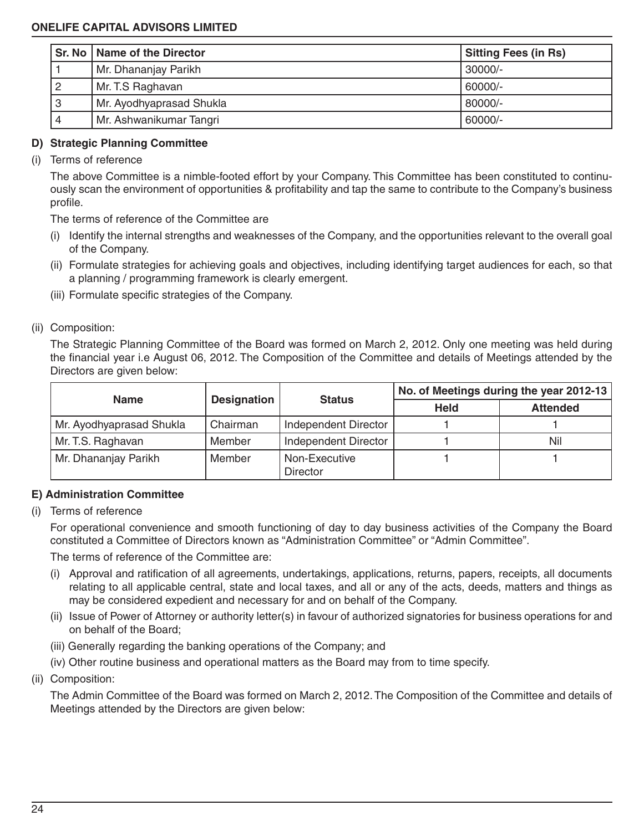|     | Sr. No   Name of the Director | <b>Sitting Fees (in Rs)</b> |
|-----|-------------------------------|-----------------------------|
|     | Mr. Dhananjay Parikh          | 30000/-                     |
|     | Mr. T.S Raghavan              | 60000/-                     |
| . 3 | Mr. Ayodhyaprasad Shukla      | 80000/-                     |
|     | Mr. Ashwanikumar Tangri       | 60000/-                     |

#### **D) Strategic Planning Committee**

(i) Terms of reference

The above Committee is a nimble-footed effort by your Company. This Committee has been constituted to continuously scan the environment of opportunities & profitability and tap the same to contribute to the Company's business profile.

The terms of reference of the Committee are

- (i) Identify the internal strengths and weaknesses of the Company, and the opportunities relevant to the overall goal of the Company.
- (ii) Formulate strategies for achieving goals and objectives, including identifying target audiences for each, so that a planning / programming framework is clearly emergent.
- (iii) Formulate specific strategies of the Company.

#### (ii) Composition:

The Strategic Planning Committee of the Board was formed on March 2, 2012. Only one meeting was held during the financial year i.e August 06, 2012. The Composition of the Committee and details of Meetings attended by the Directors are given below:

| <b>Name</b>              | <b>Status</b>      |                                  | No. of Meetings during the year 2012-13 |                 |  |
|--------------------------|--------------------|----------------------------------|-----------------------------------------|-----------------|--|
|                          | <b>Designation</b> |                                  | <b>Held</b>                             | <b>Attended</b> |  |
| Mr. Ayodhyaprasad Shukla | Chairman           | Independent Director             |                                         |                 |  |
| Mr. T.S. Raghavan        | Member             | Independent Director             |                                         | Nil             |  |
| Mr. Dhananjay Parikh     | Member             | Non-Executive<br><b>Director</b> |                                         |                 |  |

#### **E) Administration Committee**

(i) Terms of reference

For operational convenience and smooth functioning of day to day business activities of the Company the Board constituted a Committee of Directors known as "Administration Committee" or "Admin Committee".

The terms of reference of the Committee are:

- (i) Approval and ratification of all agreements, undertakings, applications, returns, papers, receipts, all documents relating to all applicable central, state and local taxes, and all or any of the acts, deeds, matters and things as may be considered expedient and necessary for and on behalf of the Company.
- (ii) Issue of Power of Attorney or authority letter(s) in favour of authorized signatories for business operations for and on behalf of the Board;
- (iii) Generally regarding the banking operations of the Company; and
- (iv) Other routine business and operational matters as the Board may from to time specify.
- (ii) Composition:

The Admin Committee of the Board was formed on March 2, 2012. The Composition of the Committee and details of Meetings attended by the Directors are given below: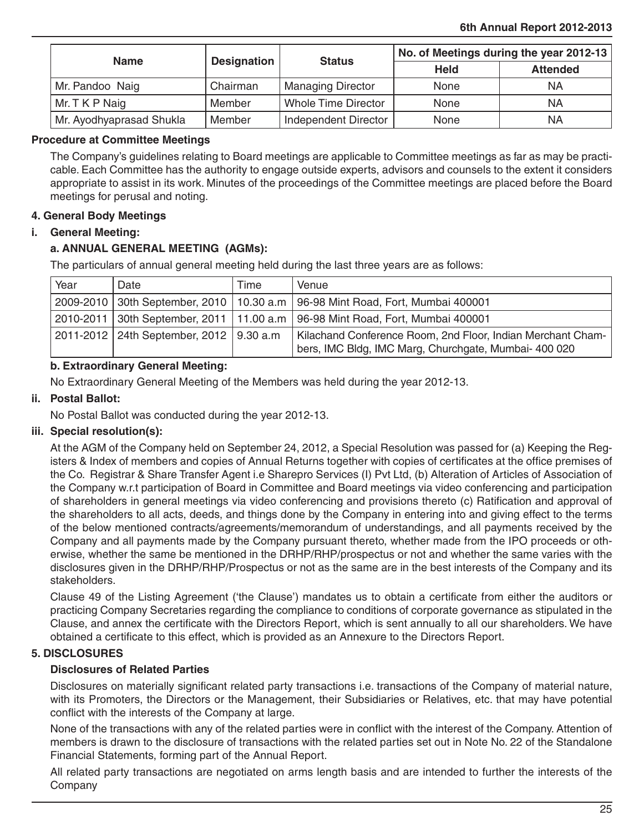| <b>Name</b>              | <b>Designation</b> | <b>Status</b>            | No. of Meetings during the year 2012-13 |                 |  |
|--------------------------|--------------------|--------------------------|-----------------------------------------|-----------------|--|
|                          |                    |                          | <b>Held</b>                             | <b>Attended</b> |  |
| Mr. Pandoo Naig          | Chairman           | <b>Managing Director</b> | None                                    | NA              |  |
| Mr. T K P Naig           | Member             | Whole Time Director      | None                                    | ΝA              |  |
| Mr. Ayodhyaprasad Shukla | Member             | Independent Director     | None                                    | ΝA              |  |

#### **Procedure at Committee Meetings**

The Company's guidelines relating to Board meetings are applicable to Committee meetings as far as may be practicable. Each Committee has the authority to engage outside experts, advisors and counsels to the extent it considers appropriate to assist in its work. Minutes of the proceedings of the Committee meetings are placed before the Board meetings for perusal and noting.

#### **4. General Body Meetings**

#### **i. General Meeting:**

#### **a. ANNUAL GENERAL MEETING (AGMs):**

The particulars of annual general meeting held during the last three years are as follows:

| Year | Date                                        | Time | Venue                                                                                                                |
|------|---------------------------------------------|------|----------------------------------------------------------------------------------------------------------------------|
|      |                                             |      | 2009-2010   30th September, 2010   10.30 a.m   96-98 Mint Road, Fort, Mumbai 400001                                  |
|      |                                             |      | 2010-2011   30th September, 2011   11.00 a.m   96-98 Mint Road, Fort, Mumbai 400001                                  |
|      | 2011-2012   24th September, 2012   9.30 a.m |      | Kilachand Conference Room, 2nd Floor, Indian Merchant Cham-<br>bers, IMC Bldg, IMC Marg, Churchgate, Mumbai- 400 020 |

#### **b. Extraordinary General Meeting:**

No Extraordinary General Meeting of the Members was held during the year 2012-13.

#### **ii. Postal Ballot:**

No Postal Ballot was conducted during the year 2012-13.

#### **iii. Special resolution(s):**

At the AGM of the Company held on September 24, 2012, a Special Resolution was passed for (a) Keeping the Registers & Index of members and copies of Annual Returns together with copies of certificates at the office premises of the Co. Registrar & Share Transfer Agent i.e Sharepro Services (I) Pvt Ltd, (b) Alteration of Articles of Association of the Company w.r.t participation of Board in Committee and Board meetings via video conferencing and participation of shareholders in general meetings via video conferencing and provisions thereto (c) Ratification and approval of the shareholders to all acts, deeds, and things done by the Company in entering into and giving effect to the terms of the below mentioned contracts/agreements/memorandum of understandings, and all payments received by the Company and all payments made by the Company pursuant thereto, whether made from the IPO proceeds or otherwise, whether the same be mentioned in the DRHP/RHP/prospectus or not and whether the same varies with the disclosures given in the DRHP/RHP/Prospectus or not as the same are in the best interests of the Company and its stakeholders.

Clause 49 of the Listing Agreement ('the Clause') mandates us to obtain a certificate from either the auditors or practicing Company Secretaries regarding the compliance to conditions of corporate governance as stipulated in the Clause, and annex the certificate with the Directors Report, which is sent annually to all our shareholders. We have obtained a certificate to this effect, which is provided as an Annexure to the Directors Report.

#### **5. DISCLOSURES**

#### **Disclosures of Related Parties**

Disclosures on materially significant related party transactions i.e. transactions of the Company of material nature, with its Promoters, the Directors or the Management, their Subsidiaries or Relatives, etc. that may have potential conflict with the interests of the Company at large.

None of the transactions with any of the related parties were in conflict with the interest of the Company. Attention of members is drawn to the disclosure of transactions with the related parties set out in Note No. 22 of the Standalone Financial Statements, forming part of the Annual Report.

All related party transactions are negotiated on arms length basis and are intended to further the interests of the Company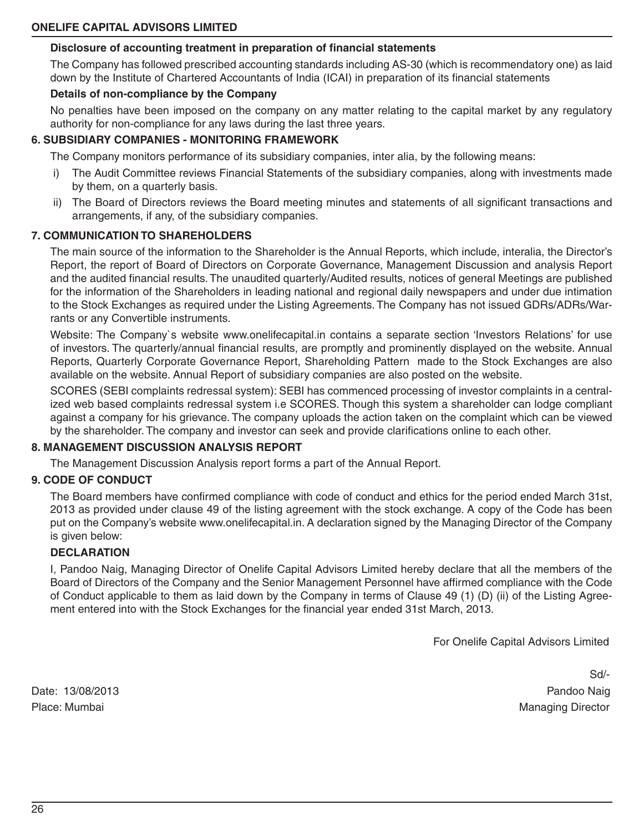#### **Disclosure of accounting treatment in preparation of financial statements**

The Company has followed prescribed accounting standards including AS-30 (which is recommendatory one) as laid down by the Institute of Chartered Accountants of India (ICAI) in preparation of its financial statements

#### **Details of non-compliance by the Company**

No penalties have been imposed on the company on any matter relating to the capital market by any regulatory authority for non-compliance for any laws during the last three years.

#### **6. SUBSIDIARY COMPANIES - MONITORING FRAMEWORK**

The Company monitors performance of its subsidiary companies, inter alia, by the following means:

- i) The Audit Committee reviews Financial Statements of the subsidiary companies, along with investments made by them, on a quarterly basis.
- ii) The Board of Directors reviews the Board meeting minutes and statements of all significant transactions and arrangements, if any, of the subsidiary companies.

#### **7. COMMUNICATION TO SHAREHOLDERS**

The main source of the information to the Shareholder is the Annual Reports, which include, interalia, the Director's Report, the report of Board of Directors on Corporate Governance, Management Discussion and analysis Report and the audited financial results. The unaudited quarterly/Audited results, notices of general Meetings are published for the information of the Shareholders in leading national and regional daily newspapers and under due intimation to the Stock Exchanges as required under the Listing Agreements. The Company has not issued GDRs/ADRs/Warrants or any Convertible instruments.

Website: The Company`s website www.onelifecapital.in contains a separate section 'Investors Relations' for use of investors. The quarterly/annual financial results, are promptly and prominently displayed on the website. Annual Reports, Quarterly Corporate Governance Report, Shareholding Pattern made to the Stock Exchanges are also available on the website. Annual Report of subsidiary companies are also posted on the website.

SCORES (SEBI complaints redressal system): SEBI has commenced processing of investor complaints in a centralized web based complaints redressal system i.e SCORES. Though this system a shareholder can lodge compliant against a company for his grievance. The company uploads the action taken on the complaint which can be viewed by the shareholder. The company and investor can seek and provide clarifications online to each other.

#### **8. MANAGEMENT DISCUSSION ANALYSIS REPORT**

The Management Discussion Analysis report forms a part of the Annual Report.

#### **9. CODE OF CONDUCT**

The Board members have confirmed compliance with code of conduct and ethics for the period ended March 31st, 2013 as provided under clause 49 of the listing agreement with the stock exchange. A copy of the Code has been put on the Company's website www.onelifecapital.in. A declaration signed by the Managing Director of the Company is given below:

#### **DECLARATION**

I, Pandoo Naig, Managing Director of Onelife Capital Advisors Limited hereby declare that all the members of the Board of Directors of the Company and the Senior Management Personnel have affirmed compliance with the Code of Conduct applicable to them as laid down by the Company in terms of Clause 49 (1) (D) (ii) of the Listing Agreement entered into with the Stock Exchanges for the financial year ended 31st March, 2013.

For Onelife Capital Advisors Limited

Place: Mumbai Managing Director Numbai Managing Director

 Sd/- Date: 13/08/2013 Pandoo Naig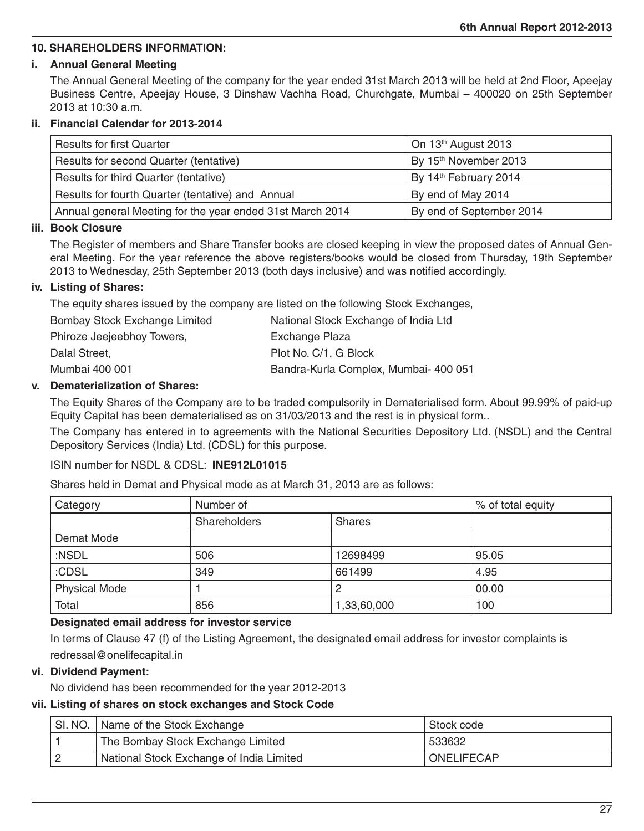#### **10. SHAREHOLDERS INFORMATION:**

#### **i. Annual General Meeting**

The Annual General Meeting of the company for the year ended 31st March 2013 will be held at 2nd Floor, Apeejay Business Centre, Apeejay House, 3 Dinshaw Vachha Road, Churchgate, Mumbai – 400020 on 25th September 2013 at 10:30 a.m.

#### **ii. Financial Calendar for 2013-2014**

| <b>Results for first Quarter</b>                          | On 13 <sup>th</sup> August 2013   |
|-----------------------------------------------------------|-----------------------------------|
| Results for second Quarter (tentative)                    | By 15th November 2013             |
| Results for third Quarter (tentative)                     | By 14 <sup>th</sup> February 2014 |
| Results for fourth Quarter (tentative) and Annual         | By end of May 2014                |
| Annual general Meeting for the year ended 31st March 2014 | By end of September 2014          |

#### **iii. Book Closure**

The Register of members and Share Transfer books are closed keeping in view the proposed dates of Annual General Meeting. For the year reference the above registers/books would be closed from Thursday, 19th September 2013 to Wednesday, 25th September 2013 (both days inclusive) and was notified accordingly.

#### **iv. Listing of Shares:**

The equity shares issued by the company are listed on the following Stock Exchanges,

| Bombay Stock Exchange Limited | National Stock Exchange of India Ltd  |
|-------------------------------|---------------------------------------|
| Phiroze Jeejeebhoy Towers,    | Exchange Plaza                        |
| Dalal Street,                 | Plot No. C/1. G Block                 |
| Mumbai 400 001                | Bandra-Kurla Complex, Mumbai- 400 051 |

#### **v. Dematerialization of Shares:**

The Equity Shares of the Company are to be traded compulsorily in Dematerialised form. About 99.99% of paid-up Equity Capital has been dematerialised as on 31/03/2013 and the rest is in physical form..

The Company has entered in to agreements with the National Securities Depository Ltd. (NSDL) and the Central Depository Services (India) Ltd. (CDSL) for this purpose.

#### ISIN number for NSDL & CDSL: **INE912L01015**

Shares held in Demat and Physical mode as at March 31, 2013 are as follows:

| Category             | Number of    |               | % of total equity |
|----------------------|--------------|---------------|-------------------|
|                      | Shareholders | <b>Shares</b> |                   |
| Demat Mode           |              |               |                   |
| :NSDL                | 506          | 12698499      | 95.05             |
| :CDSL                | 349          | 661499        | 4.95              |
| <b>Physical Mode</b> |              | 2             | 00.00             |
| <b>Total</b>         | 856          | 1,33,60,000   | 100               |

#### **Designated email address for investor service**

In terms of Clause 47 (f) of the Listing Agreement, the designated email address for investor complaints is redressal@onelifecapital.in

#### **vi. Dividend Payment:**

No dividend has been recommended for the year 2012-2013

### **vii. Listing of shares on stock exchanges and Stock Code**

| SI. NO.   Name of the Stock Exchange     | Stock code        |
|------------------------------------------|-------------------|
| The Bombay Stock Exchange Limited        | 533632            |
| National Stock Exchange of India Limited | <b>ONELIFECAP</b> |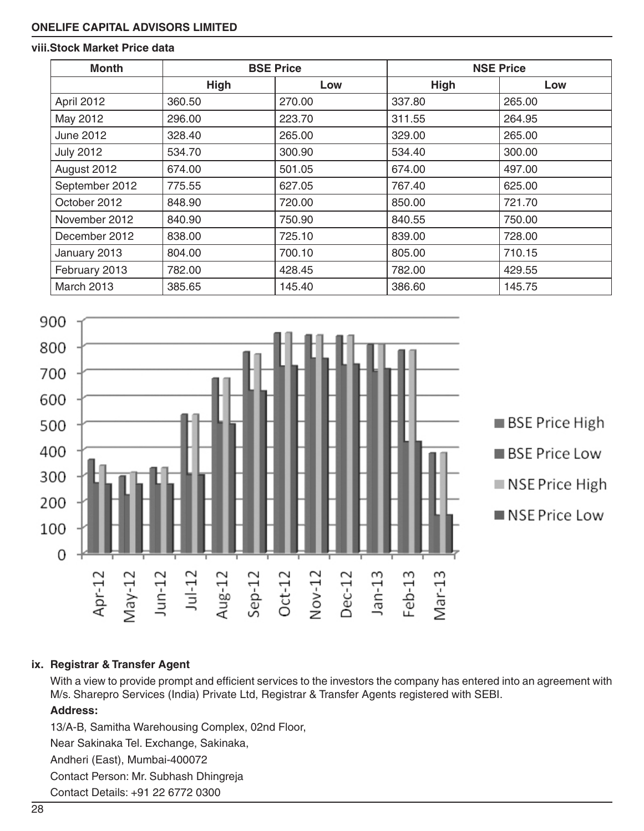#### **ONELIFE CAPITAL ADVISORS LIMITED**

#### **viii.Stock Market Price data**

| Month            | <b>BSE Price</b> |        |             | <b>NSE Price</b> |
|------------------|------------------|--------|-------------|------------------|
|                  | High             | Low    | <b>High</b> | Low              |
| April 2012       | 360.50           | 270.00 | 337.80      | 265.00           |
| May 2012         | 296.00           | 223.70 | 311.55      | 264.95           |
| <b>June 2012</b> | 328.40           | 265.00 | 329.00      | 265.00           |
| <b>July 2012</b> | 534.70           | 300.90 | 534.40      | 300.00           |
| August 2012      | 674.00           | 501.05 | 674.00      | 497.00           |
| September 2012   | 775.55           | 627.05 | 767.40      | 625.00           |
| October 2012     | 848.90           | 720.00 | 850.00      | 721.70           |
| November 2012    | 840.90           | 750.90 | 840.55      | 750.00           |
| December 2012    | 838.00           | 725.10 | 839.00      | 728.00           |
| January 2013     | 804.00           | 700.10 | 805.00      | 710.15           |
| February 2013    | 782.00           | 428.45 | 782.00      | 429.55           |
| March 2013       | 385.65           | 145.40 | 386.60      | 145.75           |



#### **ix. Registrar & Transfer Agent**

With a view to provide prompt and efficient services to the investors the company has entered into an agreement with M/s. Sharepro Services (India) Private Ltd, Registrar & Transfer Agents registered with SEBI.

#### **Address:**

13/A-B, Samitha Warehousing Complex, 02nd Floor,

Near Sakinaka Tel. Exchange, Sakinaka,

Andheri (East), Mumbai-400072

Contact Person: Mr. Subhash Dhingreja

Contact Details: +91 22 6772 0300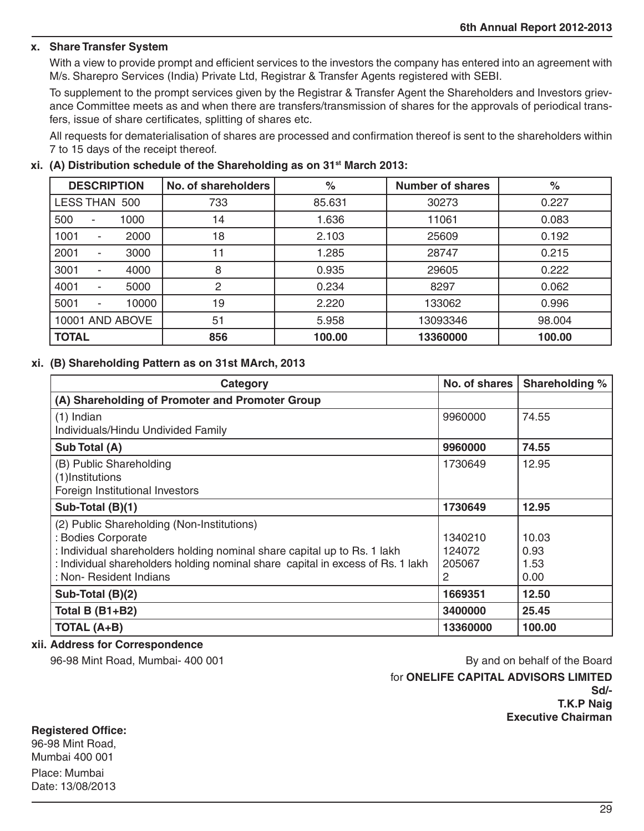#### **x. Share Transfer System**

With a view to provide prompt and efficient services to the investors the company has entered into an agreement with M/s. Sharepro Services (India) Private Ltd, Registrar & Transfer Agents registered with SEBI.

To supplement to the prompt services given by the Registrar & Transfer Agent the Shareholders and Investors grievance Committee meets as and when there are transfers/transmission of shares for the approvals of periodical transfers, issue of share certificates, splitting of shares etc.

All requests for dematerialisation of shares are processed and confirmation thereof is sent to the shareholders within 7 to 15 days of the receipt thereof.

|              | <b>DESCRIPTION</b>   | No. of shareholders | %      | Number of shares | $\%$   |
|--------------|----------------------|---------------------|--------|------------------|--------|
|              | <b>LESS THAN 500</b> | 733                 | 85.631 | 30273            | 0.227  |
| 500<br>۰     | 1000                 | 14                  | 1.636  | 11061            | 0.083  |
| 1001         | 2000<br>٠.           | 18                  | 2.103  | 25609            | 0.192  |
| 2001         | 3000<br>۰            | 11                  | 1.285  | 28747            | 0.215  |
| 3001         | 4000<br>٠            | 8                   | 0.935  | 29605            | 0.222  |
| 4001         | 5000<br>٠.           | $\overline{2}$      | 0.234  | 8297             | 0.062  |
| 5001         | 10000<br>٠           | 19                  | 2.220  | 133062           | 0.996  |
|              | 10001 AND ABOVE      | 51                  | 5.958  | 13093346         | 98.004 |
| <b>TOTAL</b> |                      | 856                 | 100.00 | 13360000         | 100.00 |

#### **xi. (A) Distribution schedule of the Shareholding as on 31st March 2013:**

#### **xi. (B) Shareholding Pattern as on 31st MArch, 2013**

| Category                                                                        | No. of shares | Shareholding % |
|---------------------------------------------------------------------------------|---------------|----------------|
| (A) Shareholding of Promoter and Promoter Group                                 |               |                |
| $(1)$ Indian                                                                    | 9960000       | 74.55          |
| Individuals/Hindu Undivided Family                                              |               |                |
| Sub Total (A)                                                                   | 9960000       | 74.55          |
| (B) Public Shareholding                                                         | 1730649       | 12.95          |
| (1) Institutions                                                                |               |                |
| Foreign Institutional Investors                                                 |               |                |
| Sub-Total (B)(1)                                                                | 1730649       | 12.95          |
| (2) Public Shareholding (Non-Institutions)                                      |               |                |
| : Bodies Corporate                                                              | 1340210       | 10.03          |
| : Individual shareholders holding nominal share capital up to Rs. 1 lakh        | 124072        | 0.93           |
| : Individual shareholders holding nominal share capital in excess of Rs. 1 lakh | 205067        | 1.53           |
| : Non- Resident Indians                                                         | 2             | 0.00           |
| Sub-Total (B)(2)                                                                | 1669351       | 12.50          |
| Total B (B1+B2)                                                                 | 3400000       | 25.45          |
| TOTAL (A+B)                                                                     | 13360000      | 100.00         |

**xii. Address for Correspondence**

96-98 Mint Road, Mumbai- 400 001 By and on behalf of the Board for **ONELIFE CAPITAL ADVISORS LIMITED Sd/- T.K.P Naig Executive Chairman**

#### **Registered Office:**

96-98 Mint Road, Mumbai 400 001 Place: Mumbai Date: 13/08/2013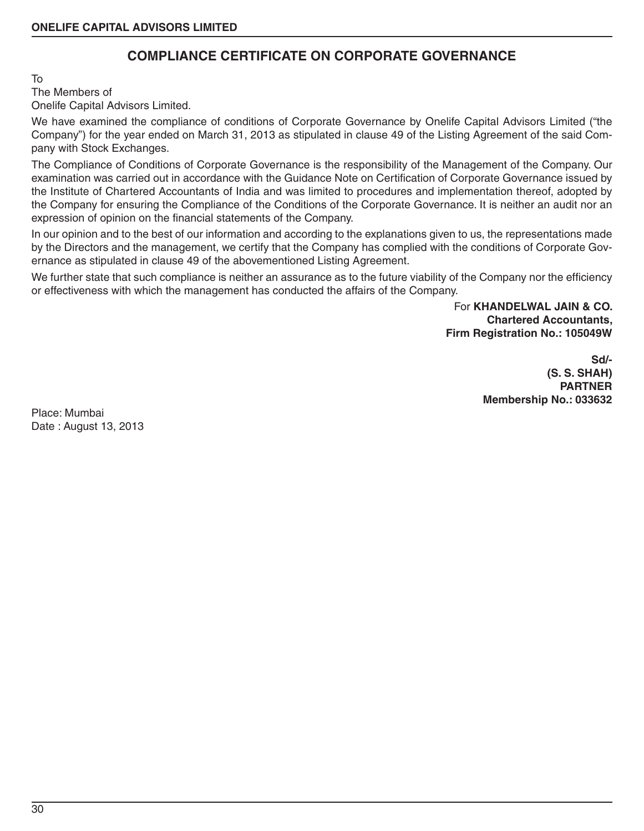### **COMPLIANCE CERTIFICATE ON CORPORATE GOVERNANCE**

To

The Members of

Onelife Capital Advisors Limited.

We have examined the compliance of conditions of Corporate Governance by Onelife Capital Advisors Limited ("the Company") for the year ended on March 31, 2013 as stipulated in clause 49 of the Listing Agreement of the said Company with Stock Exchanges.

The Compliance of Conditions of Corporate Governance is the responsibility of the Management of the Company. Our examination was carried out in accordance with the Guidance Note on Certification of Corporate Governance issued by the Institute of Chartered Accountants of India and was limited to procedures and implementation thereof, adopted by the Company for ensuring the Compliance of the Conditions of the Corporate Governance. It is neither an audit nor an expression of opinion on the financial statements of the Company.

In our opinion and to the best of our information and according to the explanations given to us, the representations made by the Directors and the management, we certify that the Company has complied with the conditions of Corporate Governance as stipulated in clause 49 of the abovementioned Listing Agreement.

We further state that such compliance is neither an assurance as to the future viability of the Company nor the efficiency or effectiveness with which the management has conducted the affairs of the Company.

> For **KHANDELWAL JAIN & CO. Chartered Accountants, Firm Registration No.: 105049W**

> > **Sd/- (S. S. SHAH) PARTNER Membership No.: 033632**

Place: Mumbai Date : August 13, 2013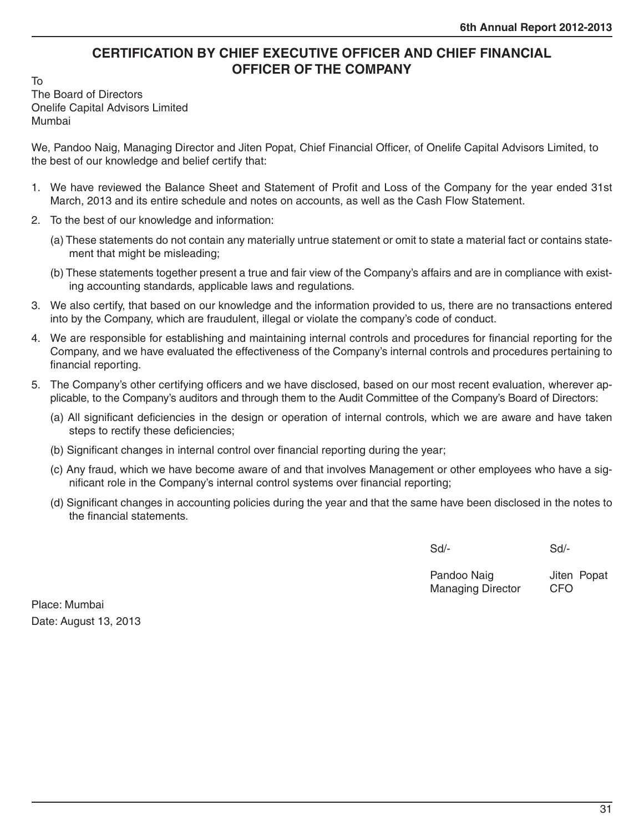### **CERTIFICATION BY CHIEF EXECUTIVE OFFICER AND CHIEF FINANCIAL OFFICER OF THE COMPANY**

To The Board of Directors Onelife Capital Advisors Limited Mumbai

We, Pandoo Naig, Managing Director and Jiten Popat, Chief Financial Officer, of Onelife Capital Advisors Limited, to the best of our knowledge and belief certify that:

- 1. We have reviewed the Balance Sheet and Statement of Profit and Loss of the Company for the year ended 31st March, 2013 and its entire schedule and notes on accounts, as well as the Cash Flow Statement.
- 2. To the best of our knowledge and information:
	- (a) These statements do not contain any materially untrue statement or omit to state a material fact or contains statement that might be misleading;
	- (b) These statements together present a true and fair view of the Company's affairs and are in compliance with existing accounting standards, applicable laws and regulations.
- 3. We also certify, that based on our knowledge and the information provided to us, there are no transactions entered into by the Company, which are fraudulent, illegal or violate the company's code of conduct.
- 4. We are responsible for establishing and maintaining internal controls and procedures for financial reporting for the Company, and we have evaluated the effectiveness of the Company's internal controls and procedures pertaining to financial reporting.
- 5. The Company's other certifying officers and we have disclosed, based on our most recent evaluation, wherever applicable, to the Company's auditors and through them to the Audit Committee of the Company's Board of Directors:
	- (a) All significant deficiencies in the design or operation of internal controls, which we are aware and have taken steps to rectify these deficiencies;
	- (b) Significant changes in internal control over financial reporting during the year;
	- (c) Any fraud, which we have become aware of and that involves Management or other employees who have a significant role in the Company's internal control systems over financial reporting;
	- (d) Significant changes in accounting policies during the year and that the same have been disclosed in the notes to the financial statements.

 $Sd/ Sd/-$ 

 Pandoo Naig Jiten Popat Managing Director CFO

Place: Mumbai Date: August 13, 2013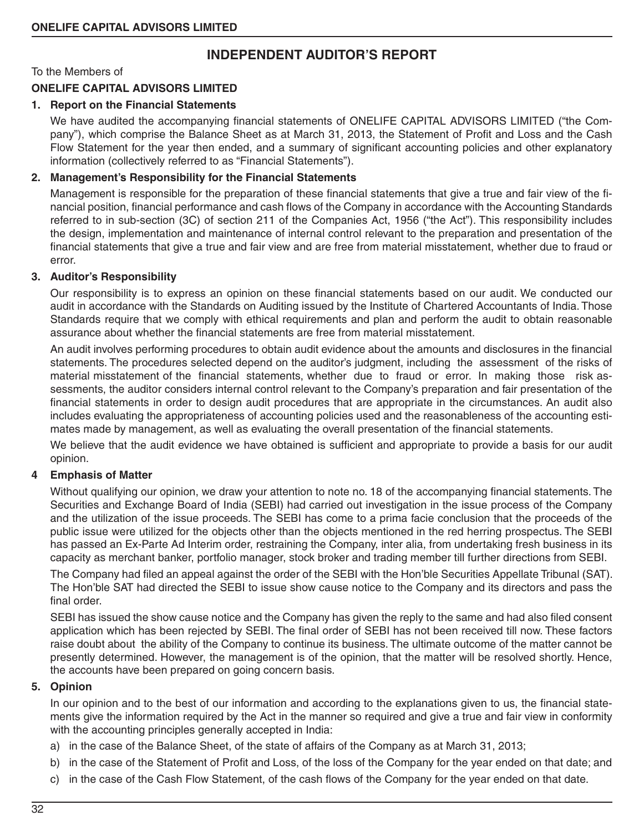### **INDEPENDENT AUDITOR'S REPORT**

To the Members of

#### **ONELIFE CAPITAL ADVISORS LIMITED**

#### **1. Report on the Financial Statements**

We have audited the accompanying financial statements of ONELIFE CAPITAL ADVISORS LIMITED ("the Company"), which comprise the Balance Sheet as at March 31, 2013, the Statement of Profit and Loss and the Cash Flow Statement for the year then ended, and a summary of significant accounting policies and other explanatory information (collectively referred to as "Financial Statements").

#### **2. Management's Responsibility for the Financial Statements**

Management is responsible for the preparation of these financial statements that give a true and fair view of the financial position, financial performance and cash flows of the Company in accordance with the Accounting Standards referred to in sub-section (3C) of section 211 of the Companies Act, 1956 ("the Act"). This responsibility includes the design, implementation and maintenance of internal control relevant to the preparation and presentation of the financial statements that give a true and fair view and are free from material misstatement, whether due to fraud or error.

#### **3. Auditor's Responsibility**

Our responsibility is to express an opinion on these financial statements based on our audit. We conducted our audit in accordance with the Standards on Auditing issued by the Institute of Chartered Accountants of India. Those Standards require that we comply with ethical requirements and plan and perform the audit to obtain reasonable assurance about whether the financial statements are free from material misstatement.

An audit involves performing procedures to obtain audit evidence about the amounts and disclosures in the financial statements. The procedures selected depend on the auditor's judgment, including the assessment of the risks of material misstatement of the financial statements, whether due to fraud or error. In making those risk assessments, the auditor considers internal control relevant to the Company's preparation and fair presentation of the financial statements in order to design audit procedures that are appropriate in the circumstances. An audit also includes evaluating the appropriateness of accounting policies used and the reasonableness of the accounting estimates made by management, as well as evaluating the overall presentation of the financial statements.

We believe that the audit evidence we have obtained is sufficient and appropriate to provide a basis for our audit opinion.

#### **4 Emphasis of Matter**

Without qualifying our opinion, we draw your attention to note no. 18 of the accompanying financial statements. The Securities and Exchange Board of India (SEBI) had carried out investigation in the issue process of the Company and the utilization of the issue proceeds. The SEBI has come to a prima facie conclusion that the proceeds of the public issue were utilized for the objects other than the objects mentioned in the red herring prospectus. The SEBI has passed an Ex-Parte Ad Interim order, restraining the Company, inter alia, from undertaking fresh business in its capacity as merchant banker, portfolio manager, stock broker and trading member till further directions from SEBI.

The Company had filed an appeal against the order of the SEBI with the Hon'ble Securities Appellate Tribunal (SAT). The Hon'ble SAT had directed the SEBI to issue show cause notice to the Company and its directors and pass the final order.

SEBI has issued the show cause notice and the Company has given the reply to the same and had also filed consent application which has been rejected by SEBI. The final order of SEBI has not been received till now. These factors raise doubt about the ability of the Company to continue its business. The ultimate outcome of the matter cannot be presently determined. However, the management is of the opinion, that the matter will be resolved shortly. Hence, the accounts have been prepared on going concern basis.

#### **5. Opinion**

In our opinion and to the best of our information and according to the explanations given to us, the financial statements give the information required by the Act in the manner so required and give a true and fair view in conformity with the accounting principles generally accepted in India:

- a) in the case of the Balance Sheet, of the state of affairs of the Company as at March 31, 2013;
- b) in the case of the Statement of Profit and Loss, of the loss of the Company for the year ended on that date; and
- c) in the case of the Cash Flow Statement, of the cash flows of the Company for the year ended on that date.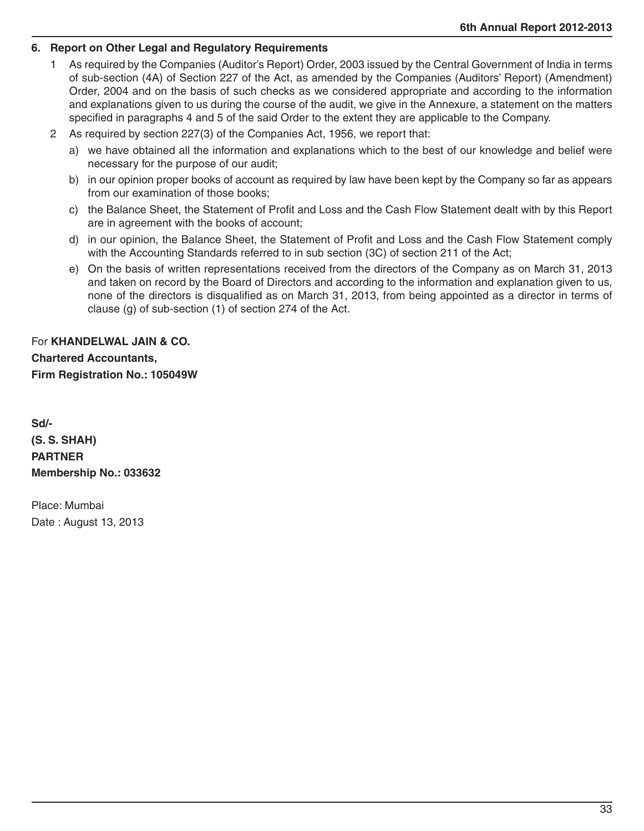#### **6. Report on Other Legal and Regulatory Requirements**

- 1 As required by the Companies (Auditor's Report) Order, 2003 issued by the Central Government of India in terms of sub-section (4A) of Section 227 of the Act, as amended by the Companies (Auditors' Report) (Amendment) Order, 2004 and on the basis of such checks as we considered appropriate and according to the information and explanations given to us during the course of the audit, we give in the Annexure, a statement on the matters specified in paragraphs 4 and 5 of the said Order to the extent they are applicable to the Company.
- 2 As required by section 227(3) of the Companies Act, 1956, we report that:
	- a) we have obtained all the information and explanations which to the best of our knowledge and belief were necessary for the purpose of our audit;
	- b) in our opinion proper books of account as required by law have been kept by the Company so far as appears from our examination of those books;
	- c) the Balance Sheet, the Statement of Profit and Loss and the Cash Flow Statement dealt with by this Report are in agreement with the books of account;
	- d) in our opinion, the Balance Sheet, the Statement of Profit and Loss and the Cash Flow Statement comply with the Accounting Standards referred to in sub section (3C) of section 211 of the Act;
	- e) On the basis of written representations received from the directors of the Company as on March 31, 2013 and taken on record by the Board of Directors and according to the information and explanation given to us, none of the directors is disqualified as on March 31, 2013, from being appointed as a director in terms of clause (g) of sub-section (1) of section 274 of the Act.

For **KHANDELWAL JAIN & CO. Chartered Accountants, Firm Registration No.: 105049W**

**Sd/- (S. S. SHAH) PARTNER Membership No.: 033632**

Place: Mumbai Date : August 13, 2013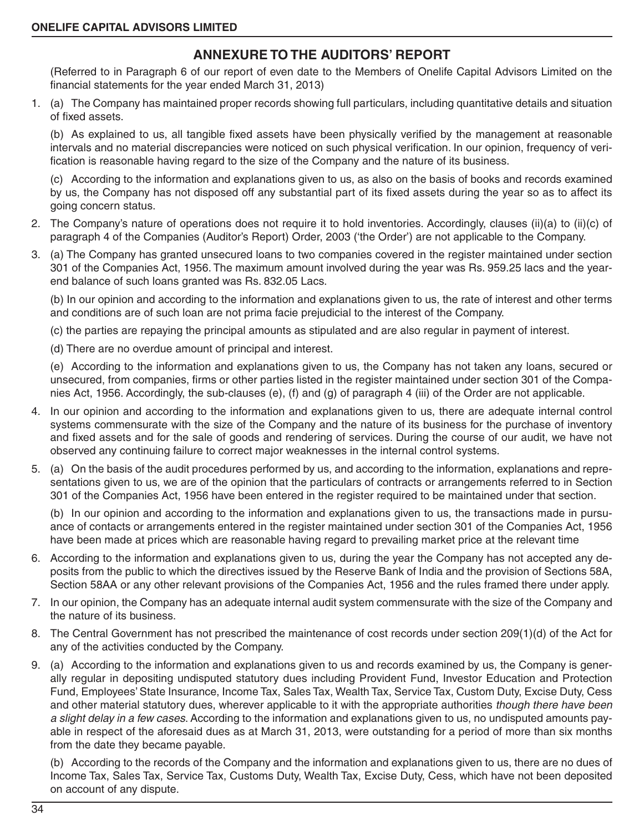### **ANNEXURE TO THE AUDITORS' REPORT**

(Referred to in Paragraph 6 of our report of even date to the Members of Onelife Capital Advisors Limited on the financial statements for the year ended March 31, 2013)

1. (a) The Company has maintained proper records showing full particulars, including quantitative details and situation of fixed assets.

(b) As explained to us, all tangible fixed assets have been physically verified by the management at reasonable intervals and no material discrepancies were noticed on such physical verification. In our opinion, frequency of verification is reasonable having regard to the size of the Company and the nature of its business.

(c) According to the information and explanations given to us, as also on the basis of books and records examined by us, the Company has not disposed off any substantial part of its fixed assets during the year so as to affect its going concern status.

- 2. The Company's nature of operations does not require it to hold inventories. Accordingly, clauses (ii)(a) to (ii)(c) of paragraph 4 of the Companies (Auditor's Report) Order, 2003 ('the Order') are not applicable to the Company.
- 3. (a) The Company has granted unsecured loans to two companies covered in the register maintained under section 301 of the Companies Act, 1956. The maximum amount involved during the year was Rs. 959.25 lacs and the yearend balance of such loans granted was Rs. 832.05 Lacs.

(b) In our opinion and according to the information and explanations given to us, the rate of interest and other terms and conditions are of such loan are not prima facie prejudicial to the interest of the Company.

- (c) the parties are repaying the principal amounts as stipulated and are also regular in payment of interest.
- (d) There are no overdue amount of principal and interest.

(e) According to the information and explanations given to us, the Company has not taken any loans, secured or unsecured, from companies, firms or other parties listed in the register maintained under section 301 of the Companies Act, 1956. Accordingly, the sub-clauses (e), (f) and (g) of paragraph 4 (iii) of the Order are not applicable.

- 4. In our opinion and according to the information and explanations given to us, there are adequate internal control systems commensurate with the size of the Company and the nature of its business for the purchase of inventory and fixed assets and for the sale of goods and rendering of services. During the course of our audit, we have not observed any continuing failure to correct major weaknesses in the internal control systems.
- 5. (a) On the basis of the audit procedures performed by us, and according to the information, explanations and representations given to us, we are of the opinion that the particulars of contracts or arrangements referred to in Section 301 of the Companies Act, 1956 have been entered in the register required to be maintained under that section.

(b) In our opinion and according to the information and explanations given to us, the transactions made in pursuance of contacts or arrangements entered in the register maintained under section 301 of the Companies Act, 1956 have been made at prices which are reasonable having regard to prevailing market price at the relevant time

- 6. According to the information and explanations given to us, during the year the Company has not accepted any deposits from the public to which the directives issued by the Reserve Bank of India and the provision of Sections 58A, Section 58AA or any other relevant provisions of the Companies Act, 1956 and the rules framed there under apply.
- 7. In our opinion, the Company has an adequate internal audit system commensurate with the size of the Company and the nature of its business.
- 8. The Central Government has not prescribed the maintenance of cost records under section 209(1)(d) of the Act for any of the activities conducted by the Company.
- 9. (a) According to the information and explanations given to us and records examined by us, the Company is generally regular in depositing undisputed statutory dues including Provident Fund, Investor Education and Protection Fund, Employees' State Insurance, Income Tax, Sales Tax, Wealth Tax, Service Tax, Custom Duty, Excise Duty, Cess and other material statutory dues, wherever applicable to it with the appropriate authorities though there have been a slight delay in a few cases. According to the information and explanations given to us, no undisputed amounts payable in respect of the aforesaid dues as at March 31, 2013, were outstanding for a period of more than six months from the date they became payable.

(b) According to the records of the Company and the information and explanations given to us, there are no dues of Income Tax, Sales Tax, Service Tax, Customs Duty, Wealth Tax, Excise Duty, Cess, which have not been deposited on account of any dispute.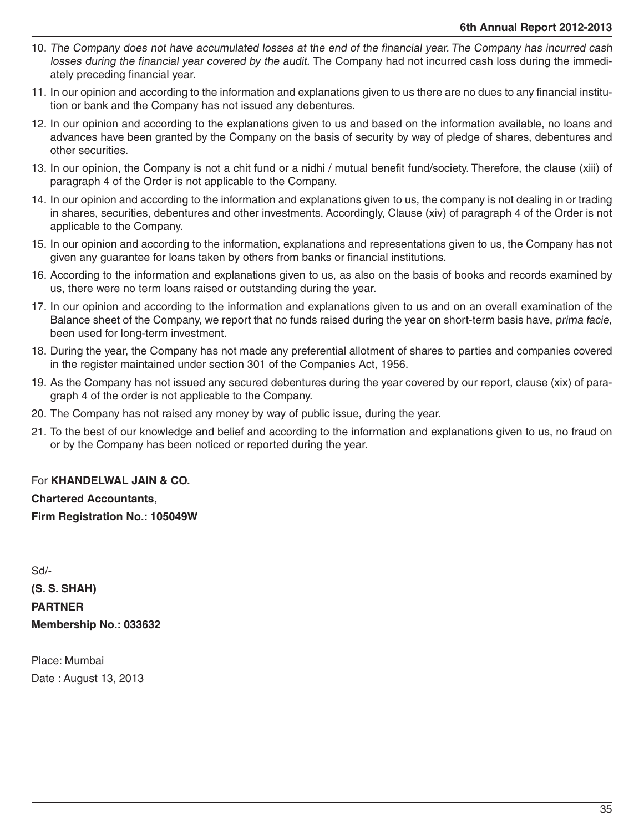- 10. The Company does not have accumulated losses at the end of the financial year. The Company has incurred cash losses during the financial year covered by the audit. The Company had not incurred cash loss during the immediately preceding financial year.
- 11. In our opinion and according to the information and explanations given to us there are no dues to any financial institution or bank and the Company has not issued any debentures.
- 12. In our opinion and according to the explanations given to us and based on the information available, no loans and advances have been granted by the Company on the basis of security by way of pledge of shares, debentures and other securities.
- 13. In our opinion, the Company is not a chit fund or a nidhi / mutual benefit fund/society. Therefore, the clause (xiii) of paragraph 4 of the Order is not applicable to the Company.
- 14. In our opinion and according to the information and explanations given to us, the company is not dealing in or trading in shares, securities, debentures and other investments. Accordingly, Clause (xiv) of paragraph 4 of the Order is not applicable to the Company.
- 15. In our opinion and according to the information, explanations and representations given to us, the Company has not given any guarantee for loans taken by others from banks or financial institutions.
- 16. According to the information and explanations given to us, as also on the basis of books and records examined by us, there were no term loans raised or outstanding during the year.
- 17. In our opinion and according to the information and explanations given to us and on an overall examination of the Balance sheet of the Company, we report that no funds raised during the year on short-term basis have, prima facie, been used for long-term investment.
- 18. During the year, the Company has not made any preferential allotment of shares to parties and companies covered in the register maintained under section 301 of the Companies Act, 1956.
- 19. As the Company has not issued any secured debentures during the year covered by our report, clause (xix) of paragraph 4 of the order is not applicable to the Company.
- 20. The Company has not raised any money by way of public issue, during the year.
- 21. To the best of our knowledge and belief and according to the information and explanations given to us, no fraud on or by the Company has been noticed or reported during the year.

#### For **KHANDELWAL JAIN & CO.**

#### **Chartered Accountants,**

**Firm Registration No.: 105049W**

Sd/- **(S. S. SHAH) PARTNER Membership No.: 033632**

Place: Mumbai Date : August 13, 2013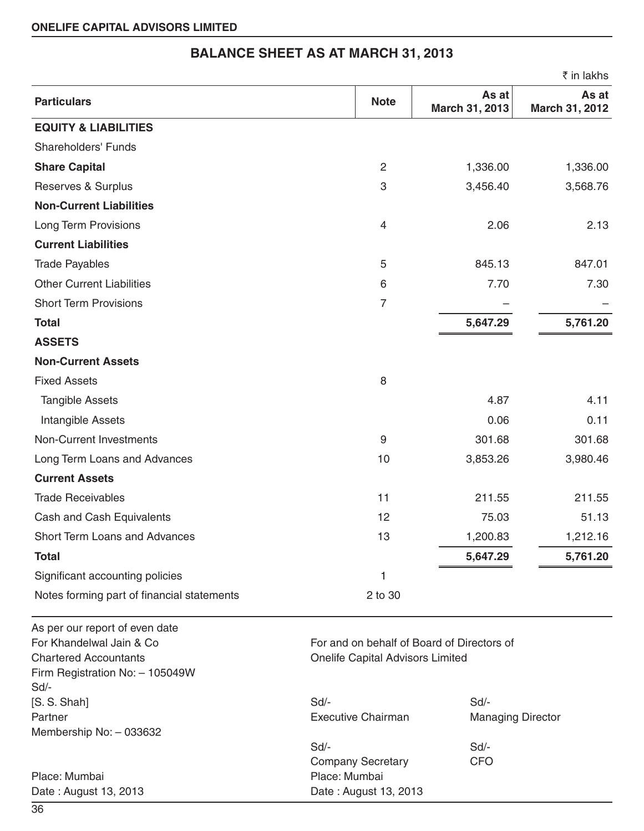## **BALANCE SHEET AS AT MARCH 31, 2013**

|                                                          |                                                                                |                          | ₹ in lakhs              |
|----------------------------------------------------------|--------------------------------------------------------------------------------|--------------------------|-------------------------|
| <b>Particulars</b>                                       | <b>Note</b>                                                                    | As at<br>March 31, 2013  | As at<br>March 31, 2012 |
| <b>EQUITY &amp; LIABILITIES</b>                          |                                                                                |                          |                         |
| <b>Shareholders' Funds</b>                               |                                                                                |                          |                         |
| <b>Share Capital</b>                                     | $\overline{2}$                                                                 | 1,336.00                 | 1,336.00                |
| Reserves & Surplus                                       | 3                                                                              | 3,456.40                 | 3,568.76                |
| <b>Non-Current Liabilities</b>                           |                                                                                |                          |                         |
| <b>Long Term Provisions</b>                              | $\overline{4}$                                                                 | 2.06                     | 2.13                    |
| <b>Current Liabilities</b>                               |                                                                                |                          |                         |
| <b>Trade Payables</b>                                    | 5                                                                              | 845.13                   | 847.01                  |
| <b>Other Current Liabilities</b>                         | 6                                                                              | 7.70                     | 7.30                    |
| <b>Short Term Provisions</b>                             | $\overline{7}$                                                                 |                          |                         |
| <b>Total</b>                                             |                                                                                | 5,647.29                 | 5,761.20                |
| <b>ASSETS</b>                                            |                                                                                |                          |                         |
| <b>Non-Current Assets</b>                                |                                                                                |                          |                         |
| <b>Fixed Assets</b>                                      | 8                                                                              |                          |                         |
| <b>Tangible Assets</b>                                   |                                                                                | 4.87                     | 4.11                    |
| Intangible Assets                                        |                                                                                | 0.06                     | 0.11                    |
| <b>Non-Current Investments</b>                           | $\boldsymbol{9}$                                                               | 301.68                   | 301.68                  |
| Long Term Loans and Advances                             | 10                                                                             | 3,853.26                 | 3,980.46                |
| <b>Current Assets</b>                                    |                                                                                |                          |                         |
| <b>Trade Receivables</b>                                 | 11                                                                             | 211.55                   | 211.55                  |
| Cash and Cash Equivalents                                | 12                                                                             | 75.03                    | 51.13                   |
| Short Term Loans and Advances                            | 13                                                                             | 1,200.83                 | 1,212.16                |
| <b>Total</b>                                             |                                                                                | 5,647.29                 | 5,761.20                |
| Significant accounting policies                          | 1                                                                              |                          |                         |
| Notes forming part of financial statements               | 2 to 30                                                                        |                          |                         |
| As per our report of even date                           |                                                                                |                          |                         |
| For Khandelwal Jain & Co<br><b>Chartered Accountants</b> | For and on behalf of Board of Directors of<br>Onelife Capital Advisors Limited |                          |                         |
| Firm Registration No: - 105049W<br>Sd/-                  |                                                                                |                          |                         |
| [S. S. Shah]                                             | $Sd$ -                                                                         | Sd                       |                         |
| Partner                                                  | <b>Executive Chairman</b>                                                      | <b>Managing Director</b> |                         |
| Membership No: - 033632                                  | $Sd$ -                                                                         | Sd/-                     |                         |
|                                                          | <b>Company Secretary</b>                                                       | <b>CFO</b>               |                         |
| Place: Mumbai                                            | Place: Mumbai                                                                  |                          |                         |
| Date: August 13, 2013                                    | Date: August 13, 2013                                                          |                          |                         |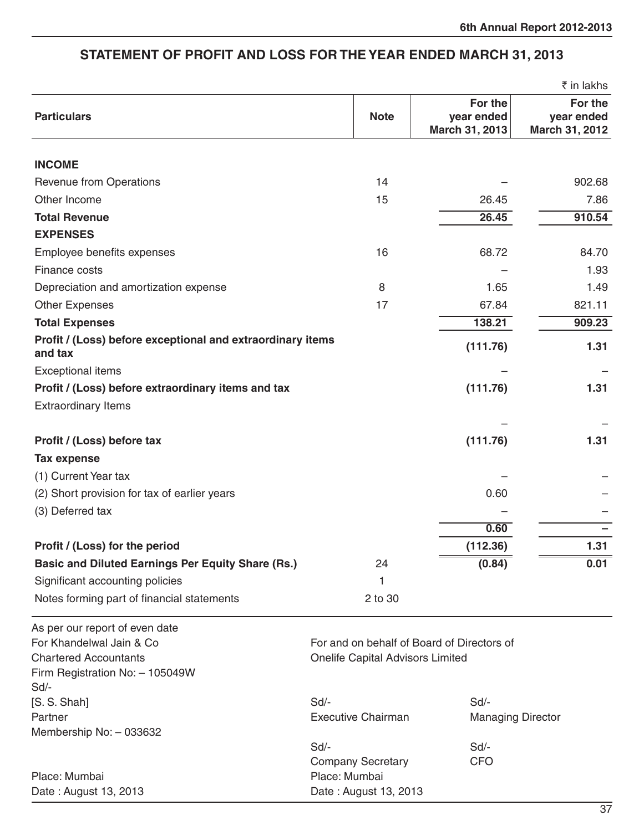|                                                                       |                                            |                                         | ₹ in lakhs                              |
|-----------------------------------------------------------------------|--------------------------------------------|-----------------------------------------|-----------------------------------------|
| <b>Particulars</b>                                                    | <b>Note</b>                                | For the<br>year ended<br>March 31, 2013 | For the<br>year ended<br>March 31, 2012 |
| <b>INCOME</b>                                                         |                                            |                                         |                                         |
| Revenue from Operations                                               | 14                                         |                                         | 902.68                                  |
| Other Income                                                          | 15                                         | 26.45                                   | 7.86                                    |
| <b>Total Revenue</b>                                                  |                                            | 26.45                                   | 910.54                                  |
| <b>EXPENSES</b>                                                       |                                            |                                         |                                         |
| Employee benefits expenses                                            | 16                                         | 68.72                                   | 84.70                                   |
| Finance costs                                                         |                                            |                                         | 1.93                                    |
| Depreciation and amortization expense                                 | 8                                          | 1.65                                    | 1.49                                    |
| <b>Other Expenses</b>                                                 | 17                                         | 67.84                                   | 821.11                                  |
| <b>Total Expenses</b>                                                 |                                            | 138.21                                  | 909.23                                  |
| Profit / (Loss) before exceptional and extraordinary items<br>and tax |                                            | (111.76)                                | 1.31                                    |
| <b>Exceptional items</b>                                              |                                            |                                         |                                         |
| Profit / (Loss) before extraordinary items and tax                    |                                            | (111.76)                                | 1.31                                    |
| <b>Extraordinary Items</b>                                            |                                            |                                         |                                         |
| Profit / (Loss) before tax<br><b>Tax expense</b>                      |                                            | (111.76)                                | 1.31                                    |
| (1) Current Year tax                                                  |                                            |                                         |                                         |
| (2) Short provision for tax of earlier years                          |                                            | 0.60                                    |                                         |
| (3) Deferred tax                                                      |                                            |                                         |                                         |
|                                                                       |                                            | 0.60                                    |                                         |
| Profit / (Loss) for the period                                        |                                            | (112.36)                                | 1.31                                    |
| <b>Basic and Diluted Earnings Per Equity Share (Rs.)</b>              | 24                                         | (0.84)                                  | 0.01                                    |
| Significant accounting policies                                       |                                            |                                         |                                         |
| Notes forming part of financial statements                            | 2 to 30                                    |                                         |                                         |
| As per our report of even date<br>For Khandelwal Jain & Co            | For and on behalf of Board of Directors of |                                         |                                         |
| <b>Chartered Accountants</b>                                          | Onelife Capital Advisors Limited           |                                         |                                         |
| Firm Registration No: - 105049W<br>Sd/-                               |                                            |                                         |                                         |
| [S. S. Shah]                                                          | $Sd$ -                                     | Sd/-                                    |                                         |
| Partner                                                               | <b>Executive Chairman</b>                  | <b>Managing Director</b>                |                                         |
| Membership No: - 033632                                               | Sd/-                                       | Sd/-                                    |                                         |
|                                                                       | <b>Company Secretary</b>                   | <b>CFO</b>                              |                                         |
| Place: Mumbai<br>Date: August 13, 2013                                | Place: Mumbai<br>Date: August 13, 2013     |                                         |                                         |

### **STATEMENT OF PROFIT AND LOSS FOR THE YEAR ENDED MARCH 31, 2013**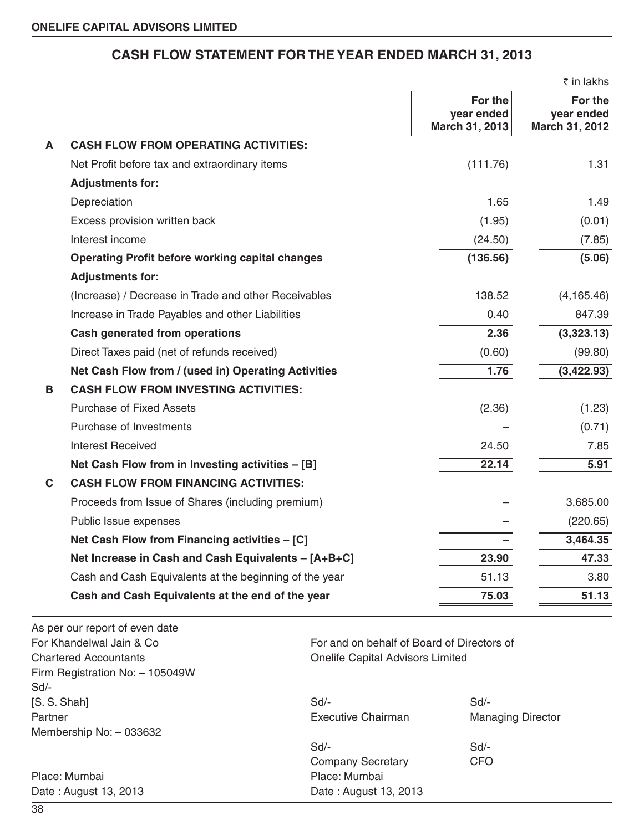### **CASH FLOW STATEMENT FOR THE YEAR ENDED MARCH 31, 2013**

|              |                                                                 |                                            |                                         | ₹ in lakhs                              |
|--------------|-----------------------------------------------------------------|--------------------------------------------|-----------------------------------------|-----------------------------------------|
|              |                                                                 |                                            | For the<br>year ended<br>March 31, 2013 | For the<br>year ended<br>March 31, 2012 |
| A            | <b>CASH FLOW FROM OPERATING ACTIVITIES:</b>                     |                                            |                                         |                                         |
|              | Net Profit before tax and extraordinary items                   |                                            | (111.76)                                | 1.31                                    |
|              | <b>Adjustments for:</b>                                         |                                            |                                         |                                         |
|              | Depreciation                                                    |                                            | 1.65                                    | 1.49                                    |
|              | Excess provision written back                                   |                                            | (1.95)                                  | (0.01)                                  |
|              | Interest income                                                 |                                            | (24.50)                                 | (7.85)                                  |
|              | <b>Operating Profit before working capital changes</b>          |                                            | (136.56)                                | (5.06)                                  |
|              | <b>Adjustments for:</b>                                         |                                            |                                         |                                         |
|              | (Increase) / Decrease in Trade and other Receivables            |                                            | 138.52                                  | (4, 165.46)                             |
|              | Increase in Trade Payables and other Liabilities                |                                            | 0.40                                    | 847.39                                  |
|              | <b>Cash generated from operations</b>                           |                                            | 2.36                                    | (3,323.13)                              |
|              | Direct Taxes paid (net of refunds received)                     |                                            | (0.60)                                  | (99.80)                                 |
|              | Net Cash Flow from / (used in) Operating Activities             |                                            | 1.76                                    | (3, 422.93)                             |
| в            | <b>CASH FLOW FROM INVESTING ACTIVITIES:</b>                     |                                            |                                         |                                         |
|              | <b>Purchase of Fixed Assets</b>                                 |                                            | (2.36)                                  | (1.23)                                  |
|              | Purchase of Investments                                         |                                            |                                         | (0.71)                                  |
|              | <b>Interest Received</b>                                        |                                            | 24.50                                   | 7.85                                    |
|              | Net Cash Flow from in Investing activities - [B]                |                                            | 22.14                                   | 5.91                                    |
| $\mathbf c$  | <b>CASH FLOW FROM FINANCING ACTIVITIES:</b>                     |                                            |                                         |                                         |
|              | Proceeds from Issue of Shares (including premium)               |                                            |                                         | 3,685.00                                |
|              | Public Issue expenses                                           |                                            |                                         | (220.65)                                |
|              | Net Cash Flow from Financing activities - [C]                   |                                            |                                         | 3,464.35                                |
|              | Net Increase in Cash and Cash Equivalents - [A+B+C]             |                                            | 23.90                                   | 47.33                                   |
|              | Cash and Cash Equivalents at the beginning of the year          |                                            | 51.13                                   | 3.80                                    |
|              | Cash and Cash Equivalents at the end of the year                |                                            | 75.03                                   | 51.13                                   |
|              | As per our report of even date                                  |                                            |                                         |                                         |
|              | For Khandelwal Jain & Co                                        | For and on behalf of Board of Directors of |                                         |                                         |
| Sd/-         | <b>Chartered Accountants</b><br>Firm Registration No: - 105049W | Onelife Capital Advisors Limited           |                                         |                                         |
| [S. S. Shah] |                                                                 | Sd/-                                       | Sd/-                                    |                                         |
| Partner      |                                                                 | <b>Executive Chairman</b>                  | <b>Managing Director</b>                |                                         |
|              | Membership No: - 033632                                         |                                            |                                         |                                         |
|              |                                                                 | Sd/-                                       | Sd/-                                    |                                         |

Place: Mumbai Place: Mumbai

Company Secretary CFO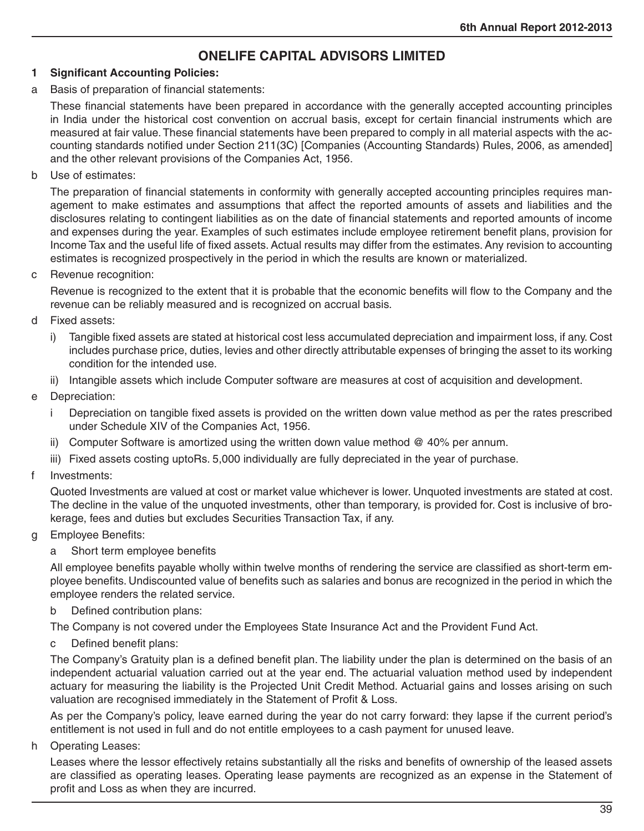### **ONELIFE CAPITAL ADVISORS LIMITED**

#### **1 Significant Accounting Policies:**

a Basis of preparation of financial statements:

These financial statements have been prepared in accordance with the generally accepted accounting principles in India under the historical cost convention on accrual basis, except for certain financial instruments which are measured at fair value. These financial statements have been prepared to comply in all material aspects with the accounting standards notified under Section 211(3C) [Companies (Accounting Standards) Rules, 2006, as amended] and the other relevant provisions of the Companies Act, 1956.

b Use of estimates:

The preparation of financial statements in conformity with generally accepted accounting principles requires management to make estimates and assumptions that affect the reported amounts of assets and liabilities and the disclosures relating to contingent liabilities as on the date of financial statements and reported amounts of income and expenses during the year. Examples of such estimates include employee retirement benefit plans, provision for Income Tax and the useful life of fixed assets. Actual results may differ from the estimates. Any revision to accounting estimates is recognized prospectively in the period in which the results are known or materialized.

c Revenue recognition:

Revenue is recognized to the extent that it is probable that the economic benefits will flow to the Company and the revenue can be reliably measured and is recognized on accrual basis.

- d Fixed assets:
	- i) Tangible fixed assets are stated at historical cost less accumulated depreciation and impairment loss, if any. Cost includes purchase price, duties, levies and other directly attributable expenses of bringing the asset to its working condition for the intended use.
	- ii) Intangible assets which include Computer software are measures at cost of acquisition and development.
- e Depreciation:
	- i Depreciation on tangible fixed assets is provided on the written down value method as per the rates prescribed under Schedule XIV of the Companies Act, 1956.
	- ii) Computer Software is amortized using the written down value method @ 40% per annum.
	- iii) Fixed assets costing uptoRs. 5,000 individually are fully depreciated in the year of purchase.
- f Investments:

Quoted Investments are valued at cost or market value whichever is lower. Unquoted investments are stated at cost. The decline in the value of the unquoted investments, other than temporary, is provided for. Cost is inclusive of brokerage, fees and duties but excludes Securities Transaction Tax, if any.

- g Employee Benefits:
	- a Short term employee benefits

All employee benefits payable wholly within twelve months of rendering the service are classified as short-term employee benefits. Undiscounted value of benefits such as salaries and bonus are recognized in the period in which the employee renders the related service.

b Defined contribution plans:

The Company is not covered under the Employees State Insurance Act and the Provident Fund Act.

c Defined benefit plans:

The Company's Gratuity plan is a defined benefit plan. The liability under the plan is determined on the basis of an independent actuarial valuation carried out at the year end. The actuarial valuation method used by independent actuary for measuring the liability is the Projected Unit Credit Method. Actuarial gains and losses arising on such valuation are recognised immediately in the Statement of Profit & Loss.

As per the Company's policy, leave earned during the year do not carry forward: they lapse if the current period's entitlement is not used in full and do not entitle employees to a cash payment for unused leave.

h Operating Leases:

Leases where the lessor effectively retains substantially all the risks and benefits of ownership of the leased assets are classified as operating leases. Operating lease payments are recognized as an expense in the Statement of profit and Loss as when they are incurred.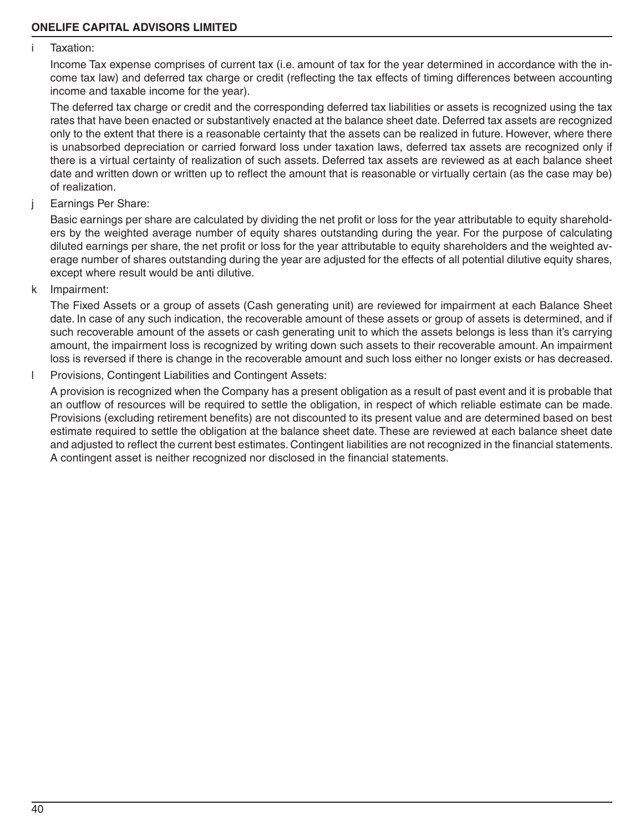#### i Taxation:

Income Tax expense comprises of current tax (i.e. amount of tax for the year determined in accordance with the income tax law) and deferred tax charge or credit (reflecting the tax effects of timing differences between accounting income and taxable income for the year).

The deferred tax charge or credit and the corresponding deferred tax liabilities or assets is recognized using the tax rates that have been enacted or substantively enacted at the balance sheet date. Deferred tax assets are recognized only to the extent that there is a reasonable certainty that the assets can be realized in future. However, where there is unabsorbed depreciation or carried forward loss under taxation laws, deferred tax assets are recognized only if there is a virtual certainty of realization of such assets. Deferred tax assets are reviewed as at each balance sheet date and written down or written up to reflect the amount that is reasonable or virtually certain (as the case may be) of realization.

j Earnings Per Share:

Basic earnings per share are calculated by dividing the net profit or loss for the year attributable to equity shareholders by the weighted average number of equity shares outstanding during the year. For the purpose of calculating diluted earnings per share, the net profit or loss for the year attributable to equity shareholders and the weighted average number of shares outstanding during the year are adjusted for the effects of all potential dilutive equity shares, except where result would be anti dilutive.

k Impairment:

The Fixed Assets or a group of assets (Cash generating unit) are reviewed for impairment at each Balance Sheet date. In case of any such indication, the recoverable amount of these assets or group of assets is determined, and if such recoverable amount of the assets or cash generating unit to which the assets belongs is less than it's carrying amount, the impairment loss is recognized by writing down such assets to their recoverable amount. An impairment loss is reversed if there is change in the recoverable amount and such loss either no longer exists or has decreased.

l Provisions, Contingent Liabilities and Contingent Assets:

A provision is recognized when the Company has a present obligation as a result of past event and it is probable that an outflow of resources will be required to settle the obligation, in respect of which reliable estimate can be made. Provisions (excluding retirement benefits) are not discounted to its present value and are determined based on best estimate required to settle the obligation at the balance sheet date. These are reviewed at each balance sheet date and adjusted to reflect the current best estimates. Contingent liabilities are not recognized in the financial statements. A contingent asset is neither recognized nor disclosed in the financial statements.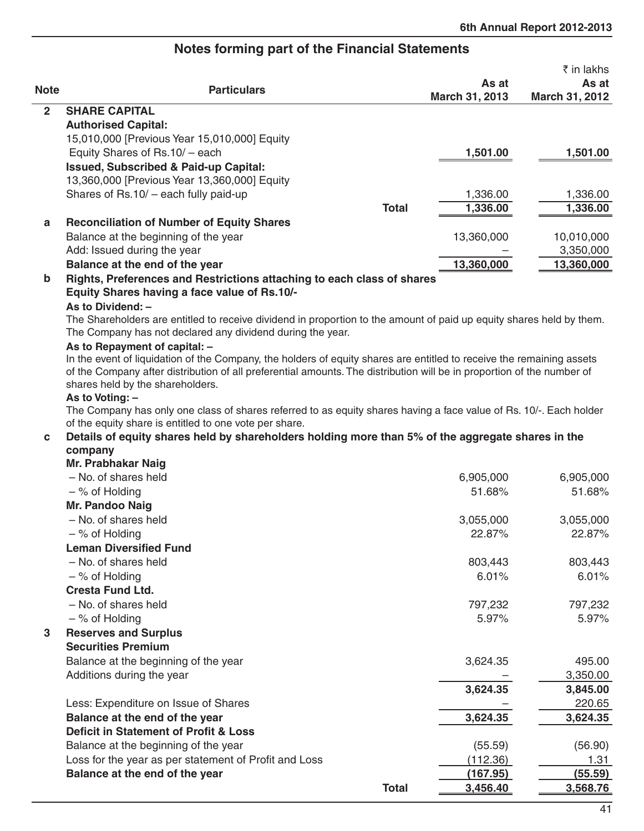#### $\bar{\tau}$  in lakhs **Note Particulars As at March 31, 2013 As at March 31, 2012 2 SHARE CAPITAL Authorised Capital:** 15,010,000 [Previous Year 15,010,000] Equity Equity Shares of Rs.10/ – each **1,501.00 1,501.00 Issued, Subscribed & Paid-up Capital:** 13,360,000 [Previous Year 13,360,000] Equity Shares of Rs.10/ – each fully paid-up 1,336.00 1,336.00 1,336.00 1,336.00 **Total 1,336.00 1,336.00 a Reconciliation of Number of Equity Shares** Balance at the beginning of the year 13,360,000 10,010,000 10,010,000 Add: Issued during the year example of the state of the state of the state of the state of the state of the state of the state of the state of the state of the state of the state of the state of the state of the state of t **Balance at the end of the year 13,360,000 13,360,000 13,360,000 b Rights, Preferences and Restrictions attaching to each class of shares Equity Shares having a face value of Rs.10/- As to Dividend: –** The Shareholders are entitled to receive dividend in proportion to the amount of paid up equity shares held by them. The Company has not declared any dividend during the year. **As to Repayment of capital: –** In the event of liquidation of the Company, the holders of equity shares are entitled to receive the remaining assets of the Company after distribution of all preferential amounts. The distribution will be in proportion of the number of shares held by the shareholders. **As to Voting: –** The Company has only one class of shares referred to as equity shares having a face value of Rs. 10/-. Each holder of the equity share is entitled to one vote per share. **c Details of equity shares held by shareholders holding more than 5% of the aggregate shares in the company Mr. Prabhakar Naig** – No. of shares held 6,905,000 6,905,000 – % of Holding 51.68% 51.68% **Mr. Pandoo Naig** – No. of shares held 3,055,000 3,055,000 – % of Holding 22.87% 22.87% **Leman Diversified Fund** – No. of shares held 803,443 803,443  $-$  % of Holding 6.01% 6.01% 6.01% 6.01% 6.01% 6.01% 6.01% 6.01% 6.01% 6.01% 6.01% 6.01% 6.01% 6.01% 6.01% 6.01% 6.01% 6.01% 6.01% 6.01% 6.01% 6.01% 6.01% 6.01% 6.01% 6.01% 6.01% 6.01% 6.01% 6.01% 6.01% 6.01% 6.01% 6.01% **Cresta Fund Ltd.** – No. of shares held 797,232 797,232  $-$  % of Holding 5.97% 5.97% 5.97% 5.97% 5.97% 5.97% 5.97% 5.97% 5.97% 5.97% 5.97% 5.97% 5.97% 5.97% 5.97% 5.97% 5.97% 5.97% 5.97% 5.97% 5.97% 5.97% 5.97% 5.97% 5.97% 5.97% 5.97% 5.97% 5.97% 5.97% 5.97% 5.97% 5.97% 5.97% **3 Reserves and Surplus Securities Premium** Balance at the beginning of the year 3,624.35 495.00 Additions during the year example of the state of the state of the state of the state of the state of the state of the state of the state of the state of the state of the state of the state of the state of the state of the  **3,624.35 3,845.00** Less: Expenditure on Issue of Shares – 220.65 **Balance at the end of the year 3,624.35 3,624.35** 3,624.35 **Deficit in Statement of Profit & Loss** Balance at the beginning of the year (56.90) (56.90) Loss for the year as per statement of Profit and Loss (112.36) (112.36) 1.31 **Balance at the end of the year (167.95) (55.59) Total 3,456.40 3,568.76**

### **Notes forming part of the Financial Statements**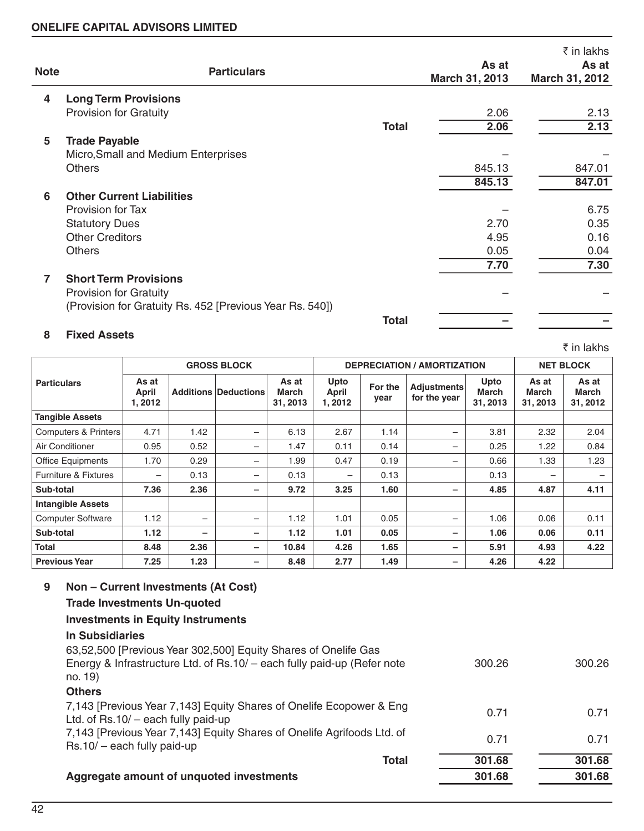|             |                                                          |              |                | ₹ in lakhs     |
|-------------|----------------------------------------------------------|--------------|----------------|----------------|
| <b>Note</b> | <b>Particulars</b>                                       |              | As at          | As at          |
|             |                                                          |              | March 31, 2013 | March 31, 2012 |
| 4           | <b>Long Term Provisions</b>                              |              |                |                |
|             | <b>Provision for Gratuity</b>                            |              | 2.06           | 2.13           |
|             |                                                          | <b>Total</b> | 2.06           | 2.13           |
| 5           | <b>Trade Payable</b>                                     |              |                |                |
|             | Micro, Small and Medium Enterprises                      |              |                |                |
|             | <b>Others</b>                                            |              | 845.13         | 847.01         |
|             |                                                          |              | 845.13         | 847.01         |
| 6           | <b>Other Current Liabilities</b>                         |              |                |                |
|             | Provision for Tax                                        |              |                | 6.75           |
|             | <b>Statutory Dues</b>                                    |              | 2.70           | 0.35           |
|             | <b>Other Creditors</b>                                   |              | 4.95           | 0.16           |
|             | <b>Others</b>                                            |              | 0.05           | 0.04           |
|             |                                                          |              | 7.70           | 7.30           |
| 7           | <b>Short Term Provisions</b>                             |              |                |                |
|             | <b>Provision for Gratuity</b>                            |              |                |                |
|             | (Provision for Gratuity Rs. 452 [Previous Year Rs. 540]) |              |                |                |
|             |                                                          | <b>Total</b> |                |                |

#### **8 Fixed Assets**

 $\bar{\tau}$  in lakhs  **Particulars GROSS BLOCK GROSS BLOCK** DEPRECIATION / AMORTIZATION NET BLOCK  **As at April 1, 2012 Additions Deductions As at March 31, 2013 Upto April 1, 2012 For the year Adjustments for the year Upto March 31, 2013 As at March 31, 2013 As at March 31, 2012 Tangible Assets** Computers & Printers | 4.71 | 1.42 | - | 6.13 | 2.67 | 1.14 | - | 3.81 | 2.32 | 2.04 Air Conditioner | 0.95 | 0.52 | – | 1.47 | 0.11 | 0.14 | – | 0.25 | 1.22 | 0.84 Office Equipments | 1.70 0.29 – 1.99 0.47 0.19 – 0.66 1.33 1.23 Furniture & Fixtures | – 0.13 – 0.13 – 0.13 – 0.13 0.13 – 0.13 – – –  **Sub-total 7.36 2.36 – 9.72 3.25 1.60 – 4.85 4.87 4.11 Intangible Assets** Computer Software | 1.12 | – | 1.12 | 1.01 | 0.05 | – | 1.06 | 0.06 | 0.11  **Sub-total**  1.12 – – 1.12 1.01 0.05 – 1.06 0.06 0.11  **Total 8.48 2.36 – 10.84 4.26 1.65 – 5.91 4.93 4.22 Previous Year** | 7.25 | 1.23 | - | 8.48 | 2.77 | 1.49 | - | 4.26 | 4.22

| 9 | Non – Current Investments (At Cost)                                                                                                                  |        |        |
|---|------------------------------------------------------------------------------------------------------------------------------------------------------|--------|--------|
|   | <b>Trade Investments Un-quoted</b>                                                                                                                   |        |        |
|   | <b>Investments in Equity Instruments</b>                                                                                                             |        |        |
|   | In Subsidiaries                                                                                                                                      |        |        |
|   | 63,52,500 [Previous Year 302,500] Equity Shares of Onelife Gas<br>Energy & Infrastructure Ltd. of Rs.10/ - each fully paid-up (Refer note<br>no. 19) | 300.26 | 300.26 |
|   | <b>Others</b>                                                                                                                                        |        |        |
|   | 7,143 [Previous Year 7,143] Equity Shares of Onelife Ecopower & Eng<br>Ltd. of $Rs.10/-$ each fully paid-up                                          | 0.71   | 0.71   |
|   | 7,143 [Previous Year 7,143] Equity Shares of Onelife Agrifoods Ltd. of<br>$Rs.10/-$ each fully paid-up                                               | 0.71   | 0.71   |
|   | Total                                                                                                                                                | 301.68 | 301.68 |
|   | Aggregate amount of unquoted investments                                                                                                             | 301.68 | 301.68 |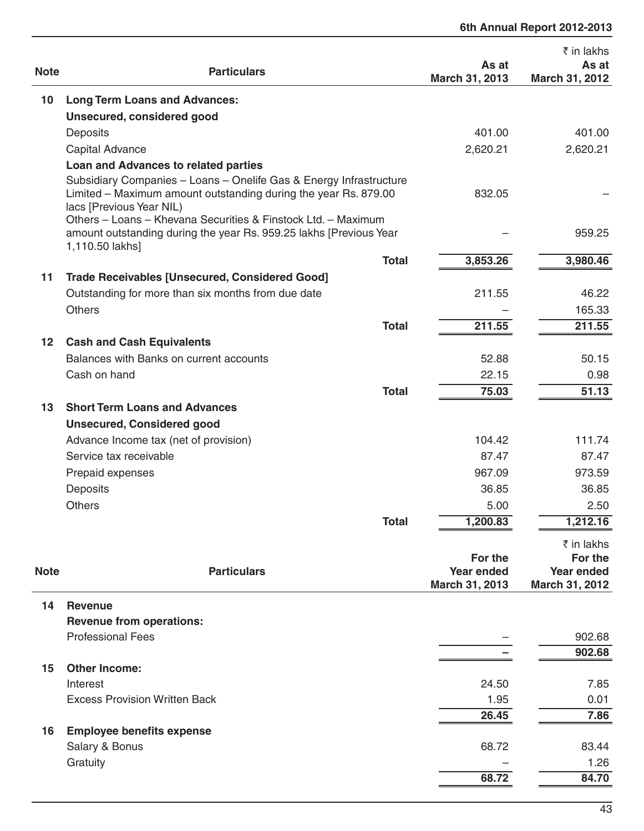#### **6th Annual Report 2012-2013**

| <b>Note</b> | <b>Particulars</b>                                                                                                                                                | As at<br>March 31, 2013      | ₹ in lakhs<br>As at<br>March 31, 2012 |
|-------------|-------------------------------------------------------------------------------------------------------------------------------------------------------------------|------------------------------|---------------------------------------|
| 10          | <b>Long Term Loans and Advances:</b>                                                                                                                              |                              |                                       |
|             | Unsecured, considered good                                                                                                                                        |                              |                                       |
|             | Deposits                                                                                                                                                          | 401.00                       | 401.00                                |
|             | Capital Advance                                                                                                                                                   | 2,620.21                     | 2,620.21                              |
|             | Loan and Advances to related parties                                                                                                                              |                              |                                       |
|             | Subsidiary Companies - Loans - Onelife Gas & Energy Infrastructure<br>Limited – Maximum amount outstanding during the year Rs. 879.00<br>lacs [Previous Year NIL) | 832.05                       |                                       |
|             | Others - Loans - Khevana Securities & Finstock Ltd. - Maximum<br>amount outstanding during the year Rs. 959.25 lakhs [Previous Year<br>1,110.50 lakhs]            |                              | 959.25                                |
|             | <b>Total</b>                                                                                                                                                      | 3,853.26                     | 3,980.46                              |
| 11          | <b>Trade Receivables [Unsecured, Considered Good]</b>                                                                                                             |                              |                                       |
|             | Outstanding for more than six months from due date                                                                                                                | 211.55                       | 46.22                                 |
|             | <b>Others</b>                                                                                                                                                     |                              | 165.33                                |
|             | <b>Total</b>                                                                                                                                                      | 211.55                       | 211.55                                |
| 12          | <b>Cash and Cash Equivalents</b>                                                                                                                                  |                              |                                       |
|             | Balances with Banks on current accounts                                                                                                                           | 52.88                        | 50.15                                 |
|             | Cash on hand                                                                                                                                                      | 22.15                        | 0.98                                  |
|             | <b>Total</b>                                                                                                                                                      | 75.03                        | 51.13                                 |
| 13          | <b>Short Term Loans and Advances</b>                                                                                                                              |                              |                                       |
|             | <b>Unsecured, Considered good</b>                                                                                                                                 |                              |                                       |
|             | Advance Income tax (net of provision)                                                                                                                             | 104.42                       | 111.74                                |
|             | Service tax receivable                                                                                                                                            | 87.47                        | 87.47                                 |
|             | Prepaid expenses                                                                                                                                                  | 967.09                       | 973.59                                |
|             | Deposits                                                                                                                                                          | 36.85                        | 36.85                                 |
|             | <b>Others</b>                                                                                                                                                     | 5.00                         | 2.50                                  |
|             | <b>Total</b>                                                                                                                                                      | 1,200.83                     | 1,212.16                              |
|             |                                                                                                                                                                   |                              |                                       |
|             |                                                                                                                                                                   |                              | ₹ in lakhs                            |
| <b>Note</b> | <b>Particulars</b>                                                                                                                                                | For the<br><b>Year ended</b> | For the<br>Year ended                 |
|             |                                                                                                                                                                   | March 31, 2013               | March 31, 2012                        |
| 14          | <b>Revenue</b>                                                                                                                                                    |                              |                                       |
|             | <b>Revenue from operations:</b>                                                                                                                                   |                              |                                       |
|             | <b>Professional Fees</b>                                                                                                                                          |                              | 902.68                                |
|             |                                                                                                                                                                   |                              | 902.68                                |
| 15          | <b>Other Income:</b>                                                                                                                                              |                              |                                       |
|             | Interest                                                                                                                                                          | 24.50                        | 7.85                                  |
|             | <b>Excess Provision Written Back</b>                                                                                                                              | 1.95                         | 0.01                                  |
|             |                                                                                                                                                                   | 26.45                        | 7.86                                  |
| 16          | <b>Employee benefits expense</b>                                                                                                                                  |                              |                                       |
|             | Salary & Bonus                                                                                                                                                    | 68.72                        | 83.44                                 |
|             | Gratuity                                                                                                                                                          |                              | 1.26                                  |
|             |                                                                                                                                                                   | 68.72                        | 84.70                                 |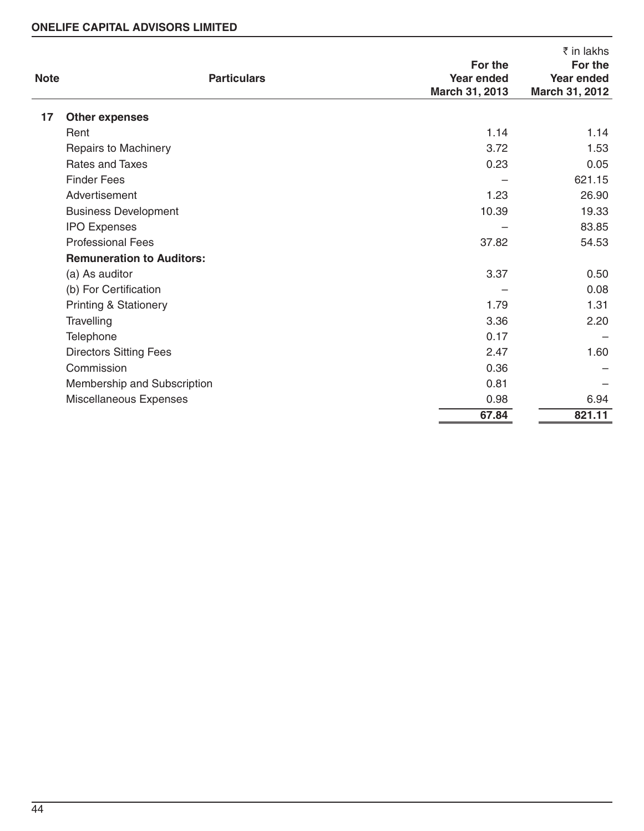### **ONELIFE CAPITAL ADVISORS LIMITED**

| <b>Note</b>                      | <b>Particulars</b> | For the<br><b>Year ended</b><br>March 31, 2013 | ₹ in lakhs<br>For the<br><b>Year ended</b><br>March 31, 2012 |
|----------------------------------|--------------------|------------------------------------------------|--------------------------------------------------------------|
| 17<br><b>Other expenses</b>      |                    |                                                |                                                              |
| Rent                             |                    | 1.14                                           | 1.14                                                         |
| Repairs to Machinery             |                    | 3.72                                           | 1.53                                                         |
| <b>Rates and Taxes</b>           |                    | 0.23                                           | 0.05                                                         |
| <b>Finder Fees</b>               |                    |                                                | 621.15                                                       |
| Advertisement                    |                    | 1.23                                           | 26.90                                                        |
| <b>Business Development</b>      |                    | 10.39                                          | 19.33                                                        |
| <b>IPO Expenses</b>              |                    |                                                | 83.85                                                        |
| <b>Professional Fees</b>         |                    | 37.82                                          | 54.53                                                        |
| <b>Remuneration to Auditors:</b> |                    |                                                |                                                              |
| (a) As auditor                   |                    | 3.37                                           | 0.50                                                         |
| (b) For Certification            |                    |                                                | 0.08                                                         |
| <b>Printing &amp; Stationery</b> |                    | 1.79                                           | 1.31                                                         |
| Travelling                       |                    | 3.36                                           | 2.20                                                         |
| Telephone                        |                    | 0.17                                           |                                                              |
| <b>Directors Sitting Fees</b>    |                    | 2.47                                           | 1.60                                                         |
| Commission                       |                    | 0.36                                           |                                                              |
| Membership and Subscription      |                    | 0.81                                           |                                                              |
| Miscellaneous Expenses           |                    | 0.98                                           | 6.94                                                         |
|                                  |                    | 67.84                                          | 821.11                                                       |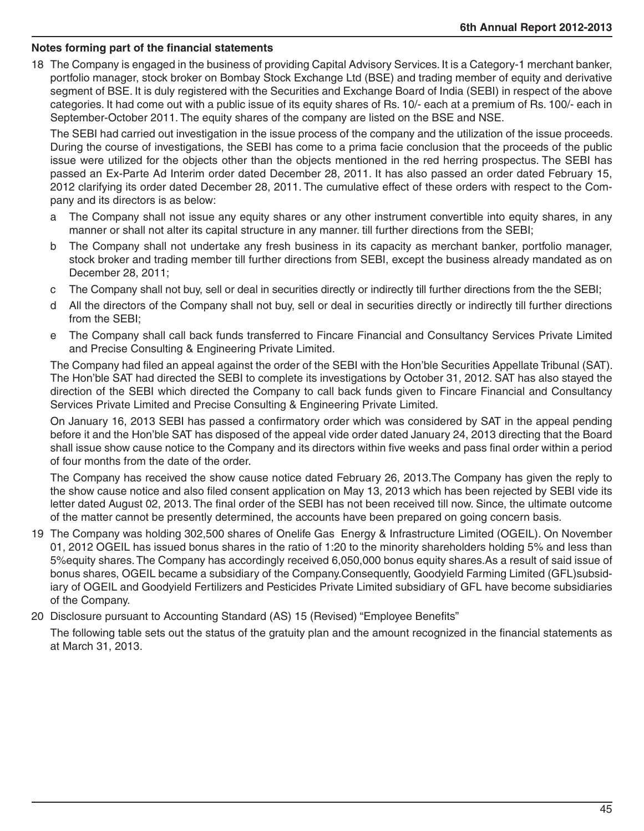#### **Notes forming part of the financial statements**

18 The Company is engaged in the business of providing Capital Advisory Services. It is a Category-1 merchant banker, portfolio manager, stock broker on Bombay Stock Exchange Ltd (BSE) and trading member of equity and derivative segment of BSE. It is duly registered with the Securities and Exchange Board of India (SEBI) in respect of the above categories. It had come out with a public issue of its equity shares of Rs. 10/- each at a premium of Rs. 100/- each in September-October 2011. The equity shares of the company are listed on the BSE and NSE.

The SEBI had carried out investigation in the issue process of the company and the utilization of the issue proceeds. During the course of investigations, the SEBI has come to a prima facie conclusion that the proceeds of the public issue were utilized for the objects other than the objects mentioned in the red herring prospectus. The SEBI has passed an Ex-Parte Ad Interim order dated December 28, 2011. It has also passed an order dated February 15, 2012 clarifying its order dated December 28, 2011. The cumulative effect of these orders with respect to the Company and its directors is as below:

- a The Company shall not issue any equity shares or any other instrument convertible into equity shares, in any manner or shall not alter its capital structure in any manner. till further directions from the SEBI;
- b The Company shall not undertake any fresh business in its capacity as merchant banker, portfolio manager, stock broker and trading member till further directions from SEBI, except the business already mandated as on December 28, 2011;
- c The Company shall not buy, sell or deal in securities directly or indirectly till further directions from the the SEBI;
- d All the directors of the Company shall not buy, sell or deal in securities directly or indirectly till further directions from the SEBI;
- e The Company shall call back funds transferred to Fincare Financial and Consultancy Services Private Limited and Precise Consulting & Engineering Private Limited.

The Company had filed an appeal against the order of the SEBI with the Hon'ble Securities Appellate Tribunal (SAT). The Hon'ble SAT had directed the SEBI to complete its investigations by October 31, 2012. SAT has also stayed the direction of the SEBI which directed the Company to call back funds given to Fincare Financial and Consultancy Services Private Limited and Precise Consulting & Engineering Private Limited.

On January 16, 2013 SEBI has passed a confirmatory order which was considered by SAT in the appeal pending before it and the Hon'ble SAT has disposed of the appeal vide order dated January 24, 2013 directing that the Board shall issue show cause notice to the Company and its directors within five weeks and pass final order within a period of four months from the date of the order.

The Company has received the show cause notice dated February 26, 2013.The Company has given the reply to the show cause notice and also filed consent application on May 13, 2013 which has been rejected by SEBI vide its letter dated August 02, 2013. The final order of the SEBI has not been received till now. Since, the ultimate outcome of the matter cannot be presently determined, the accounts have been prepared on going concern basis.

- 19 The Company was holding 302,500 shares of Onelife Gas Energy & Infrastructure Limited (OGEIL). On November 01, 2012 OGEIL has issued bonus shares in the ratio of 1:20 to the minority shareholders holding 5% and less than 5%equity shares. The Company has accordingly received 6,050,000 bonus equity shares.As a result of said issue of bonus shares, OGEIL became a subsidiary of the Company.Consequently, Goodyield Farming Limited (GFL)subsidiary of OGEIL and Goodyield Fertilizers and Pesticides Private Limited subsidiary of GFL have become subsidiaries of the Company.
- 20 Disclosure pursuant to Accounting Standard (AS) 15 (Revised) "Employee Benefits"

The following table sets out the status of the gratuity plan and the amount recognized in the financial statements as at March 31, 2013.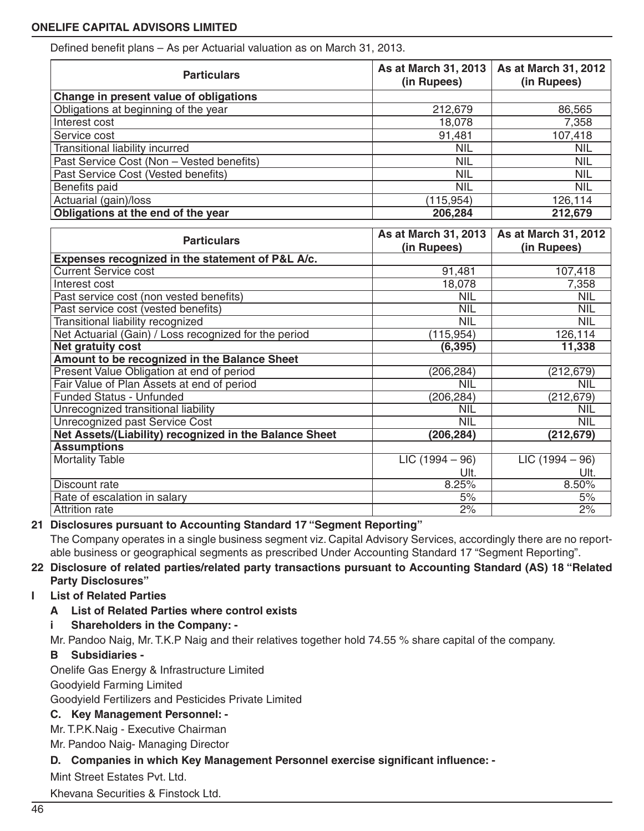Defined benefit plans – As per Actuarial valuation as on March 31, 2013.

| <b>Particulars</b>                                     | As at March 31, 2013<br>(in Rupees) | As at March 31, 2012<br>(in Rupees) |  |  |  |
|--------------------------------------------------------|-------------------------------------|-------------------------------------|--|--|--|
| Change in present value of obligations                 |                                     |                                     |  |  |  |
| Obligations at beginning of the year                   | 212,679                             | 86,565                              |  |  |  |
| Interest cost                                          | 18,078                              | 7,358                               |  |  |  |
| Service cost                                           | 91,481                              | 107,418                             |  |  |  |
| Transitional liability incurred                        | <b>NIL</b>                          | <b>NIL</b>                          |  |  |  |
| Past Service Cost (Non - Vested benefits)              | <b>NIL</b>                          | <b>NIL</b>                          |  |  |  |
| Past Service Cost (Vested benefits)                    | <b>NIL</b>                          | <b>NIL</b>                          |  |  |  |
| Benefits paid                                          | <b>NIL</b>                          | <b>NIL</b>                          |  |  |  |
| Actuarial (gain)/loss                                  | (115, 954)                          | 126,114                             |  |  |  |
| Obligations at the end of the year                     | 206,284                             | 212,679                             |  |  |  |
|                                                        |                                     |                                     |  |  |  |
| <b>Particulars</b>                                     | As at March 31, 2013                | As at March 31, 2012                |  |  |  |
|                                                        | (in Rupees)                         | (in Rupees)                         |  |  |  |
| Expenses recognized in the statement of P&L A/c.       |                                     |                                     |  |  |  |
| <b>Current Service cost</b>                            | 91,481                              | 107,418                             |  |  |  |
| Interest cost                                          | 18,078                              | 7,358                               |  |  |  |
| Past service cost (non vested benefits)                | <b>NIL</b>                          | <b>NIL</b>                          |  |  |  |
| Past service cost (vested benefits)                    | <b>NIL</b>                          | <b>NIL</b>                          |  |  |  |
| Transitional liability recognized                      | <b>NIL</b>                          | <b>NIL</b>                          |  |  |  |
| Net Actuarial (Gain) / Loss recognized for the period  | (115, 954)                          | 126,114                             |  |  |  |
| <b>Net gratuity cost</b>                               | (6, 395)                            | 11,338                              |  |  |  |
| Amount to be recognized in the Balance Sheet           |                                     |                                     |  |  |  |
| Present Value Obligation at end of period              | (206, 284)                          | (212, 679)                          |  |  |  |
| Fair Value of Plan Assets at end of period             | <b>NIL</b>                          | <b>NIL</b>                          |  |  |  |
| <b>Funded Status - Unfunded</b>                        | (206, 284)                          | (212, 679)                          |  |  |  |
| Unrecognized transitional liability                    | <b>NIL</b>                          | <b>NIL</b>                          |  |  |  |
| <b>Unrecognized past Service Cost</b>                  | <b>NIL</b>                          | <b>NIL</b>                          |  |  |  |
| Net Assets/(Liability) recognized in the Balance Sheet | (206, 284)                          | (212, 679)                          |  |  |  |
| <b>Assumptions</b>                                     |                                     |                                     |  |  |  |
| <b>Mortality Table</b>                                 | $LIC$ (1994 – 96)                   | $LIC$ (1994 – 96)                   |  |  |  |
|                                                        | Ult.                                | Ult.                                |  |  |  |
| <b>Discount rate</b>                                   | 8.25%                               | 8.50%                               |  |  |  |
| Rate of escalation in salary                           | 5%                                  | 5%                                  |  |  |  |

#### **21 Disclosures pursuant to Accounting Standard 17 "Segment Reporting"**

The Company operates in a single business segment viz. Capital Advisory Services, accordingly there are no reportable business or geographical segments as prescribed Under Accounting Standard 17 "Segment Reporting".

#### **22 Disclosure of related parties/related party transactions pursuant to Accounting Standard (AS) 18 "Related Party Disclosures"**

Attrition rate and the contract of the contract of the contract of the contract of the contract of the contract of the contract of the contract of the contract of the contract of the contract of the contract of the contrac

#### **I List of Related Parties**

- **A List of Related Parties where control exists**
- **i Shareholders in the Company:**

Mr. Pandoo Naig, Mr. T.K.P Naig and their relatives together hold 74.55 % share capital of the company.

#### **B Subsidiaries -**

Onelife Gas Energy & Infrastructure Limited

Goodyield Farming Limited

Goodyield Fertilizers and Pesticides Private Limited

#### **C. Key Management Personnel: -**

Mr. T.P.K.Naig - Executive Chairman

Mr. Pandoo Naig- Managing Director

#### **D. Companies in which Key Management Personnel exercise significant influence: -**

Mint Street Estates Pvt. Ltd.

Khevana Securities & Finstock Ltd.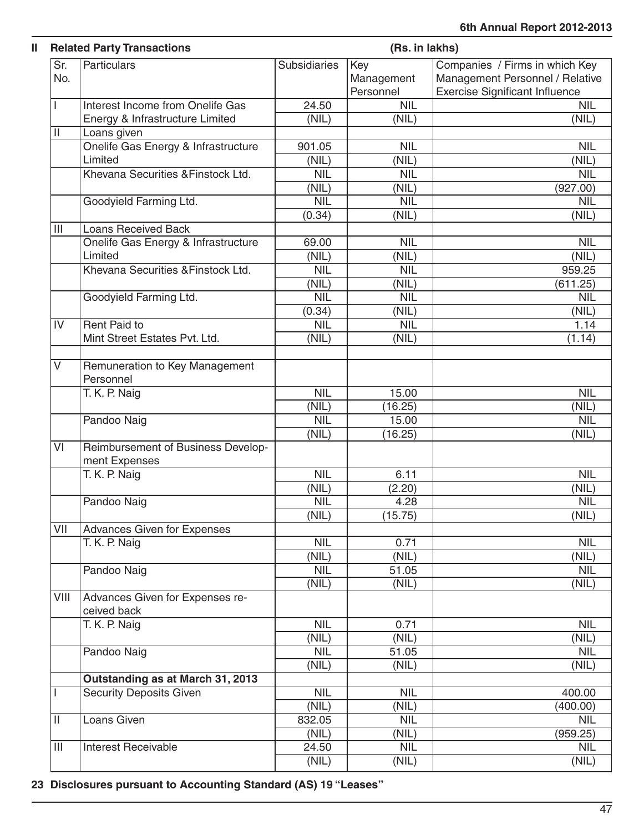|                | <b>Related Party Transactions</b>                   | (Rs. in lakhs) |                                |                                                                                                            |
|----------------|-----------------------------------------------------|----------------|--------------------------------|------------------------------------------------------------------------------------------------------------|
| Sr.<br>No.     | <b>Particulars</b>                                  | Subsidiaries   | Key<br>Management<br>Personnel | Companies / Firms in which Key<br>Management Personnel / Relative<br><b>Exercise Significant Influence</b> |
| $\mathbf{I}$   | Interest Income from Onelife Gas                    | 24.50          | <b>NIL</b>                     | <b>NIL</b>                                                                                                 |
|                | Energy & Infrastructure Limited                     | (NIL)          | (NIL)                          | (NIL)                                                                                                      |
| $\mathbf{I}$   | Loans given                                         | 901.05         | <b>NIL</b>                     | <b>NIL</b>                                                                                                 |
|                | Onelife Gas Energy & Infrastructure<br>Limited      | (NIL)          | (NIL)                          | (NIL)                                                                                                      |
|                | Khevana Securities & Finstock Ltd.                  | <b>NIL</b>     | <b>NIL</b>                     | <b>NIL</b>                                                                                                 |
|                |                                                     | (NIL)          | (NIL)                          | (927.00)                                                                                                   |
|                | Goodyield Farming Ltd.                              | <b>NIL</b>     | <b>NIL</b>                     | <b>NIL</b>                                                                                                 |
|                |                                                     | (0.34)         | (NIL)                          | (NIL)                                                                                                      |
| Ш              | Loans Received Back                                 |                |                                |                                                                                                            |
|                | Onelife Gas Energy & Infrastructure                 | 69.00          | <b>NIL</b>                     | <b>NIL</b>                                                                                                 |
|                | Limited                                             | (NIL)          | (NIL)                          | (NIL)                                                                                                      |
|                | Khevana Securities & Finstock Ltd.                  | <b>NIL</b>     | <b>NIL</b>                     | 959.25                                                                                                     |
|                |                                                     | (NIL)          | (NIL)                          | (611.25)                                                                                                   |
|                | Goodyield Farming Ltd.                              | <b>NIL</b>     | <b>NIL</b>                     | <b>NIL</b>                                                                                                 |
|                |                                                     | (0.34)         | (NIL)                          | (NIL)                                                                                                      |
| IV             | <b>Rent Paid to</b>                                 | <b>NIL</b>     | <b>NIL</b>                     | 1.14                                                                                                       |
|                | Mint Street Estates Pvt. Ltd.                       | (NIL)          | (NIL)                          | (1.14)                                                                                                     |
| V              | Remuneration to Key Management<br>Personnel         |                |                                |                                                                                                            |
|                | T. K. P. Naig                                       | <b>NIL</b>     | 15.00                          | <b>NIL</b>                                                                                                 |
|                |                                                     | (NIL)          | (16.25)                        | (NIL)                                                                                                      |
|                | Pandoo Naig                                         | <b>NIL</b>     | 15.00                          | <b>NIL</b>                                                                                                 |
|                |                                                     | (NIL)          | (16.25)                        | (NIL)                                                                                                      |
| VI             | Reimbursement of Business Develop-<br>ment Expenses |                |                                |                                                                                                            |
|                | T. K. P. Naig                                       | <b>NIL</b>     | 6.11                           | <b>NIL</b>                                                                                                 |
|                |                                                     | (NIL)          | (2.20)                         | (NIL)                                                                                                      |
|                | Pandoo Naig                                         | <b>NIL</b>     | 4.28                           | <b>NIL</b>                                                                                                 |
|                |                                                     | (NIL)          | (15.75)                        | (NIL)                                                                                                      |
| VII            | <b>Advances Given for Expenses</b><br>T. K. P. Naig | <b>NIL</b>     | 0.71                           | <b>NIL</b>                                                                                                 |
|                |                                                     | (NIL)          | (NIL)                          | (NIL)                                                                                                      |
|                | Pandoo Naig                                         | <b>NIL</b>     | 51.05                          | <b>NIL</b>                                                                                                 |
|                |                                                     | (NIL)          | (NIL)                          | (NIL)                                                                                                      |
| VIII           | Advances Given for Expenses re-<br>ceived back      |                |                                |                                                                                                            |
|                | T. K. P. Naig                                       | <b>NIL</b>     | 0.71                           | <b>NIL</b>                                                                                                 |
|                |                                                     | (NIL)          | (NIL)                          | (NIL)                                                                                                      |
|                | Pandoo Naig                                         | <b>NIL</b>     | 51.05                          | <b>NIL</b>                                                                                                 |
|                |                                                     | (NIL)          | (NIL)                          | (NIL)                                                                                                      |
|                | Outstanding as at March 31, 2013                    |                |                                |                                                                                                            |
|                | <b>Security Deposits Given</b>                      | <b>NIL</b>     | <b>NIL</b>                     | 400.00                                                                                                     |
|                |                                                     | (NIL)          | (NIL)                          | (400.00)                                                                                                   |
| $\mathbf{H}$   | Loans Given                                         | 832.05         | <b>NIL</b>                     | <b>NIL</b>                                                                                                 |
|                |                                                     | (NIL)          | (NIL)                          | (959.25)                                                                                                   |
| $\mathbf{III}$ | <b>Interest Receivable</b>                          | 24.50          | <b>NIL</b>                     | <b>NIL</b>                                                                                                 |
|                |                                                     | (NIL)          | (NIL)                          | (NIL)                                                                                                      |

**23 Disclosures pursuant to Accounting Standard (AS) 19 "Leases"**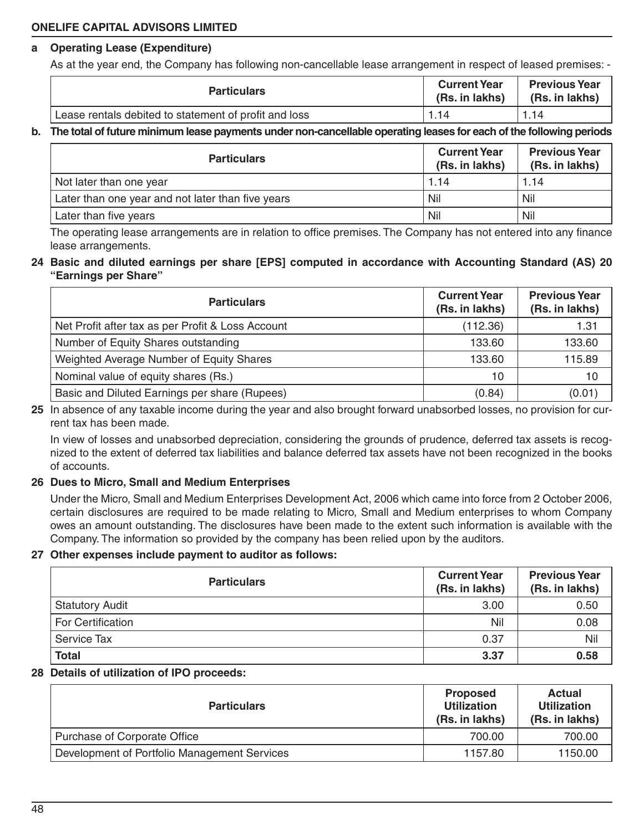#### **a Operating Lease (Expenditure)**

As at the year end, the Company has following non-cancellable lease arrangement in respect of leased premises: -

| <b>Particulars</b>                                    | <b>Current Year</b><br>(Rs. in lakhs) | <b>Previous Year</b><br>(Rs. in lakhs) |
|-------------------------------------------------------|---------------------------------------|----------------------------------------|
| Lease rentals debited to statement of profit and loss | . . 14                                | 1.14                                   |

#### **b. The total of future minimum lease payments under non-cancellable operating leases for each of the following periods**

| <b>Particulars</b>                                | <b>Current Year</b><br>(Rs. in lakhs) | <b>Previous Year</b><br>(Rs. in lakhs) |
|---------------------------------------------------|---------------------------------------|----------------------------------------|
| Not later than one year                           | 1.14                                  | 1.14                                   |
| Later than one year and not later than five years | Nil                                   | Nil                                    |
| Later than five years                             | Nil                                   | Nil                                    |

The operating lease arrangements are in relation to office premises. The Company has not entered into any finance lease arrangements.

#### **24 Basic and diluted earnings per share [EPS] computed in accordance with Accounting Standard (AS) 20 "Earnings per Share"**

| <b>Particulars</b>                                | <b>Current Year</b><br>(Rs. in lakhs) | <b>Previous Year</b><br>(Rs. in lakhs) |
|---------------------------------------------------|---------------------------------------|----------------------------------------|
| Net Profit after tax as per Profit & Loss Account | (112.36)                              | 1.31                                   |
| Number of Equity Shares outstanding               | 133.60                                | 133.60                                 |
| Weighted Average Number of Equity Shares          | 133.60                                | 115.89                                 |
| Nominal value of equity shares (Rs.)              | 10                                    | 10                                     |
| Basic and Diluted Earnings per share (Rupees)     | (0.84)                                | (0.01)                                 |

#### **25** In absence of any taxable income during the year and also brought forward unabsorbed losses, no provision for current tax has been made.

In view of losses and unabsorbed depreciation, considering the grounds of prudence, deferred tax assets is recognized to the extent of deferred tax liabilities and balance deferred tax assets have not been recognized in the books of accounts.

#### **26 Dues to Micro, Small and Medium Enterprises**

Under the Micro, Small and Medium Enterprises Development Act, 2006 which came into force from 2 October 2006, certain disclosures are required to be made relating to Micro, Small and Medium enterprises to whom Company owes an amount outstanding. The disclosures have been made to the extent such information is available with the Company. The information so provided by the company has been relied upon by the auditors.

#### **27 Other expenses include payment to auditor as follows:**

| <b>Particulars</b>       | <b>Current Year</b><br>(Rs. in lakhs) | <b>Previous Year</b><br>(Rs. in lakhs) |
|--------------------------|---------------------------------------|----------------------------------------|
| <b>Statutory Audit</b>   | 3.00                                  | 0.50                                   |
| <b>For Certification</b> | Nil                                   | 0.08                                   |
| Service Tax              | 0.37                                  | Nil                                    |
| <b>Total</b>             | 3.37                                  | 0.58                                   |

#### **28 Details of utilization of IPO proceeds:**

| <b>Particulars</b>                           | <b>Proposed</b><br><b>Utilization</b><br>(Rs. in lakhs) | <b>Actual</b><br><b>Utilization</b><br>(Rs. in lakhs) |
|----------------------------------------------|---------------------------------------------------------|-------------------------------------------------------|
| Purchase of Corporate Office                 | 700.00                                                  | 700.00                                                |
| Development of Portfolio Management Services | 1157.80                                                 | 1150.00                                               |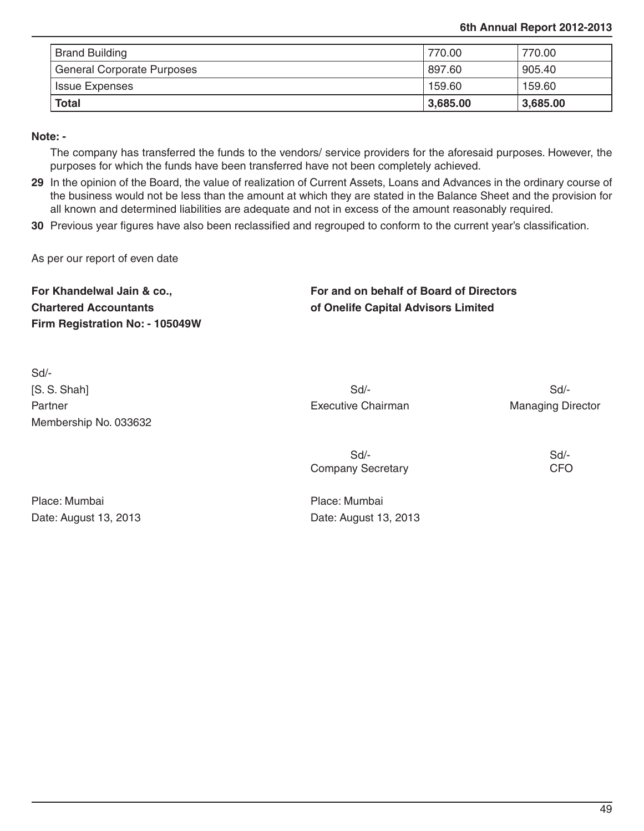#### **6th Annual Report 2012-2013**

| <b>Brand Building</b>             | 770.00   | 770.00   |
|-----------------------------------|----------|----------|
| <b>General Corporate Purposes</b> | 897.60   | 905.40   |
| <b>Issue Expenses</b>             | 159.60   | 159.60   |
| <b>Total</b>                      | 3.685.00 | 3,685.00 |

#### **Note: -**

The company has transferred the funds to the vendors/ service providers for the aforesaid purposes. However, the purposes for which the funds have been transferred have not been completely achieved.

**29** In the opinion of the Board, the value of realization of Current Assets, Loans and Advances in the ordinary course of the business would not be less than the amount at which they are stated in the Balance Sheet and the provision for all known and determined liabilities are adequate and not in excess of the amount reasonably required.

**30** Previous year figures have also been reclassified and regrouped to conform to the current year's classification.

As per our report of even date

**Firm Registration No: - 105049W**

For Khandelwal Jain & co., **For and on behalf of Board of Directors Chartered Accountants of Onelife Capital Advisors Limited**

| Sd/-                  |                           |                          |
|-----------------------|---------------------------|--------------------------|
| [S. S. Shah]          | $Sd$ -                    | $Sd$ -                   |
| Partner               | <b>Executive Chairman</b> | <b>Managing Director</b> |
| Membership No. 033632 |                           |                          |
|                       |                           |                          |

 Sd/- Sd/- Company Secretary **CFO** 

Place: Mumbai Place: Mumbai Date: August 13, 2013 Date: August 13, 2013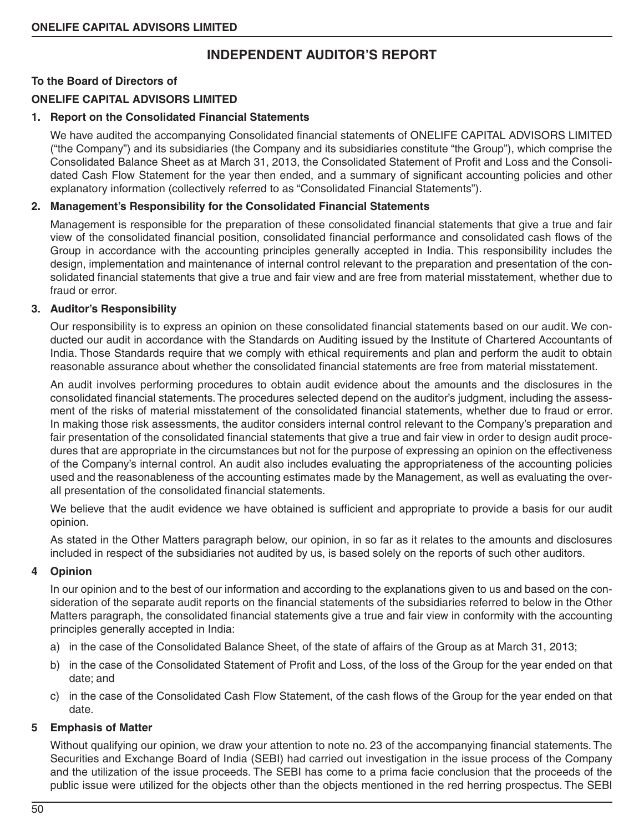### **INDEPENDENT AUDITOR'S REPORT**

#### **To the Board of Directors of ONELIFE CAPITAL ADVISORS LIMITED**

#### **1. Report on the Consolidated Financial Statements**

We have audited the accompanying Consolidated financial statements of ONELIFE CAPITAL ADVISORS LIMITED ("the Company") and its subsidiaries (the Company and its subsidiaries constitute "the Group"), which comprise the Consolidated Balance Sheet as at March 31, 2013, the Consolidated Statement of Profit and Loss and the Consolidated Cash Flow Statement for the year then ended, and a summary of significant accounting policies and other explanatory information (collectively referred to as "Consolidated Financial Statements").

#### **2. Management's Responsibility for the Consolidated Financial Statements**

Management is responsible for the preparation of these consolidated financial statements that give a true and fair view of the consolidated financial position, consolidated financial performance and consolidated cash flows of the Group in accordance with the accounting principles generally accepted in India. This responsibility includes the design, implementation and maintenance of internal control relevant to the preparation and presentation of the consolidated financial statements that give a true and fair view and are free from material misstatement, whether due to fraud or error.

#### **3. Auditor's Responsibility**

Our responsibility is to express an opinion on these consolidated financial statements based on our audit. We conducted our audit in accordance with the Standards on Auditing issued by the Institute of Chartered Accountants of India. Those Standards require that we comply with ethical requirements and plan and perform the audit to obtain reasonable assurance about whether the consolidated financial statements are free from material misstatement.

An audit involves performing procedures to obtain audit evidence about the amounts and the disclosures in the consolidated financial statements. The procedures selected depend on the auditor's judgment, including the assessment of the risks of material misstatement of the consolidated financial statements, whether due to fraud or error. In making those risk assessments, the auditor considers internal control relevant to the Company's preparation and fair presentation of the consolidated financial statements that give a true and fair view in order to design audit procedures that are appropriate in the circumstances but not for the purpose of expressing an opinion on the effectiveness of the Company's internal control. An audit also includes evaluating the appropriateness of the accounting policies used and the reasonableness of the accounting estimates made by the Management, as well as evaluating the overall presentation of the consolidated financial statements.

We believe that the audit evidence we have obtained is sufficient and appropriate to provide a basis for our audit opinion.

As stated in the Other Matters paragraph below, our opinion, in so far as it relates to the amounts and disclosures included in respect of the subsidiaries not audited by us, is based solely on the reports of such other auditors.

#### **4 Opinion**

In our opinion and to the best of our information and according to the explanations given to us and based on the consideration of the separate audit reports on the financial statements of the subsidiaries referred to below in the Other Matters paragraph, the consolidated financial statements give a true and fair view in conformity with the accounting principles generally accepted in India:

- a) in the case of the Consolidated Balance Sheet, of the state of affairs of the Group as at March 31, 2013;
- b) in the case of the Consolidated Statement of Profit and Loss, of the loss of the Group for the year ended on that date; and
- c) in the case of the Consolidated Cash Flow Statement, of the cash flows of the Group for the year ended on that date.

#### **5 Emphasis of Matter**

Without qualifying our opinion, we draw your attention to note no. 23 of the accompanying financial statements. The Securities and Exchange Board of India (SEBI) had carried out investigation in the issue process of the Company and the utilization of the issue proceeds. The SEBI has come to a prima facie conclusion that the proceeds of the public issue were utilized for the objects other than the objects mentioned in the red herring prospectus. The SEBI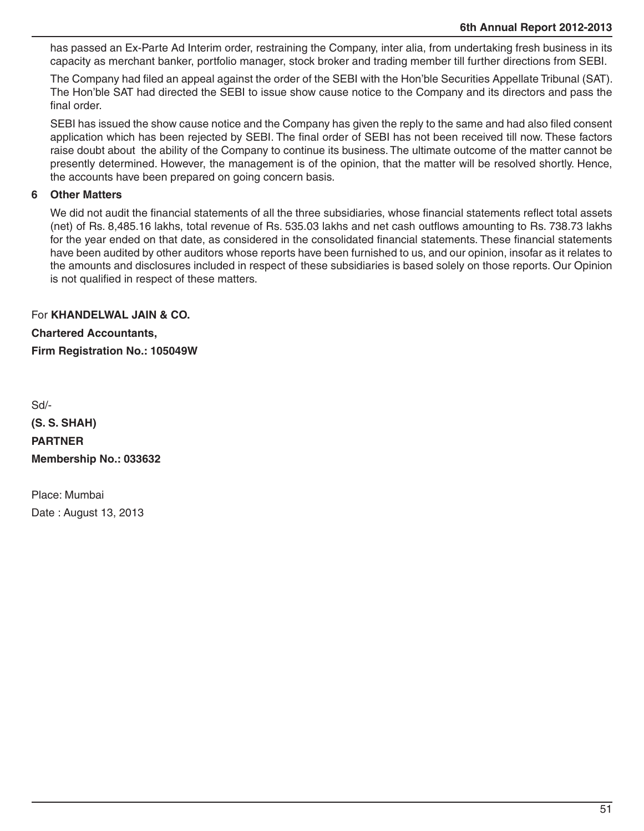has passed an Ex-Parte Ad Interim order, restraining the Company, inter alia, from undertaking fresh business in its capacity as merchant banker, portfolio manager, stock broker and trading member till further directions from SEBI.

The Company had filed an appeal against the order of the SEBI with the Hon'ble Securities Appellate Tribunal (SAT). The Hon'ble SAT had directed the SEBI to issue show cause notice to the Company and its directors and pass the final order.

SEBI has issued the show cause notice and the Company has given the reply to the same and had also filed consent application which has been rejected by SEBI. The final order of SEBI has not been received till now. These factors raise doubt about the ability of the Company to continue its business. The ultimate outcome of the matter cannot be presently determined. However, the management is of the opinion, that the matter will be resolved shortly. Hence, the accounts have been prepared on going concern basis.

#### **6 Other Matters**

We did not audit the financial statements of all the three subsidiaries, whose financial statements reflect total assets (net) of Rs. 8,485.16 lakhs, total revenue of Rs. 535.03 lakhs and net cash outflows amounting to Rs. 738.73 lakhs for the year ended on that date, as considered in the consolidated financial statements. These financial statements have been audited by other auditors whose reports have been furnished to us, and our opinion, insofar as it relates to the amounts and disclosures included in respect of these subsidiaries is based solely on those reports. Our Opinion is not qualified in respect of these matters.

For **KHANDELWAL JAIN & CO. Chartered Accountants, Firm Registration No.: 105049W**

Sd/- **(S. S. SHAH) PARTNER Membership No.: 033632**

Place: Mumbai Date : August 13, 2013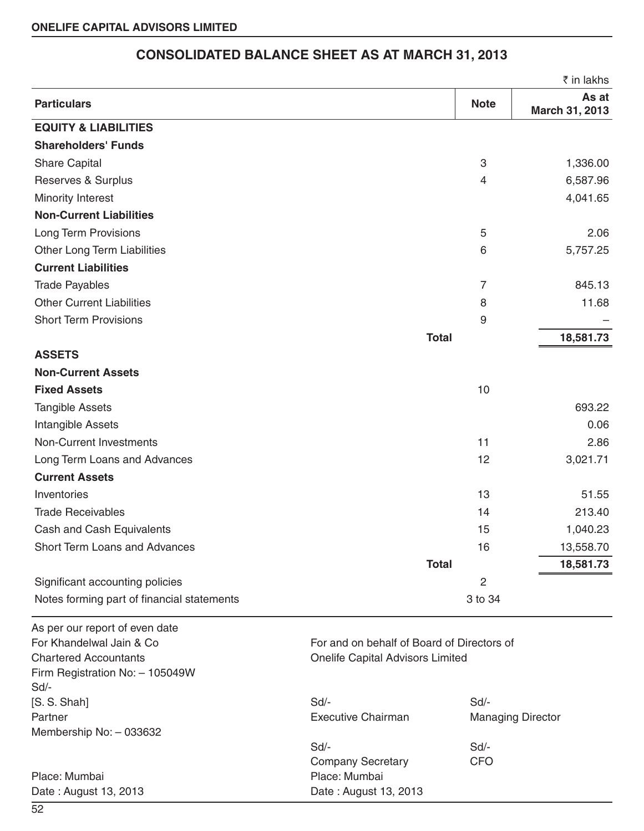|                                            |                | ₹ in lakhs              |
|--------------------------------------------|----------------|-------------------------|
| <b>Particulars</b>                         | <b>Note</b>    | As at<br>March 31, 2013 |
| <b>EQUITY &amp; LIABILITIES</b>            |                |                         |
| <b>Shareholders' Funds</b>                 |                |                         |
| <b>Share Capital</b>                       | 3              | 1,336.00                |
| Reserves & Surplus                         | $\overline{4}$ | 6,587.96                |
| Minority Interest                          |                | 4,041.65                |
| <b>Non-Current Liabilities</b>             |                |                         |
| <b>Long Term Provisions</b>                | 5              | 2.06                    |
| Other Long Term Liabilities                | 6              | 5,757.25                |
| <b>Current Liabilities</b>                 |                |                         |
| <b>Trade Payables</b>                      | $\overline{7}$ | 845.13                  |
| <b>Other Current Liabilities</b>           | 8              | 11.68                   |
| <b>Short Term Provisions</b>               | 9              |                         |
|                                            | <b>Total</b>   | 18,581.73               |
| <b>ASSETS</b>                              |                |                         |
| <b>Non-Current Assets</b>                  |                |                         |
| <b>Fixed Assets</b>                        | 10             |                         |
| <b>Tangible Assets</b>                     |                | 693.22                  |
| Intangible Assets                          |                | 0.06                    |
| Non-Current Investments                    | 11             | 2.86                    |
| Long Term Loans and Advances               | 12             | 3,021.71                |
| <b>Current Assets</b>                      |                |                         |
| Inventories                                | 13             | 51.55                   |
| <b>Trade Receivables</b>                   | 14             | 213.40                  |
| Cash and Cash Equivalents                  | 15             | 1,040.23                |
| Short Term Loans and Advances              | 16             | 13,558.70               |
|                                            | <b>Total</b>   | 18,581.73               |
| Significant accounting policies            | $\overline{2}$ |                         |
| Notes forming part of financial statements | 3 to 34        |                         |

### **CONSOLIDATED BALANCE SHEET AS AT MARCH 31, 2013**

As per our report of even date Chartered Accountants Onelife Capital Advisors Limited Firm Registration No: – 105049W Sd/-  $[S. S. Shah]$ Membership No: – 033632

Place: Mumbai Date : August 13, 2013

For Khandelwal Jain & Co For and on behalf of Board of Directors of

| [S. S. Shah]            | Sd                       | Sd                       |
|-------------------------|--------------------------|--------------------------|
| Partner                 | Executive Chairman       | <b>Managing Director</b> |
| Membership No: - 033632 |                          |                          |
|                         | Sd                       | Sd                       |
|                         | <b>Company Secretary</b> | <b>CFO</b>               |
| Place: Mumbai           | Place: Mumbai            |                          |
| Date: August 13, 2013   | Date: August 13, 2013    |                          |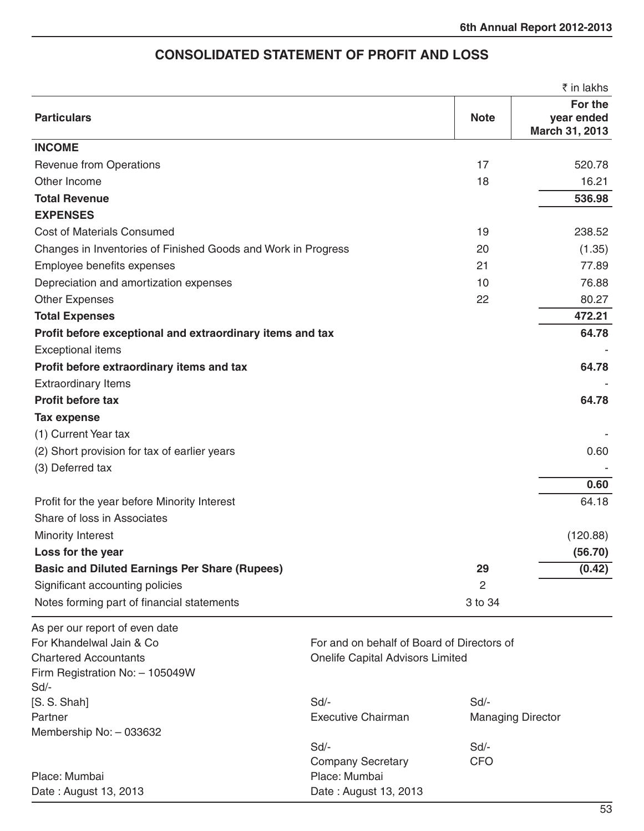### As per our report of even date For Khandelwal Jain & Co For and on behalf of Board of Directors of Chartered Accountants Onelife Capital Advisors Limited  $\bar{z}$  in lakhs **Particulars Note For the year ended March 31, 2013 INCOME** Revenue from Operations **17** 520.78 Other Income 18 16.21 **Total Revenue 536.98 EXPENSES** Cost of Materials Consumed 19 238.52 Changes in Inventories of Finished Goods and Work in Progress 20 (1.35) Employee benefits expenses 21 77.89 Depreciation and amortization expenses 10 76.88 Other Expenses 80.27 **Total Expenses 472.21**  Profit before exceptional and extraordinary items and tax 64.78 Exceptional items **Profit before extraordinary items and tax 64.78 CONSERVING 2008 2018 12:00 Profit before extraordinary items and tax** Extraordinary Items **Profit before tax 64.78 Tax expense** (1) Current Year tax - (2) Short provision for tax of earlier years 0.60 (3) Deferred tax  **0.60**  Profit for the year before Minority Interest 64.18 Share of loss in Associates Minority Interest (120.88) **Loss for the year (56.70) Basic and Diluted Earnings Per Share (Rupees) 29 (0.42)** Significant accounting policies 2 Notes forming part of financial statements 3 to 34

### **CONSOLIDATED STATEMENT OF PROFIT AND LOSS**

| $Sd$ -                  |                           |                          |
|-------------------------|---------------------------|--------------------------|
| [S. S. Shah]            | $Sd$ -                    | $Sd$ -                   |
| Partner                 | <b>Executive Chairman</b> | <b>Managing Director</b> |
| Membership No: - 033632 |                           |                          |
|                         | $Sd$ -                    | $Sd$ -                   |
|                         | <b>Company Secretary</b>  | <b>CFO</b>               |
| Place: Mumbai           | Place: Mumbai             |                          |
| Date: August 13, 2013   | Date: August 13, 2013     |                          |
|                         |                           |                          |

Firm Registration No: – 105049W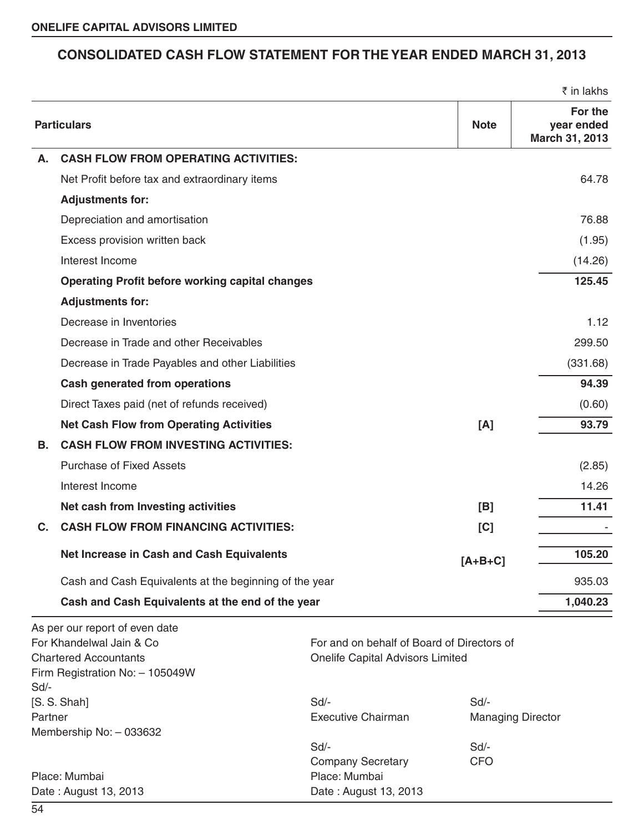### **CONSOLIDATED CASH FLOW STATEMENT FOR THE YEAR ENDED MARCH 31, 2013**

|         |                                                          |                                                                                |             | ₹ in lakhs                              |
|---------|----------------------------------------------------------|--------------------------------------------------------------------------------|-------------|-----------------------------------------|
|         | <b>Particulars</b>                                       |                                                                                | <b>Note</b> | For the<br>year ended<br>March 31, 2013 |
| А.      | <b>CASH FLOW FROM OPERATING ACTIVITIES:</b>              |                                                                                |             |                                         |
|         | Net Profit before tax and extraordinary items            |                                                                                |             | 64.78                                   |
|         | <b>Adjustments for:</b>                                  |                                                                                |             |                                         |
|         | Depreciation and amortisation                            |                                                                                |             | 76.88                                   |
|         | Excess provision written back                            |                                                                                |             | (1.95)                                  |
|         | Interest Income                                          |                                                                                |             | (14.26)                                 |
|         | <b>Operating Profit before working capital changes</b>   |                                                                                |             | 125.45                                  |
|         | <b>Adjustments for:</b>                                  |                                                                                |             |                                         |
|         | Decrease in Inventories                                  |                                                                                | 1.12        |                                         |
|         | Decrease in Trade and other Receivables                  |                                                                                |             | 299.50                                  |
|         | Decrease in Trade Payables and other Liabilities         |                                                                                |             | (331.68)                                |
|         | <b>Cash generated from operations</b>                    |                                                                                |             | 94.39                                   |
|         | Direct Taxes paid (net of refunds received)              |                                                                                | (0.60)      |                                         |
|         | <b>Net Cash Flow from Operating Activities</b>           |                                                                                | [A]         | 93.79                                   |
| В.      | <b>CASH FLOW FROM INVESTING ACTIVITIES:</b>              |                                                                                |             |                                         |
|         | <b>Purchase of Fixed Assets</b>                          |                                                                                |             | (2.85)                                  |
|         | Interest Income                                          |                                                                                |             | 14.26                                   |
|         | Net cash from Investing activities                       |                                                                                | [B]         | 11.41                                   |
| C.      | <b>CASH FLOW FROM FINANCING ACTIVITIES:</b>              |                                                                                | [C]         |                                         |
|         | Net Increase in Cash and Cash Equivalents                |                                                                                | $[A+B+C]$   | 105.20                                  |
|         | Cash and Cash Equivalents at the beginning of the year   |                                                                                |             | 935.03                                  |
|         | Cash and Cash Equivalents at the end of the year         |                                                                                |             | 1,040.23                                |
|         | As per our report of even date                           |                                                                                |             |                                         |
|         | For Khandelwal Jain & Co<br><b>Chartered Accountants</b> | For and on behalf of Board of Directors of<br>Onelife Capital Advisors Limited |             |                                         |
| Sd/-    | Firm Registration No: - 105049W                          |                                                                                |             |                                         |
|         | [S. S. Shah]                                             | $Sd$ -                                                                         | Sd/-        |                                         |
| Partner |                                                          | <b>Executive Chairman</b>                                                      |             | <b>Managing Director</b>                |
|         | Membership No: - 033632                                  | $Sd$ -                                                                         | Sd/-        |                                         |
|         |                                                          | <b>Company Secretary</b>                                                       | <b>CFO</b>  |                                         |
|         | Place: Mumbai                                            | Place: Mumbai                                                                  |             |                                         |
|         | Date: August 13, 2013<br>Date: August 13, 2013           |                                                                                |             |                                         |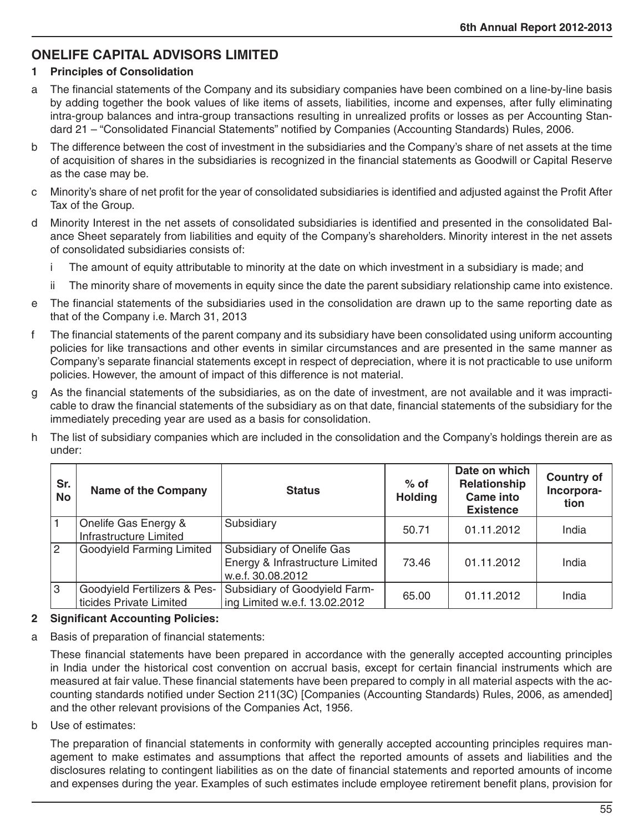### **ONELIFE CAPITAL ADVISORS LIMITED**

#### **1 Principles of Consolidation**

- a The financial statements of the Company and its subsidiary companies have been combined on a line-by-line basis by adding together the book values of like items of assets, liabilities, income and expenses, after fully eliminating intra-group balances and intra-group transactions resulting in unrealized profits or losses as per Accounting Standard 21 – "Consolidated Financial Statements" notified by Companies (Accounting Standards) Rules, 2006.
- b The difference between the cost of investment in the subsidiaries and the Company's share of net assets at the time of acquisition of shares in the subsidiaries is recognized in the financial statements as Goodwill or Capital Reserve as the case may be.
- c Minority's share of net profit for the year of consolidated subsidiaries is identified and adjusted against the Profit After Tax of the Group.
- d Minority Interest in the net assets of consolidated subsidiaries is identified and presented in the consolidated Balance Sheet separately from liabilities and equity of the Company's shareholders. Minority interest in the net assets of consolidated subsidiaries consists of:
	- i The amount of equity attributable to minority at the date on which investment in a subsidiary is made; and
	- ii The minority share of movements in equity since the date the parent subsidiary relationship came into existence.
- e The financial statements of the subsidiaries used in the consolidation are drawn up to the same reporting date as that of the Company i.e. March 31, 2013
- f The financial statements of the parent company and its subsidiary have been consolidated using uniform accounting policies for like transactions and other events in similar circumstances and are presented in the same manner as Company's separate financial statements except in respect of depreciation, where it is not practicable to use uniform policies. However, the amount of impact of this difference is not material.
- g As the financial statements of the subsidiaries, as on the date of investment, are not available and it was impracticable to draw the financial statements of the subsidiary as on that date, financial statements of the subsidiary for the immediately preceding year are used as a basis for consolidation.
- h The list of subsidiary companies which are included in the consolidation and the Company's holdings therein are as under:

| Sr.<br><b>No</b> | <b>Name of the Company</b>                              | <b>Status</b>                                                                     | $%$ of<br><b>Holding</b> | Date on which<br>Relationship<br><b>Came into</b><br><b>Existence</b> | <b>Country of</b><br>Incorpora-<br>tion |
|------------------|---------------------------------------------------------|-----------------------------------------------------------------------------------|--------------------------|-----------------------------------------------------------------------|-----------------------------------------|
|                  | Onelife Gas Energy &<br>Infrastructure Limited          | Subsidiary                                                                        | 50.71                    | 01.11.2012                                                            | India                                   |
| <u> 2</u>        | Goodyield Farming Limited                               | Subsidiary of Onelife Gas<br>Energy & Infrastructure Limited<br>w.e.f. 30.08.2012 | 73.46                    | 01.11.2012                                                            | India                                   |
| l 3              | Goodyield Fertilizers & Pes-<br>ticides Private Limited | Subsidiary of Goodyield Farm-<br>ing Limited w.e.f. 13.02.2012                    | 65.00                    | 01.11.2012                                                            | India                                   |

#### **2 Significant Accounting Policies:**

a Basis of preparation of financial statements:

These financial statements have been prepared in accordance with the generally accepted accounting principles in India under the historical cost convention on accrual basis, except for certain financial instruments which are measured at fair value. These financial statements have been prepared to comply in all material aspects with the accounting standards notified under Section 211(3C) [Companies (Accounting Standards) Rules, 2006, as amended] and the other relevant provisions of the Companies Act, 1956.

b Use of estimates:

The preparation of financial statements in conformity with generally accepted accounting principles requires management to make estimates and assumptions that affect the reported amounts of assets and liabilities and the disclosures relating to contingent liabilities as on the date of financial statements and reported amounts of income and expenses during the year. Examples of such estimates include employee retirement benefit plans, provision for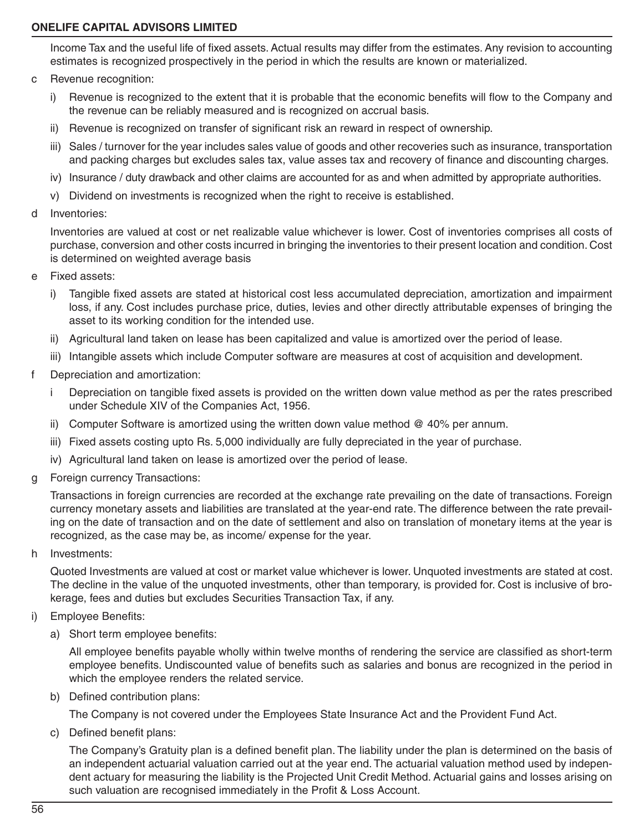#### **ONELIFE CAPITAL ADVISORS LIMITED**

Income Tax and the useful life of fixed assets. Actual results may differ from the estimates. Any revision to accounting estimates is recognized prospectively in the period in which the results are known or materialized.

- c Revenue recognition:
	- i) Revenue is recognized to the extent that it is probable that the economic benefits will flow to the Company and the revenue can be reliably measured and is recognized on accrual basis.
	- ii) Revenue is recognized on transfer of significant risk an reward in respect of ownership.
	- iii) Sales / turnover for the year includes sales value of goods and other recoveries such as insurance, transportation and packing charges but excludes sales tax, value asses tax and recovery of finance and discounting charges.
	- iv) Insurance / duty drawback and other claims are accounted for as and when admitted by appropriate authorities.
	- v) Dividend on investments is recognized when the right to receive is established.
- d Inventories:

Inventories are valued at cost or net realizable value whichever is lower. Cost of inventories comprises all costs of purchase, conversion and other costs incurred in bringing the inventories to their present location and condition. Cost is determined on weighted average basis

- e Fixed assets:
	- i) Tangible fixed assets are stated at historical cost less accumulated depreciation, amortization and impairment loss, if any. Cost includes purchase price, duties, levies and other directly attributable expenses of bringing the asset to its working condition for the intended use.
	- ii) Agricultural land taken on lease has been capitalized and value is amortized over the period of lease.
	- iii) Intangible assets which include Computer software are measures at cost of acquisition and development.
- f Depreciation and amortization:
	- i Depreciation on tangible fixed assets is provided on the written down value method as per the rates prescribed under Schedule XIV of the Companies Act, 1956.
	- ii) Computer Software is amortized using the written down value method  $@$  40% per annum.
	- iii) Fixed assets costing upto Rs. 5,000 individually are fully depreciated in the year of purchase.
	- iv) Agricultural land taken on lease is amortized over the period of lease.
- g Foreign currency Transactions:

Transactions in foreign currencies are recorded at the exchange rate prevailing on the date of transactions. Foreign currency monetary assets and liabilities are translated at the year-end rate. The difference between the rate prevailing on the date of transaction and on the date of settlement and also on translation of monetary items at the year is recognized, as the case may be, as income/ expense for the year.

h Investments:

Quoted Investments are valued at cost or market value whichever is lower. Unquoted investments are stated at cost. The decline in the value of the unquoted investments, other than temporary, is provided for. Cost is inclusive of brokerage, fees and duties but excludes Securities Transaction Tax, if any.

- i) Employee Benefits:
	- a) Short term employee benefits:

All employee benefits payable wholly within twelve months of rendering the service are classified as short-term employee benefits. Undiscounted value of benefits such as salaries and bonus are recognized in the period in which the employee renders the related service.

b) Defined contribution plans:

The Company is not covered under the Employees State Insurance Act and the Provident Fund Act.

c) Defined benefit plans:

The Company's Gratuity plan is a defined benefit plan. The liability under the plan is determined on the basis of an independent actuarial valuation carried out at the year end. The actuarial valuation method used by independent actuary for measuring the liability is the Projected Unit Credit Method. Actuarial gains and losses arising on such valuation are recognised immediately in the Profit & Loss Account.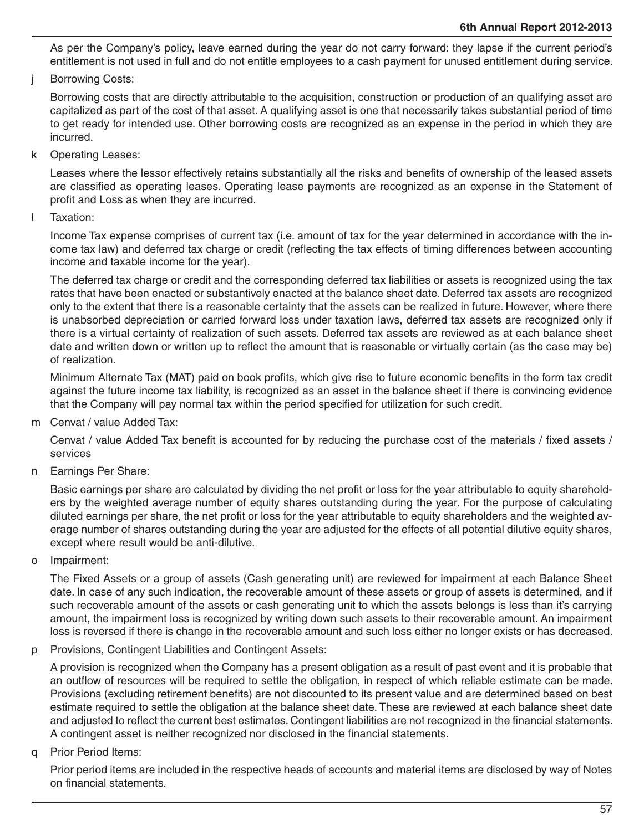As per the Company's policy, leave earned during the year do not carry forward: they lapse if the current period's entitlement is not used in full and do not entitle employees to a cash payment for unused entitlement during service.

j Borrowing Costs:

Borrowing costs that are directly attributable to the acquisition, construction or production of an qualifying asset are capitalized as part of the cost of that asset. A qualifying asset is one that necessarily takes substantial period of time to get ready for intended use. Other borrowing costs are recognized as an expense in the period in which they are incurred.

k Operating Leases:

Leases where the lessor effectively retains substantially all the risks and benefits of ownership of the leased assets are classified as operating leases. Operating lease payments are recognized as an expense in the Statement of profit and Loss as when they are incurred.

l Taxation:

Income Tax expense comprises of current tax (i.e. amount of tax for the year determined in accordance with the income tax law) and deferred tax charge or credit (reflecting the tax effects of timing differences between accounting income and taxable income for the year).

The deferred tax charge or credit and the corresponding deferred tax liabilities or assets is recognized using the tax rates that have been enacted or substantively enacted at the balance sheet date. Deferred tax assets are recognized only to the extent that there is a reasonable certainty that the assets can be realized in future. However, where there is unabsorbed depreciation or carried forward loss under taxation laws, deferred tax assets are recognized only if there is a virtual certainty of realization of such assets. Deferred tax assets are reviewed as at each balance sheet date and written down or written up to reflect the amount that is reasonable or virtually certain (as the case may be) of realization.

Minimum Alternate Tax (MAT) paid on book profits, which give rise to future economic benefits in the form tax credit against the future income tax liability, is recognized as an asset in the balance sheet if there is convincing evidence that the Company will pay normal tax within the period specified for utilization for such credit.

m Cenvat / value Added Tax:

Cenvat / value Added Tax benefit is accounted for by reducing the purchase cost of the materials / fixed assets / services

n Earnings Per Share:

Basic earnings per share are calculated by dividing the net profit or loss for the year attributable to equity shareholders by the weighted average number of equity shares outstanding during the year. For the purpose of calculating diluted earnings per share, the net profit or loss for the year attributable to equity shareholders and the weighted average number of shares outstanding during the year are adjusted for the effects of all potential dilutive equity shares, except where result would be anti-dilutive.

o Impairment:

The Fixed Assets or a group of assets (Cash generating unit) are reviewed for impairment at each Balance Sheet date. In case of any such indication, the recoverable amount of these assets or group of assets is determined, and if such recoverable amount of the assets or cash generating unit to which the assets belongs is less than it's carrying amount, the impairment loss is recognized by writing down such assets to their recoverable amount. An impairment loss is reversed if there is change in the recoverable amount and such loss either no longer exists or has decreased.

p Provisions, Contingent Liabilities and Contingent Assets:

A provision is recognized when the Company has a present obligation as a result of past event and it is probable that an outflow of resources will be required to settle the obligation, in respect of which reliable estimate can be made. Provisions (excluding retirement benefits) are not discounted to its present value and are determined based on best estimate required to settle the obligation at the balance sheet date. These are reviewed at each balance sheet date and adjusted to reflect the current best estimates. Contingent liabilities are not recognized in the financial statements. A contingent asset is neither recognized nor disclosed in the financial statements.

q Prior Period Items:

Prior period items are included in the respective heads of accounts and material items are disclosed by way of Notes on financial statements.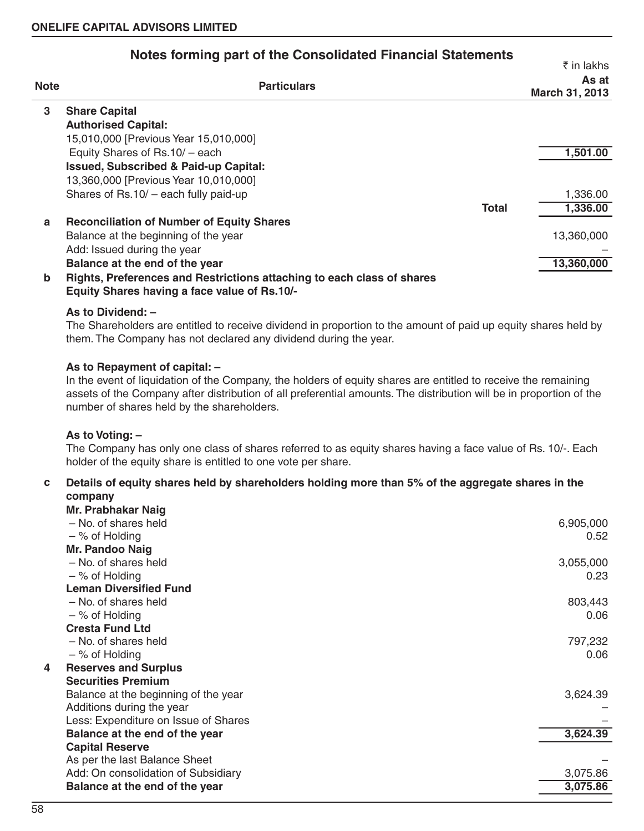## **Notes forming part of the Consolidated Financial Statements**

| <b>Note</b> | <b>Particulars</b>                                                                                                     |              | As at<br>March 31, 2013 |
|-------------|------------------------------------------------------------------------------------------------------------------------|--------------|-------------------------|
| 3           | <b>Share Capital</b>                                                                                                   |              |                         |
|             | <b>Authorised Capital:</b>                                                                                             |              |                         |
|             | 15,010,000 [Previous Year 15,010,000]                                                                                  |              |                         |
|             | Equity Shares of Rs.10/ - each                                                                                         |              | 1,501.00                |
|             | <b>Issued, Subscribed &amp; Paid-up Capital:</b>                                                                       |              |                         |
|             | 13,360,000 [Previous Year 10,010,000]                                                                                  |              |                         |
|             | Shares of Rs.10/ $-$ each fully paid-up                                                                                |              | 1,336.00                |
|             |                                                                                                                        | <b>Total</b> | 1,336.00                |
| a           | <b>Reconciliation of Number of Equity Shares</b>                                                                       |              |                         |
|             | Balance at the beginning of the year                                                                                   |              | 13,360,000              |
|             | Add: Issued during the year                                                                                            |              |                         |
|             | Balance at the end of the year                                                                                         |              | 13,360,000              |
| b           | Rights, Preferences and Restrictions attaching to each class of shares<br>Equity Shares having a face value of Rs.10/- |              |                         |
|             | As to Dividend: -                                                                                                      |              |                         |
|             | ▼No. ▲No. and and a commentation and the alternation and and and a comment of a three and the angles in the Co         |              |                         |

The Shareholders are entitled to receive dividend in proportion to the amount of paid up equity shares held by them. The Company has not declared any dividend during the year.

#### **As to Repayment of capital: –**

In the event of liquidation of the Company, the holders of equity shares are entitled to receive the remaining assets of the Company after distribution of all preferential amounts. The distribution will be in proportion of the number of shares held by the shareholders.

#### **As to Voting: –**

The Company has only one class of shares referred to as equity shares having a face value of Rs. 10/-. Each holder of the equity share is entitled to one vote per share.

#### **c Details of equity shares held by shareholders holding more than 5% of the aggregate shares in the company**

|   | Mr. Prabhakar Naig                   |           |
|---|--------------------------------------|-----------|
|   | - No. of shares held                 | 6,905,000 |
|   | $-$ % of Holding                     | 0.52      |
|   | Mr. Pandoo Naig                      |           |
|   | - No. of shares held                 | 3,055,000 |
|   | $-$ % of Holding                     | 0.23      |
|   | <b>Leman Diversified Fund</b>        |           |
|   | - No. of shares held                 | 803,443   |
|   | $-$ % of Holding                     | 0.06      |
|   | <b>Cresta Fund Ltd</b>               |           |
|   | - No. of shares held                 | 797,232   |
|   | $-$ % of Holding                     | 0.06      |
| 4 | <b>Reserves and Surplus</b>          |           |
|   | <b>Securities Premium</b>            |           |
|   | Balance at the beginning of the year | 3,624.39  |
|   | Additions during the year            |           |
|   | Less: Expenditure on Issue of Shares |           |
|   | Balance at the end of the year       | 3,624.39  |
|   | <b>Capital Reserve</b>               |           |
|   | As per the last Balance Sheet        |           |
|   | Add: On consolidation of Subsidiary  | 3,075.86  |
|   | Balance at the end of the year       | 3,075.86  |
|   |                                      |           |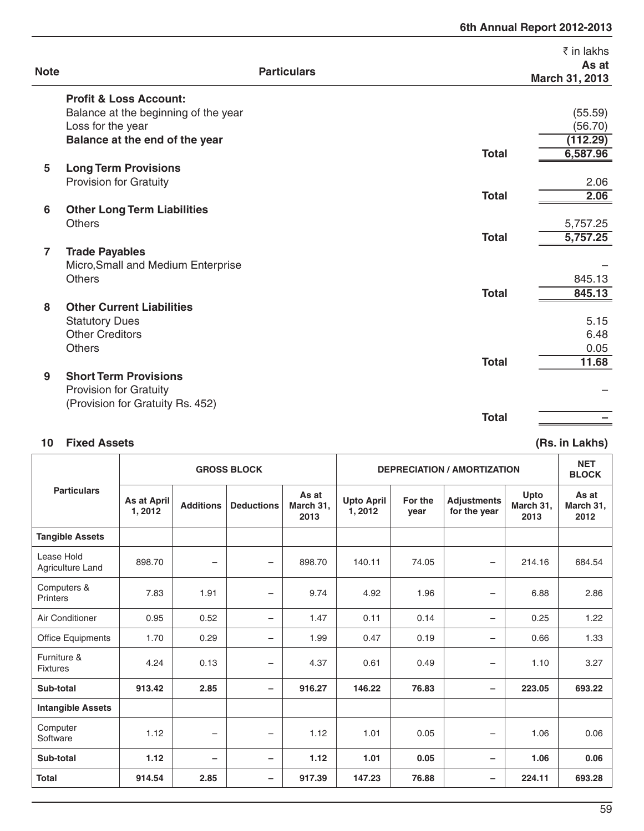| <b>Note</b>    |                                      | <b>Particulars</b> |              | $\bar{\tau}$ in lakhs<br>As at<br>March 31, 2013 |
|----------------|--------------------------------------|--------------------|--------------|--------------------------------------------------|
|                |                                      |                    |              |                                                  |
|                | <b>Profit &amp; Loss Account:</b>    |                    |              |                                                  |
|                | Balance at the beginning of the year |                    |              | (55.59)                                          |
|                | Loss for the year                    |                    |              | (56.70)                                          |
|                | Balance at the end of the year       |                    |              | (112.29)                                         |
|                |                                      |                    | <b>Total</b> | 6,587.96                                         |
| 5              | <b>Long Term Provisions</b>          |                    |              |                                                  |
|                | Provision for Gratuity               |                    |              | 2.06                                             |
|                |                                      |                    | <b>Total</b> | 2.06                                             |
| 6              | <b>Other Long Term Liabilities</b>   |                    |              |                                                  |
|                | <b>Others</b>                        |                    |              | 5,757.25                                         |
|                |                                      |                    | <b>Total</b> | 5,757.25                                         |
| $\overline{7}$ | <b>Trade Payables</b>                |                    |              |                                                  |
|                | Micro, Small and Medium Enterprise   |                    |              |                                                  |
|                | <b>Others</b>                        |                    |              | 845.13                                           |
|                |                                      |                    | <b>Total</b> | 845.13                                           |
| 8              | <b>Other Current Liabilities</b>     |                    |              |                                                  |
|                | <b>Statutory Dues</b>                |                    |              | 5.15                                             |
|                | <b>Other Creditors</b>               |                    |              | 6.48                                             |
|                |                                      |                    |              |                                                  |
|                | <b>Others</b>                        |                    |              | 0.05                                             |
|                |                                      |                    | <b>Total</b> | 11.68                                            |
| 9              | <b>Short Term Provisions</b>         |                    |              |                                                  |
|                | Provision for Gratuity               |                    |              |                                                  |
|                | (Provision for Gratuity Rs. 452)     |                    |              |                                                  |
|                |                                      |                    | <b>Total</b> |                                                  |

## **10 Fixed Assets (Rs. in Lakhs)**

 $\mathsf{r}$ 

|                                | <b>GROSS BLOCK</b>     |                          |                          |                            | <b>DEPRECIATION / AMORTIZATION</b> |                 |                                    |                           | <b>NET</b><br><b>BLOCK</b> |
|--------------------------------|------------------------|--------------------------|--------------------------|----------------------------|------------------------------------|-----------------|------------------------------------|---------------------------|----------------------------|
| <b>Particulars</b>             | As at April<br>1, 2012 | <b>Additions</b>         | <b>Deductions</b>        | As at<br>March 31.<br>2013 | <b>Upto April</b><br>1, 2012       | For the<br>year | <b>Adjustments</b><br>for the year | Upto<br>March 31,<br>2013 | As at<br>March 31,<br>2012 |
| <b>Tangible Assets</b>         |                        |                          |                          |                            |                                    |                 |                                    |                           |                            |
| Lease Hold<br>Agriculture Land | 898.70                 | $\overline{\phantom{m}}$ |                          | 898.70                     | 140.11                             | 74.05           | $\overline{\phantom{0}}$           | 214.16                    | 684.54                     |
| Computers &<br><b>Printers</b> | 7.83                   | 1.91                     | -                        | 9.74                       | 4.92                               | 1.96            | -                                  | 6.88                      | 2.86                       |
| Air Conditioner                | 0.95                   | 0.52                     | $\overline{\phantom{0}}$ | 1.47                       | 0.11                               | 0.14            | -                                  | 0.25                      | 1.22                       |
| Office Equipments              | 1.70                   | 0.29                     | -                        | 1.99                       | 0.47                               | 0.19            | -                                  | 0.66                      | 1.33                       |
| Furniture &<br><b>Fixtures</b> | 4.24                   | 0.13                     | -                        | 4.37                       | 0.61                               | 0.49            | -                                  | 1.10                      | 3.27                       |
| Sub-total                      | 913.42                 | 2.85                     | $\overline{\phantom{0}}$ | 916.27                     | 146.22                             | 76.83           | $\qquad \qquad -$                  | 223.05                    | 693.22                     |
| <b>Intangible Assets</b>       |                        |                          |                          |                            |                                    |                 |                                    |                           |                            |
| Computer<br>Software           | 1.12                   | $\overline{\phantom{0}}$ | $\overline{\phantom{0}}$ | 1.12                       | 1.01                               | 0.05            | -                                  | 1.06                      | 0.06                       |
| Sub-total                      | 1.12                   | —                        | $\overline{\phantom{0}}$ | 1.12                       | 1.01                               | 0.05            | $\qquad \qquad -$                  | 1.06                      | 0.06                       |
| <b>Total</b>                   | 914.54                 | 2.85                     | $\overline{\phantom{0}}$ | 917.39                     | 147.23                             | 76.88           | $\qquad \qquad -$                  | 224.11                    | 693.28                     |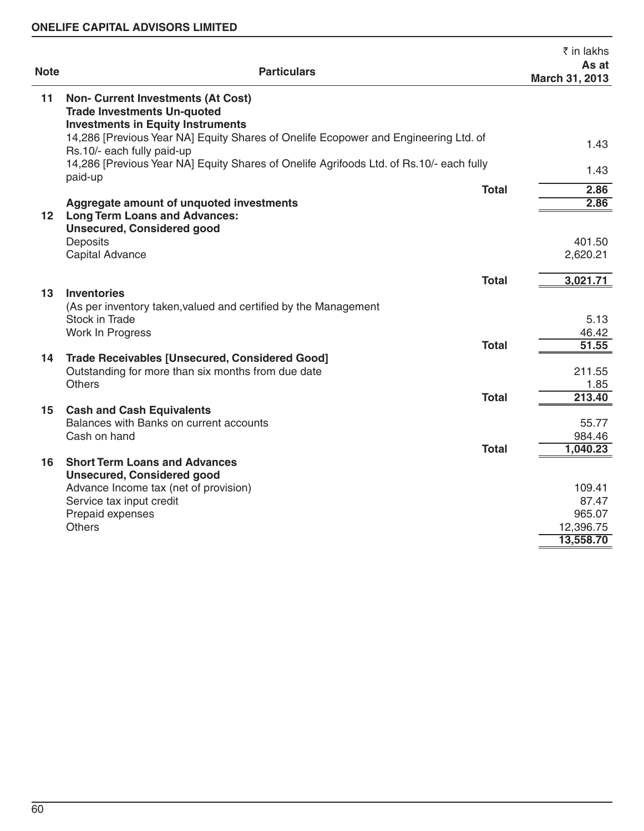| <b>Note</b>     | <b>Particulars</b>                                                                                                          | ₹ in lakhs<br>As at<br>March 31, 2013 |
|-----------------|-----------------------------------------------------------------------------------------------------------------------------|---------------------------------------|
| 11              | <b>Non- Current Investments (At Cost)</b><br><b>Trade Investments Un-quoted</b><br><b>Investments in Equity Instruments</b> |                                       |
|                 | 14,286 [Previous Year NA] Equity Shares of Onelife Ecopower and Engineering Ltd. of<br>Rs.10/- each fully paid-up           | 1.43                                  |
|                 | 14,286 [Previous Year NA] Equity Shares of Onelife Agrifoods Ltd. of Rs.10/- each fully<br>paid-up                          | 1.43                                  |
|                 | <b>Total</b>                                                                                                                | 2.86                                  |
| 12 <sup>2</sup> | Aggregate amount of unquoted investments<br><b>Long Term Loans and Advances:</b><br><b>Unsecured, Considered good</b>       | 2.86                                  |
|                 | Deposits                                                                                                                    | 401.50                                |
|                 | Capital Advance                                                                                                             | 2,620.21                              |
|                 | Total                                                                                                                       | 3,021.71                              |
| 13              | <b>Inventories</b><br>(As per inventory taken, valued and certified by the Management                                       |                                       |
|                 | Stock in Trade                                                                                                              | 5.13                                  |
|                 | Work In Progress<br><b>Total</b>                                                                                            | 46.42<br>51.55                        |
| 14              | <b>Trade Receivables [Unsecured, Considered Good]</b>                                                                       |                                       |
|                 | Outstanding for more than six months from due date                                                                          | 211.55                                |
|                 | <b>Others</b>                                                                                                               | 1.85                                  |
| 15              | <b>Total</b><br><b>Cash and Cash Equivalents</b>                                                                            | 213.40                                |
|                 | Balances with Banks on current accounts                                                                                     | 55.77                                 |
|                 | Cash on hand                                                                                                                | 984.46                                |
|                 | <b>Total</b>                                                                                                                | 1,040.23                              |
| 16              | <b>Short Term Loans and Advances</b><br><b>Unsecured, Considered good</b>                                                   |                                       |
|                 | Advance Income tax (net of provision)                                                                                       | 109.41                                |
|                 | Service tax input credit                                                                                                    | 87.47                                 |
|                 | Prepaid expenses<br><b>Others</b>                                                                                           | 965.07                                |
|                 |                                                                                                                             | 12,396.75<br>13,558.70                |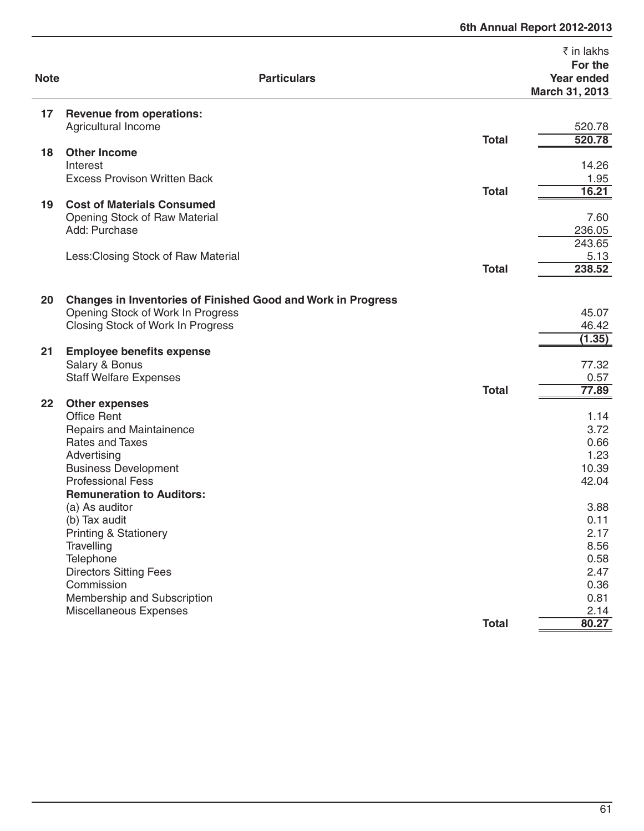| <b>Note</b> | <b>Particulars</b>                                                     |              | ₹ in lakhs<br>For the<br><b>Year ended</b><br>March 31, 2013 |
|-------------|------------------------------------------------------------------------|--------------|--------------------------------------------------------------|
| 17          | <b>Revenue from operations:</b>                                        |              |                                                              |
|             | Agricultural Income                                                    |              | 520.78                                                       |
|             |                                                                        | <b>Total</b> | 520.78                                                       |
| 18          | <b>Other Income</b>                                                    |              |                                                              |
|             | Interest                                                               |              | 14.26                                                        |
|             | <b>Excess Provison Written Back</b>                                    | <b>Total</b> | 1.95<br>16.21                                                |
| 19          | <b>Cost of Materials Consumed</b>                                      |              |                                                              |
|             | Opening Stock of Raw Material                                          |              | 7.60                                                         |
|             | Add: Purchase                                                          |              | 236.05                                                       |
|             |                                                                        |              | 243.65                                                       |
|             | Less: Closing Stock of Raw Material                                    |              | 5.13                                                         |
|             |                                                                        | <b>Total</b> | 238.52                                                       |
|             |                                                                        |              |                                                              |
| 20          | <b>Changes in Inventories of Finished Good and Work in Progress</b>    |              |                                                              |
|             | Opening Stock of Work In Progress<br>Closing Stock of Work In Progress |              | 45.07<br>46.42                                               |
|             |                                                                        |              | (1.35)                                                       |
| 21          | <b>Employee benefits expense</b>                                       |              |                                                              |
|             | Salary & Bonus                                                         |              | 77.32                                                        |
|             | <b>Staff Welfare Expenses</b>                                          |              | 0.57                                                         |
|             |                                                                        | <b>Total</b> | 77.89                                                        |
| 22          | <b>Other expenses</b>                                                  |              |                                                              |
|             | <b>Office Rent</b><br>Repairs and Maintainence                         |              | 1.14<br>3.72                                                 |
|             | Rates and Taxes                                                        |              | 0.66                                                         |
|             | Advertising                                                            |              | 1.23                                                         |
|             | <b>Business Development</b>                                            |              | 10.39                                                        |
|             | <b>Professional Fess</b>                                               |              | 42.04                                                        |
|             | <b>Remuneration to Auditors:</b>                                       |              |                                                              |
|             | (a) As auditor                                                         |              | 3.88                                                         |
|             | (b) Tax audit                                                          |              | 0.11                                                         |
|             | <b>Printing &amp; Stationery</b><br>Travelling                         |              | 2.17<br>8.56                                                 |
|             | Telephone                                                              |              | 0.58                                                         |
|             | <b>Directors Sitting Fees</b>                                          |              | 2.47                                                         |
|             | Commission                                                             |              | 0.36                                                         |
|             | Membership and Subscription                                            |              | 0.81                                                         |
|             | Miscellaneous Expenses                                                 |              | 2.14                                                         |
|             |                                                                        | <b>Total</b> | 80.27                                                        |

**6th Annual Report 2012-2013**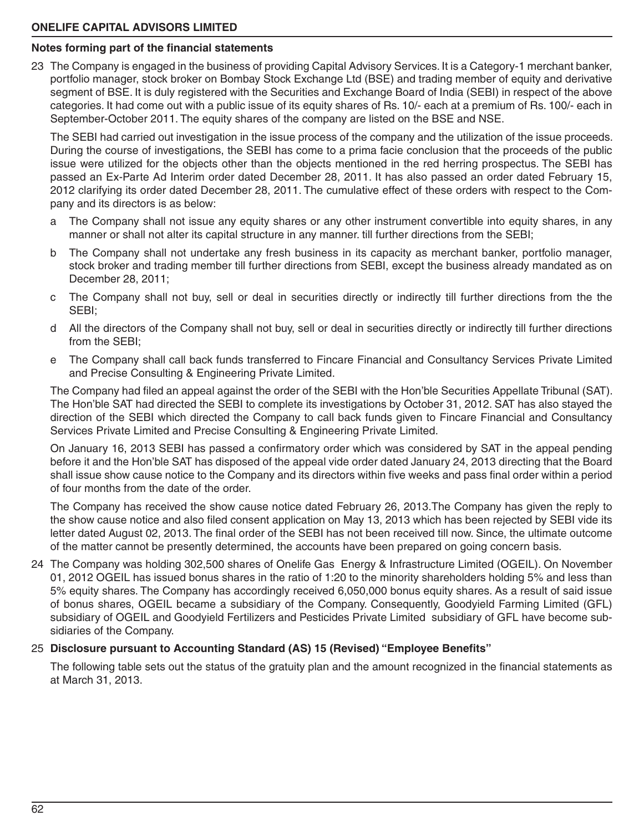#### **Notes forming part of the financial statements**

23 The Company is engaged in the business of providing Capital Advisory Services. It is a Category-1 merchant banker, portfolio manager, stock broker on Bombay Stock Exchange Ltd (BSE) and trading member of equity and derivative segment of BSE. It is duly registered with the Securities and Exchange Board of India (SEBI) in respect of the above categories. It had come out with a public issue of its equity shares of Rs. 10/- each at a premium of Rs. 100/- each in September-October 2011. The equity shares of the company are listed on the BSE and NSE.

The SEBI had carried out investigation in the issue process of the company and the utilization of the issue proceeds. During the course of investigations, the SEBI has come to a prima facie conclusion that the proceeds of the public issue were utilized for the objects other than the objects mentioned in the red herring prospectus. The SEBI has passed an Ex-Parte Ad Interim order dated December 28, 2011. It has also passed an order dated February 15, 2012 clarifying its order dated December 28, 2011. The cumulative effect of these orders with respect to the Company and its directors is as below:

- a The Company shall not issue any equity shares or any other instrument convertible into equity shares, in any manner or shall not alter its capital structure in any manner. till further directions from the SEBI;
- b The Company shall not undertake any fresh business in its capacity as merchant banker, portfolio manager, stock broker and trading member till further directions from SEBI, except the business already mandated as on December 28, 2011;
- c The Company shall not buy, sell or deal in securities directly or indirectly till further directions from the the SEBI;
- d All the directors of the Company shall not buy, sell or deal in securities directly or indirectly till further directions from the SEBI;
- e The Company shall call back funds transferred to Fincare Financial and Consultancy Services Private Limited and Precise Consulting & Engineering Private Limited.

The Company had filed an appeal against the order of the SEBI with the Hon'ble Securities Appellate Tribunal (SAT). The Hon'ble SAT had directed the SEBI to complete its investigations by October 31, 2012. SAT has also stayed the direction of the SEBI which directed the Company to call back funds given to Fincare Financial and Consultancy Services Private Limited and Precise Consulting & Engineering Private Limited.

On January 16, 2013 SEBI has passed a confirmatory order which was considered by SAT in the appeal pending before it and the Hon'ble SAT has disposed of the appeal vide order dated January 24, 2013 directing that the Board shall issue show cause notice to the Company and its directors within five weeks and pass final order within a period of four months from the date of the order.

The Company has received the show cause notice dated February 26, 2013.The Company has given the reply to the show cause notice and also filed consent application on May 13, 2013 which has been rejected by SEBI vide its letter dated August 02, 2013. The final order of the SEBI has not been received till now. Since, the ultimate outcome of the matter cannot be presently determined, the accounts have been prepared on going concern basis.

24 The Company was holding 302,500 shares of Onelife Gas Energy & Infrastructure Limited (OGEIL). On November 01, 2012 OGEIL has issued bonus shares in the ratio of 1:20 to the minority shareholders holding 5% and less than 5% equity shares. The Company has accordingly received 6,050,000 bonus equity shares. As a result of said issue of bonus shares, OGEIL became a subsidiary of the Company. Consequently, Goodyield Farming Limited (GFL) subsidiary of OGEIL and Goodyield Fertilizers and Pesticides Private Limited subsidiary of GFL have become subsidiaries of the Company.

#### 25 **Disclosure pursuant to Accounting Standard (AS) 15 (Revised) "Employee Benefits"**

The following table sets out the status of the gratuity plan and the amount recognized in the financial statements as at March 31, 2013.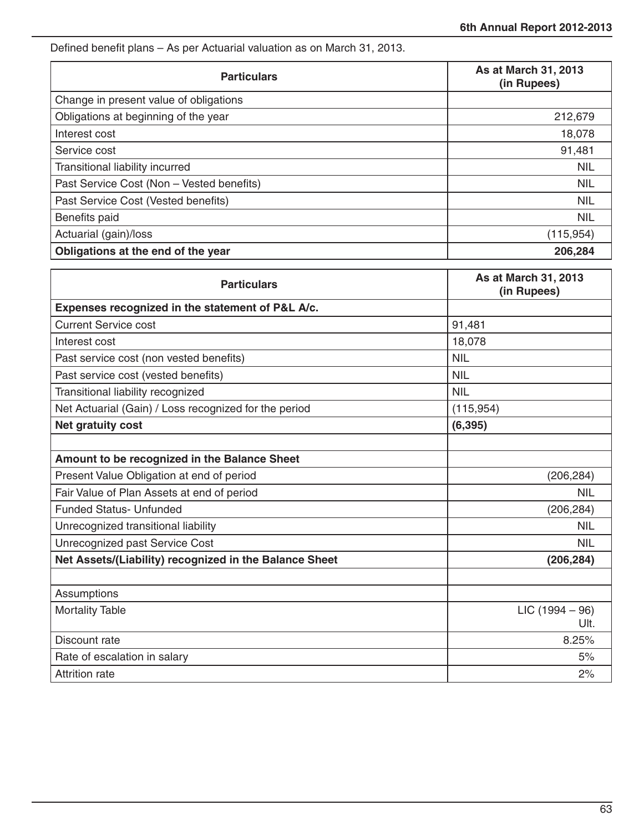Defined benefit plans – As per Actuarial valuation as on March 31, 2013.

| <b>Particulars</b>                        | As at March 31, 2013<br>(in Rupees) |
|-------------------------------------------|-------------------------------------|
| Change in present value of obligations    |                                     |
| Obligations at beginning of the year      | 212,679                             |
| Interest cost                             | 18,078                              |
| Service cost                              | 91,481                              |
| Transitional liability incurred           | <b>NIL</b>                          |
| Past Service Cost (Non - Vested benefits) | <b>NIL</b>                          |
| Past Service Cost (Vested benefits)       | <b>NIL</b>                          |
| Benefits paid                             | <b>NIL</b>                          |
| Actuarial (gain)/loss                     | (115, 954)                          |
| Obligations at the end of the year        | 206,284                             |

| <b>Particulars</b>                                     | As at March 31, 2013<br>(in Rupees) |
|--------------------------------------------------------|-------------------------------------|
| Expenses recognized in the statement of P&L A/c.       |                                     |
| <b>Current Service cost</b>                            | 91,481                              |
| Interest cost                                          | 18,078                              |
| Past service cost (non vested benefits)                | <b>NIL</b>                          |
| Past service cost (vested benefits)                    | <b>NIL</b>                          |
| Transitional liability recognized                      | <b>NIL</b>                          |
| Net Actuarial (Gain) / Loss recognized for the period  | (115, 954)                          |
| <b>Net gratuity cost</b>                               | (6, 395)                            |
|                                                        |                                     |
| Amount to be recognized in the Balance Sheet           |                                     |
| Present Value Obligation at end of period              | (206, 284)                          |
| Fair Value of Plan Assets at end of period             | <b>NIL</b>                          |
| <b>Funded Status- Unfunded</b>                         | (206, 284)                          |
| Unrecognized transitional liability                    | <b>NIL</b>                          |
| Unrecognized past Service Cost                         | <b>NIL</b>                          |
| Net Assets/(Liability) recognized in the Balance Sheet | (206, 284)                          |
|                                                        |                                     |
| Assumptions                                            |                                     |
| <b>Mortality Table</b>                                 | $LIC$ (1994 – 96)                   |
|                                                        | Ult.                                |
| Discount rate                                          | 8.25%                               |
| Rate of escalation in salary                           | 5%                                  |
| <b>Attrition rate</b>                                  | 2%                                  |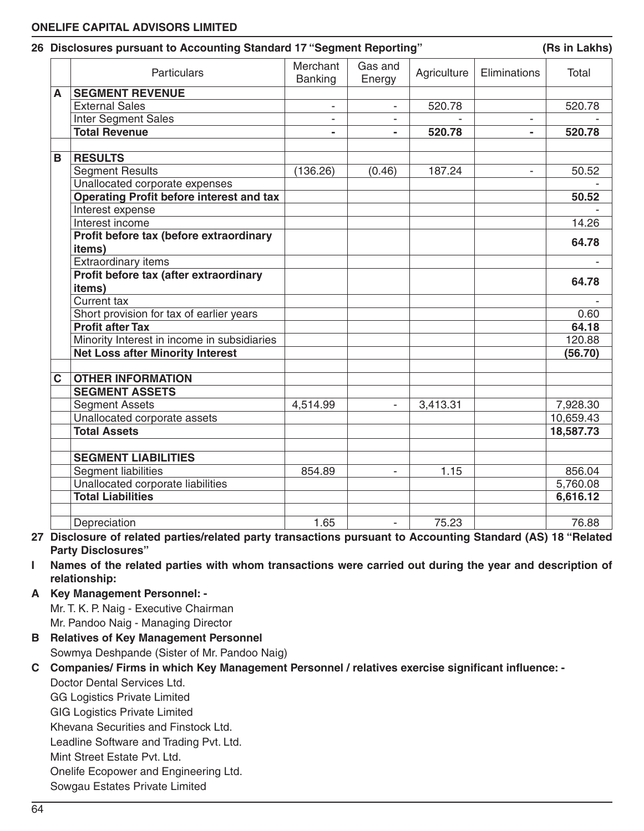|   | 26 Disclosures pursuant to Accounting Standard 17 "Segment Reporting" |                            |                          |             |                          | (Rs in Lakhs) |
|---|-----------------------------------------------------------------------|----------------------------|--------------------------|-------------|--------------------------|---------------|
|   | Particulars                                                           | Merchant<br><b>Banking</b> | Gas and<br>Energy        | Agriculture | Eliminations             | Total         |
| A | <b>SEGMENT REVENUE</b>                                                |                            |                          |             |                          |               |
|   | <b>External Sales</b>                                                 | $\blacksquare$             | $\overline{\phantom{a}}$ | 520.78      |                          | 520.78        |
|   | Inter Segment Sales                                                   | $\blacksquare$             | $\sim$                   |             | $\blacksquare$           |               |
|   | <b>Total Revenue</b>                                                  | $\blacksquare$             | $\blacksquare$           | 520.78      | $\blacksquare$           | 520.78        |
| B | <b>RESULTS</b>                                                        |                            |                          |             |                          |               |
|   | <b>Segment Results</b>                                                | (136.26)                   | (0.46)                   | 187.24      | $\overline{\phantom{a}}$ | 50.52         |
|   | Unallocated corporate expenses                                        |                            |                          |             |                          |               |
|   | <b>Operating Profit before interest and tax</b>                       |                            |                          |             |                          | 50.52         |
|   | Interest expense                                                      |                            |                          |             |                          |               |
|   | Interest income                                                       |                            |                          |             |                          | 14.26         |
|   | Profit before tax (before extraordinary                               |                            |                          |             |                          |               |
|   | items)                                                                |                            |                          |             |                          | 64.78         |
|   | <b>Extraordinary items</b>                                            |                            |                          |             |                          |               |
|   | Profit before tax (after extraordinary                                |                            |                          |             |                          | 64.78         |
|   | items)                                                                |                            |                          |             |                          |               |
|   | <b>Current tax</b>                                                    |                            |                          |             |                          |               |
|   | Short provision for tax of earlier years                              |                            |                          |             |                          | 0.60          |
|   | <b>Profit after Tax</b>                                               |                            |                          |             |                          | 64.18         |
|   | Minority Interest in income in subsidiaries                           |                            |                          |             |                          | 120.88        |
|   | <b>Net Loss after Minority Interest</b>                               |                            |                          |             |                          | (56.70)       |
| C | <b>OTHER INFORMATION</b>                                              |                            |                          |             |                          |               |
|   | <b>SEGMENT ASSETS</b>                                                 |                            |                          |             |                          |               |
|   | <b>Segment Assets</b>                                                 | 4,514.99                   | ÷.                       | 3,413.31    |                          | 7,928.30      |
|   | Unallocated corporate assets                                          |                            |                          |             |                          | 10,659.43     |
|   | <b>Total Assets</b>                                                   |                            |                          |             |                          | 18,587.73     |
|   | <b>SEGMENT LIABILITIES</b>                                            |                            |                          |             |                          |               |
|   | <b>Segment liabilities</b>                                            | 854.89                     | $\blacksquare$           | 1.15        |                          | 856.04        |
|   | Unallocated corporate liabilities                                     |                            |                          |             |                          | 5,760.08      |
|   | <b>Total Liabilities</b>                                              |                            |                          |             |                          | 6,616.12      |
|   |                                                                       |                            |                          |             |                          |               |
|   | Depreciation                                                          | 1.65                       | $\overline{\phantom{a}}$ | 75.23       |                          | 76.88         |

**27 Disclosure of related parties/related party transactions pursuant to Accounting Standard (AS) 18 "Related Party Disclosures"**

**I Names of the related parties with whom transactions were carried out during the year and description of relationship:**

**A Key Management Personnel: -** 

Mr. T. K. P. Naig - Executive Chairman Mr. Pandoo Naig - Managing Director

**B Relatives of Key Management Personnel** Sowmya Deshpande (Sister of Mr. Pandoo Naig)

#### **C Companies/ Firms in which Key Management Personnel / relatives exercise significant influence: -** Doctor Dental Services Ltd.

GG Logistics Private Limited

GIG Logistics Private Limited

Khevana Securities and Finstock Ltd.

Leadline Software and Trading Pvt. Ltd.

Mint Street Estate Pvt. Ltd.

Onelife Ecopower and Engineering Ltd.

Sowgau Estates Private Limited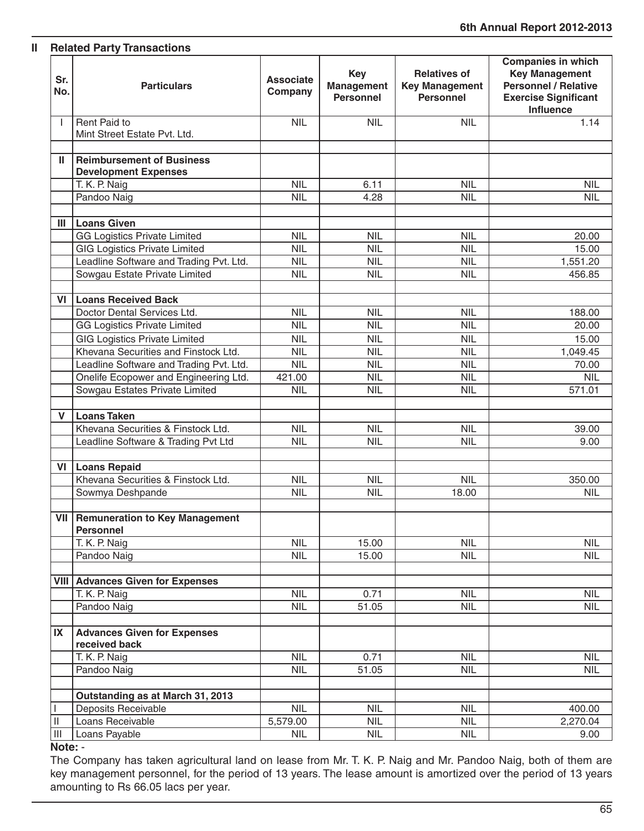| Sr.<br>No.    | <b>Particulars</b>                                              | <b>Associate</b><br>Company | <b>Key</b><br><b>Management</b><br><b>Personnel</b> | <b>Relatives of</b><br><b>Key Management</b><br><b>Personnel</b> | <b>Companies in which</b><br><b>Key Management</b><br><b>Personnel / Relative</b><br><b>Exercise Significant</b><br><b>Influence</b> |
|---------------|-----------------------------------------------------------------|-----------------------------|-----------------------------------------------------|------------------------------------------------------------------|--------------------------------------------------------------------------------------------------------------------------------------|
| I.            | Rent Paid to<br>Mint Street Estate Pvt. Ltd.                    | <b>NIL</b>                  | <b>NIL</b>                                          | <b>NIL</b>                                                       | 1.14                                                                                                                                 |
| Ш.            | <b>Reimbursement of Business</b><br><b>Development Expenses</b> |                             |                                                     |                                                                  |                                                                                                                                      |
|               | T. K. P. Naig                                                   | <b>NIL</b>                  | 6.11                                                | <b>NIL</b>                                                       | <b>NIL</b>                                                                                                                           |
|               | Pandoo Naig                                                     | <b>NIL</b>                  | 4.28                                                | <b>NIL</b>                                                       | <b>NIL</b>                                                                                                                           |
| Ш             | Loans Given                                                     |                             |                                                     |                                                                  |                                                                                                                                      |
|               | <b>GG Logistics Private Limited</b>                             | <b>NIL</b>                  | <b>NIL</b>                                          | <b>NIL</b>                                                       | 20.00                                                                                                                                |
|               | <b>GIG Logistics Private Limited</b>                            | <b>NIL</b>                  | <b>NIL</b>                                          | <b>NIL</b>                                                       | 15.00                                                                                                                                |
|               | Leadline Software and Trading Pvt. Ltd.                         | <b>NIL</b>                  | <b>NIL</b>                                          | <b>NIL</b>                                                       | 1,551.20                                                                                                                             |
|               | Sowgau Estate Private Limited                                   | <b>NIL</b>                  | <b>NIL</b>                                          | <b>NIL</b>                                                       | 456.85                                                                                                                               |
|               | VI   Loans Received Back                                        |                             |                                                     |                                                                  |                                                                                                                                      |
|               | Doctor Dental Services Ltd.                                     | <b>NIL</b>                  | <b>NIL</b>                                          | <b>NIL</b>                                                       | 188.00                                                                                                                               |
|               | <b>GG Logistics Private Limited</b>                             | <b>NIL</b>                  | <b>NIL</b>                                          | <b>NIL</b>                                                       | 20.00                                                                                                                                |
|               | <b>GIG Logistics Private Limited</b>                            | <b>NIL</b>                  | <b>NIL</b>                                          | <b>NIL</b>                                                       | 15.00                                                                                                                                |
|               | Khevana Securities and Finstock Ltd.                            | <b>NIL</b>                  | <b>NIL</b>                                          | <b>NIL</b>                                                       | 1,049.45                                                                                                                             |
|               | Leadline Software and Trading Pvt. Ltd.                         | <b>NIL</b>                  | <b>NIL</b>                                          | <b>NIL</b>                                                       | 70.00                                                                                                                                |
|               | Onelife Ecopower and Engineering Ltd.                           | 421.00                      | <b>NIL</b>                                          | <b>NIL</b>                                                       | <b>NIL</b>                                                                                                                           |
|               | Sowgau Estates Private Limited                                  | <b>NIL</b>                  | <b>NIL</b>                                          | <b>NIL</b>                                                       | 571.01                                                                                                                               |
| v             | <b>Loans Taken</b>                                              |                             |                                                     |                                                                  |                                                                                                                                      |
|               | Khevana Securities & Finstock Ltd.                              | <b>NIL</b>                  | <b>NIL</b>                                          | <b>NIL</b>                                                       | 39.00                                                                                                                                |
|               | Leadline Software & Trading Pvt Ltd                             | <b>NIL</b>                  | <b>NIL</b>                                          | <b>NIL</b>                                                       | 9.00                                                                                                                                 |
|               | VI   Loans Repaid                                               |                             |                                                     |                                                                  |                                                                                                                                      |
|               | Khevana Securities & Finstock Ltd.                              | <b>NIL</b>                  | <b>NIL</b>                                          | <b>NIL</b>                                                       | 350.00                                                                                                                               |
|               | Sowmya Deshpande                                                | <b>NIL</b>                  | <b>NIL</b>                                          | 18.00                                                            | <b>NIL</b>                                                                                                                           |
| VII           | <b>Remuneration to Key Management</b><br><b>Personnel</b>       |                             |                                                     |                                                                  |                                                                                                                                      |
|               | T. K. P. Naig                                                   | <b>NIL</b>                  | 15.00                                               | NIL                                                              | <b>NIL</b>                                                                                                                           |
|               | Pandoo Naig                                                     | <b>NIL</b>                  | 15.00                                               | <b>NIL</b>                                                       | <b>NIL</b>                                                                                                                           |
|               |                                                                 |                             |                                                     |                                                                  |                                                                                                                                      |
|               | <b>VIII Advances Given for Expenses</b>                         |                             |                                                     |                                                                  |                                                                                                                                      |
|               | T. K. P. Naig                                                   | <b>NIL</b>                  | 0.71                                                | <b>NIL</b>                                                       | <b>NIL</b>                                                                                                                           |
|               | Pandoo Naig                                                     | <b>NIL</b>                  | 51.05                                               | <b>NIL</b>                                                       | <b>NIL</b>                                                                                                                           |
| IX            | <b>Advances Given for Expenses</b><br>received back             |                             |                                                     |                                                                  |                                                                                                                                      |
|               | T. K. P. Naig                                                   | <b>NIL</b>                  | 0.71                                                | <b>NIL</b>                                                       | <b>NIL</b>                                                                                                                           |
|               | Pandoo Naig                                                     | <b>NIL</b>                  | 51.05                                               | <b>NIL</b>                                                       | <b>NIL</b>                                                                                                                           |
|               | Outstanding as at March 31, 2013                                |                             |                                                     |                                                                  |                                                                                                                                      |
|               | Deposits Receivable                                             | <b>NIL</b>                  | <b>NIL</b>                                          | <b>NIL</b>                                                       | 400.00                                                                                                                               |
| $\mathbf{II}$ | Loans Receivable                                                | 5,579.00                    | <b>NIL</b>                                          | <b>NIL</b>                                                       | 2,270.04                                                                                                                             |
| Ш             | Loans Payable                                                   | <b>NIL</b>                  | <b>NIL</b>                                          | <b>NIL</b>                                                       | 9.00                                                                                                                                 |

#### **Note:** -

The Company has taken agricultural land on lease from Mr. T. K. P. Naig and Mr. Pandoo Naig, both of them are key management personnel, for the period of 13 years. The lease amount is amortized over the period of 13 years amounting to Rs 66.05 lacs per year.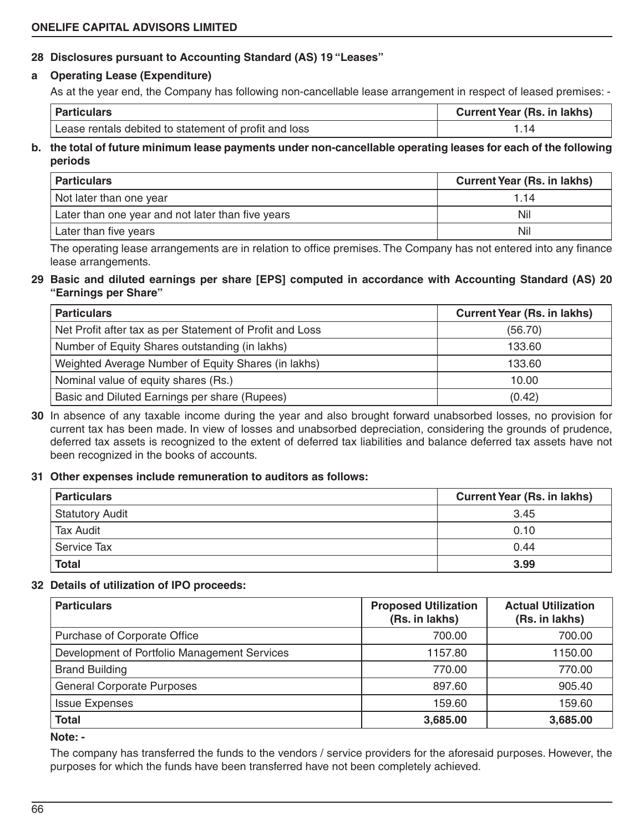#### **28 Disclosures pursuant to Accounting Standard (AS) 19 "Leases"**

#### **a Operating Lease (Expenditure)**

As at the year end, the Company has following non-cancellable lease arrangement in respect of leased premises: -

| <b>I</b> Particulars                                  | <b>Current Year (Rs. in lakhs)</b> |
|-------------------------------------------------------|------------------------------------|
| Lease rentals debited to statement of profit and loss |                                    |

#### **b. the total of future minimum lease payments under non-cancellable operating leases for each of the following periods**

| Particulars                                       | <b>Current Year (Rs. in lakhs)</b> |
|---------------------------------------------------|------------------------------------|
| Not later than one year                           | 1 14                               |
| Later than one year and not later than five years | Nil                                |
| Later than five years                             | Nil                                |

The operating lease arrangements are in relation to office premises. The Company has not entered into any finance lease arrangements.

#### **29 Basic and diluted earnings per share [EPS] computed in accordance with Accounting Standard (AS) 20 "Earnings per Share"**

| <b>Particulars</b>                                       | <b>Current Year (Rs. in lakhs)</b> |
|----------------------------------------------------------|------------------------------------|
| Net Profit after tax as per Statement of Profit and Loss | (56.70)                            |
| Number of Equity Shares outstanding (in lakhs)           | 133.60                             |
| Weighted Average Number of Equity Shares (in lakhs)      | 133.60                             |
| Nominal value of equity shares (Rs.)                     | 10.00                              |
| Basic and Diluted Earnings per share (Rupees)            | (0.42)                             |

**30** In absence of any taxable income during the year and also brought forward unabsorbed losses, no provision for current tax has been made. In view of losses and unabsorbed depreciation, considering the grounds of prudence, deferred tax assets is recognized to the extent of deferred tax liabilities and balance deferred tax assets have not been recognized in the books of accounts.

#### **31 Other expenses include remuneration to auditors as follows:**

| <b>Particulars</b>     | <b>Current Year (Rs. in lakhs)</b> |
|------------------------|------------------------------------|
| <b>Statutory Audit</b> | 3.45                               |
| <b>Tax Audit</b>       | 0.10                               |
| Service Tax            | 0.44                               |
| <b>Total</b>           | 3.99                               |

#### **32 Details of utilization of IPO proceeds:**

| <b>Particulars</b>                           | <b>Proposed Utilization</b><br>(Rs. in lakhs) | <b>Actual Utilization</b><br>(Rs. in lakhs) |
|----------------------------------------------|-----------------------------------------------|---------------------------------------------|
| Purchase of Corporate Office                 | 700.00                                        | 700.00                                      |
| Development of Portfolio Management Services | 1157.80                                       | 1150.00                                     |
| <b>Brand Building</b>                        | 770.00                                        | 770.00                                      |
| <b>General Corporate Purposes</b>            | 897.60                                        | 905.40                                      |
| <b>Issue Expenses</b>                        | 159.60                                        | 159.60                                      |
| <b>Total</b>                                 | 3,685.00                                      | 3,685.00                                    |

#### **Note: -**

The company has transferred the funds to the vendors / service providers for the aforesaid purposes. However, the purposes for which the funds have been transferred have not been completely achieved.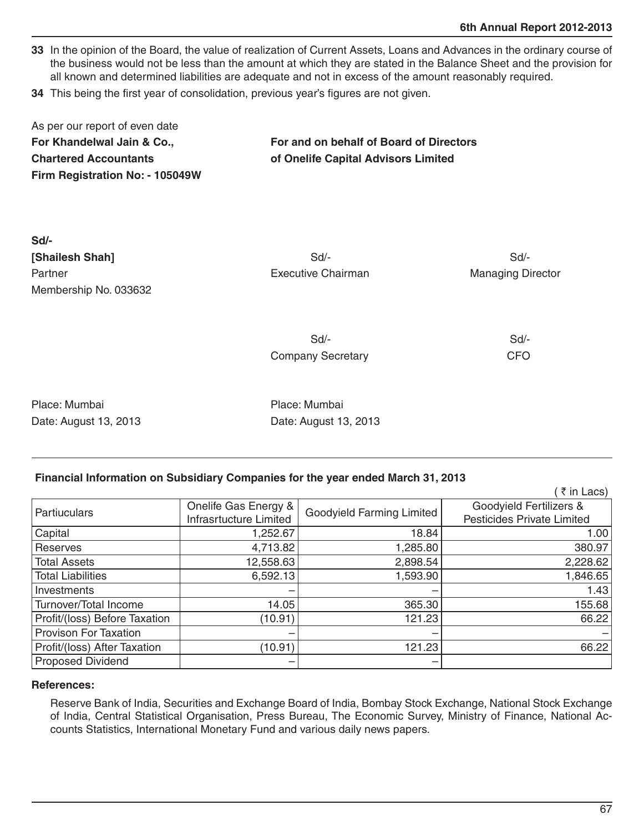**33** In the opinion of the Board, the value of realization of Current Assets, Loans and Advances in the ordinary course of the business would not be less than the amount at which they are stated in the Balance Sheet and the provision for all known and determined liabilities are adequate and not in excess of the amount reasonably required.

**34** This being the first year of consolidation, previous year's figures are not given.

| As per our report of even date  |                                         |
|---------------------------------|-----------------------------------------|
| For Khandelwal Jain & Co        | For and on behalf of Board of Directors |
| <b>Chartered Accountants</b>    | of Onelife Capital Advisors Limited     |
| Firm Registration No: - 105049W |                                         |

| Sd/-                  |                           |                          |
|-----------------------|---------------------------|--------------------------|
| [Shailesh Shah]       | $Sd$ -                    | Sd/-                     |
| Partner               | <b>Executive Chairman</b> | <b>Managing Director</b> |
| Membership No. 033632 |                           |                          |
|                       |                           |                          |
|                       | $Sd$ -                    | Sd                       |
|                       | <b>Company Secretary</b>  | <b>CFO</b>               |
|                       |                           |                          |
|                       |                           |                          |

Place: Mumbai Place: Mumbai

Date: August 13, 2013 Date: August 13, 2013

#### **Financial Information on Subsidiary Companies for the year ended March 31, 2013**

|                               |                        |                           | ₹ in Lacs)                 |
|-------------------------------|------------------------|---------------------------|----------------------------|
| Partiuculars                  | Onelife Gas Energy &   | Goodyield Farming Limited | Goodyield Fertilizers &    |
|                               | Infrasrtucture Limited |                           | Pesticides Private Limited |
| Capital                       | 1,252.67               | 18.84                     | 1.00                       |
| Reserves                      | 4,713.82               | 1,285.80                  | 380.97                     |
| <b>Total Assets</b>           | 12,558.63              | 2,898.54                  | 2,228.62                   |
| <b>Total Liabilities</b>      | 6,592.13               | 1,593.90                  | 1,846.65                   |
| Investments                   |                        |                           | 1.43                       |
| Turnover/Total Income         | 14.05                  | 365.30                    | 155.68                     |
| Profit/(loss) Before Taxation | (10.91)                | 121.23                    | 66.22                      |
| <b>Provison For Taxation</b>  |                        |                           |                            |
| Profit/(loss) After Taxation  | (10.91)                | 121.23                    | 66.22                      |
| <b>Proposed Dividend</b>      |                        |                           |                            |

#### **References:**

Reserve Bank of India, Securities and Exchange Board of India, Bombay Stock Exchange, National Stock Exchange of India, Central Statistical Organisation, Press Bureau, The Economic Survey, Ministry of Finance, National Accounts Statistics, International Monetary Fund and various daily news papers.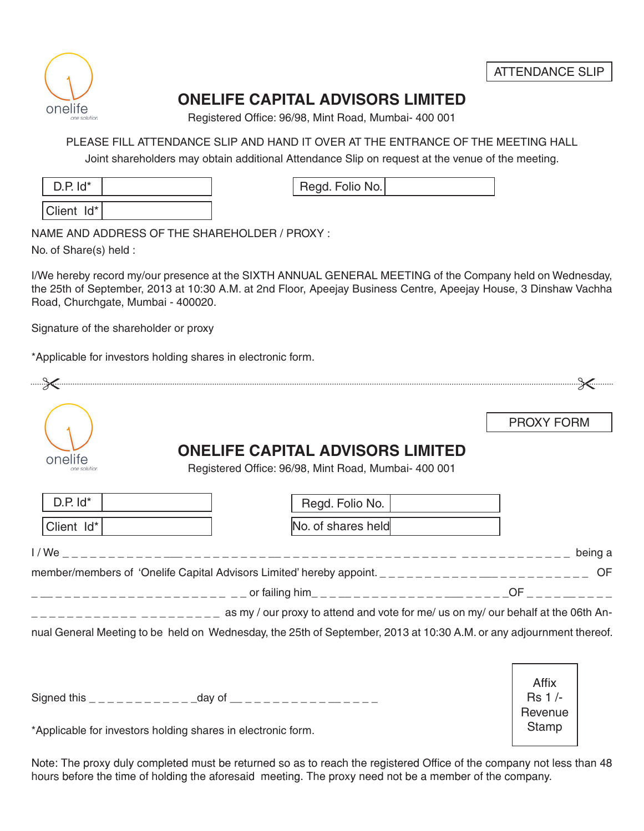

Affix Rs 1 /- **Revenue Stamp** 

### **ONELIFE CAPITAL ADVISORS LIMITED**

Registered Office: 96/98, Mint Road, Mumbai- 400 001

PLEASE FILL ATTENDANCE SLIP AND HAND IT OVER AT THE ENTRANCE OF THE MEETING HALL

Joint shareholders may obtain additional Attendance Slip on request at the venue of the meeting.

| $D.P.$ $Id^*$ |  |
|---------------|--|
| Client Id*    |  |

Regd. Folio No.

NAME AND ADDRESS OF THE SHAREHOLDER / PROXY :

No. of Share(s) held :

I/We hereby record my/our presence at the SIXTH ANNUAL GENERAL MEETING of the Company held on Wednesday, the 25th of September, 2013 at 10:30 A.M. at 2nd Floor, Apeejay Business Centre, Apeejay House, 3 Dinshaw Vachha Road, Churchgate, Mumbai - 400020.

Signature of the shareholder or proxy

\*Applicable for investors holding shares in electronic form.

|                         |                                                                                                                                                                                 | <b>PROXY FORM</b> |
|-------------------------|---------------------------------------------------------------------------------------------------------------------------------------------------------------------------------|-------------------|
| onelife<br>one solution | <b>ONELIFE CAPITAL ADVISORS LIMITED</b><br>Registered Office: 96/98, Mint Road, Mumbai- 400 001                                                                                 |                   |
| $D.P.$ $Id^*$           | Regd. Folio No.                                                                                                                                                                 |                   |
| Client Id*              | No. of shares held                                                                                                                                                              |                   |
|                         |                                                                                                                                                                                 | being a           |
|                         | member/members of 'Onelife Capital Advisors Limited' hereby appoint. __________________________ OF                                                                              |                   |
|                         |                                                                                                                                                                                 |                   |
|                         | $\frac{1}{2}$ = $\frac{1}{2}$ = $\frac{1}{2}$ = $\frac{1}{2}$ = $\frac{1}{2}$ = $\frac{1}{2}$ as my / our proxy to attend and vote for me/ us on my/ our behalf at the 06th An- |                   |
|                         | nual General Meeting to be held on Wednesday, the 25th of September, 2013 at 10:30 A.M. or any adjournment thereof.                                                             |                   |
|                         |                                                                                                                                                                                 |                   |

Signed this \_ \_ \_ \_ \_ \_ \_ \_ \_ \_ \_ \_day of \_\_ \_ \_ \_ \_ \_ \_ \_ \_ \_ \_\_ \_ \_ \_ \_

\*Applicable for investors holding shares in electronic form.

Note: The proxy duly completed must be returned so as to reach the registered Office of the company not less than 48 hours before the time of holding the aforesaid meeting. The proxy need not be a member of the company.